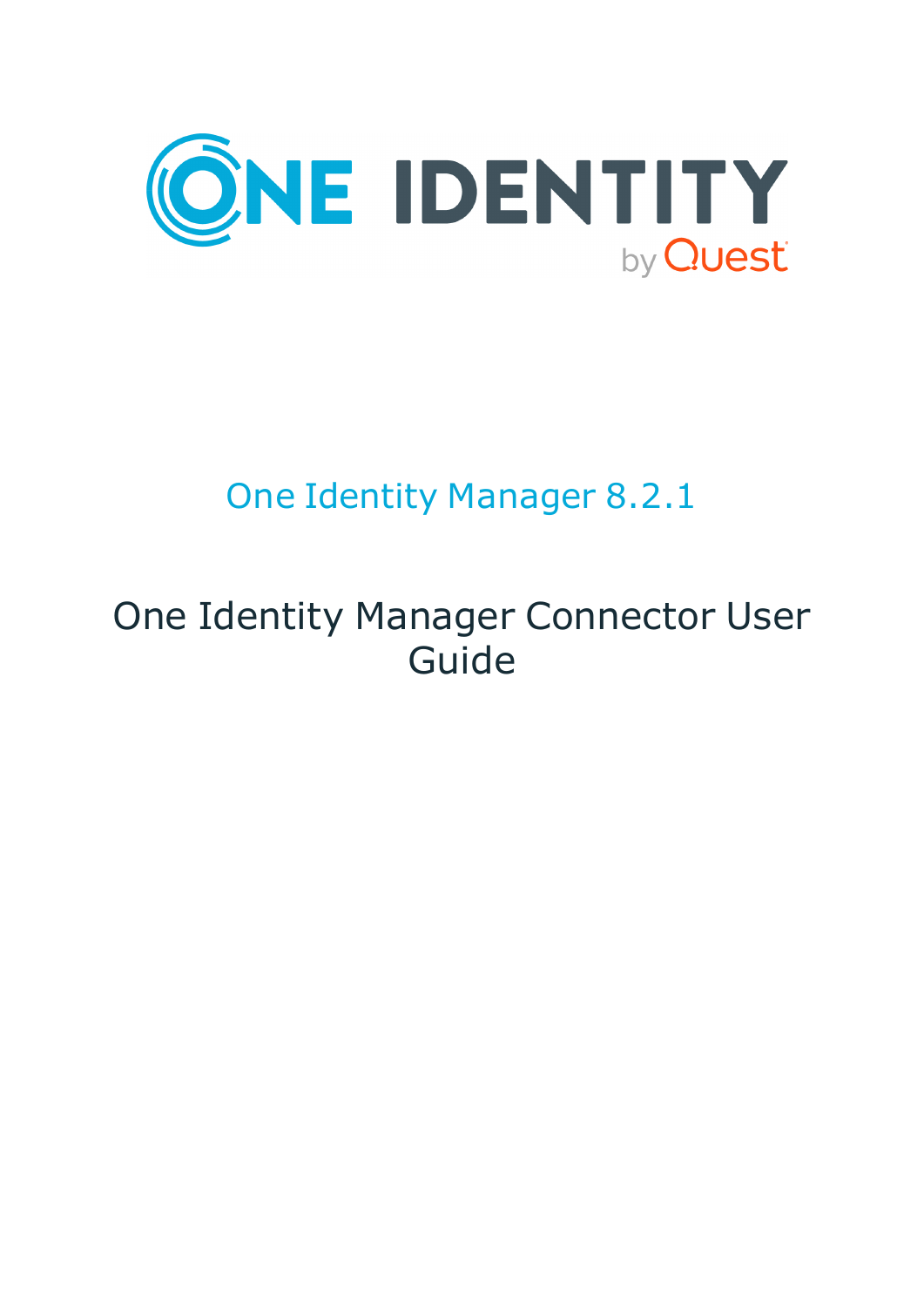

# One Identity Manager 8.2.1

# One Identity Manager Connector User Guide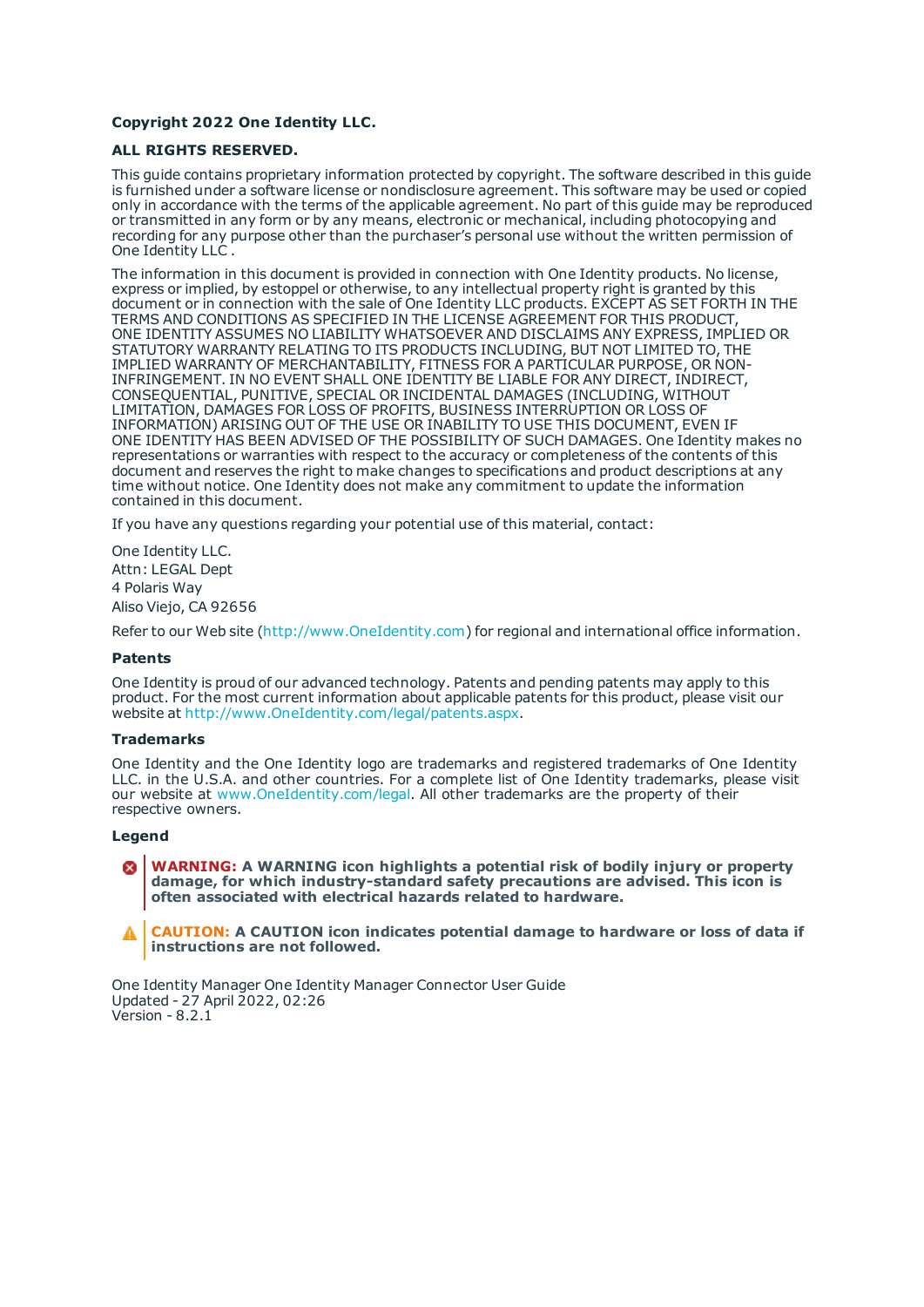#### **Copyright 2022 One Identity LLC.**

#### **ALL RIGHTS RESERVED.**

This guide contains proprietary information protected by copyright. The software described in this guide is furnished under a software license or nondisclosure agreement. This software may be used or copied only in accordance with the terms of the applicable agreement. No part of this guide may be reproduced or transmitted in any form or by any means, electronic or mechanical, including photocopying and recording for any purpose other than the purchaser's personal use without the written permission of One Identity LLC .

The information in this document is provided in connection with One Identity products. No license, express or implied, by estoppel or otherwise, to any intellectual property right is granted by this document or in connection with the sale of One Identity LLC products. EXCEPT AS SET FORTH IN THE TERMS AND CONDITIONS AS SPECIFIED IN THE LICENSE AGREEMENT FOR THIS PRODUCT, ONE IDENTITY ASSUMES NO LIABILITY WHATSOEVER AND DISCLAIMS ANY EXPRESS, IMPLIED OR STATUTORY WARRANTY RELATING TO ITS PRODUCTS INCLUDING, BUT NOT LIMITED TO, THE IMPLIED WARRANTY OF MERCHANTABILITY, FITNESS FOR A PARTICULAR PURPOSE, OR NON-INFRINGEMENT. IN NO EVENT SHALL ONE IDENTITY BE LIABLE FOR ANY DIRECT, INDIRECT, CONSEQUENTIAL, PUNITIVE, SPECIAL OR INCIDENTAL DAMAGES (INCLUDING, WITHOUT LIMITATION, DAMAGES FOR LOSS OF PROFITS, BUSINESS INTERRUPTION OR LOSS OF INFORMATION) ARISING OUT OF THE USE OR INABILITY TO USE THIS DOCUMENT, EVEN IF ONE IDENTITY HAS BEEN ADVISED OF THE POSSIBILITY OF SUCH DAMAGES. One Identity makes no representations or warranties with respect to the accuracy or completeness of the contents of this document and reserves the right to make changes to specifications and product descriptions at any time without notice. One Identity does not make any commitment to update the information contained in this document.

If you have any questions regarding your potential use of this material, contact:

One Identity LLC. Attn: LEGAL Dept 4 Polaris Way Aliso Viejo, CA 92656

Refer to our Web site ([http://www.OneIdentity.com](http://www.oneidentity.com/)) for regional and international office information.

#### **Patents**

One Identity is proud of our advanced technology. Patents and pending patents may apply to this product. For the most current information about applicable patents for this product, please visit our website at [http://www.OneIdentity.com/legal/patents.aspx](http://www.oneidentity.com/legal/patents.aspx).

#### **Trademarks**

One Identity and the One Identity logo are trademarks and registered trademarks of One Identity LLC. in the U.S.A. and other countries. For a complete list of One Identity trademarks, please visit our website at [www.OneIdentity.com/legal](http://www.oneidentity.com/legal). All other trademarks are the property of their respective owners.

#### **Legend**

**WARNING: A WARNING icon highlights a potential risk of bodily injury or property damage, for which industry-standard safety precautions are advised. This icon is often associated with electrical hazards related to hardware.**

**CAUTION: A CAUTION icon indicates potential damage to hardware or loss of data if** A **instructions are not followed.**

One Identity Manager One Identity Manager Connector User Guide Updated - 27 April 2022, 02:26 Version - 8.2.1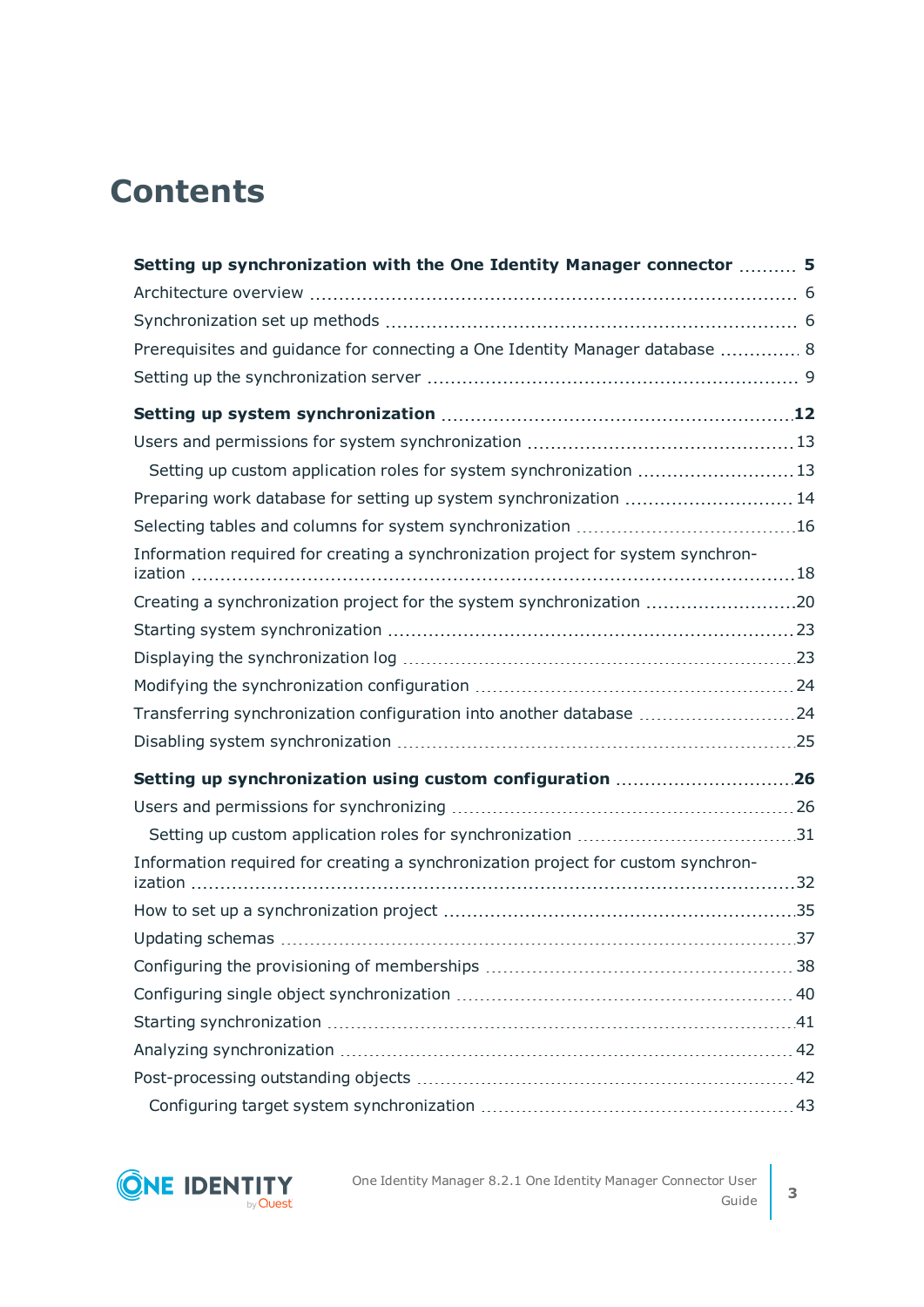## **Contents**

| Setting up synchronization with the One Identity Manager connector  5            |  |
|----------------------------------------------------------------------------------|--|
|                                                                                  |  |
|                                                                                  |  |
| Prerequisites and guidance for connecting a One Identity Manager database  8     |  |
|                                                                                  |  |
|                                                                                  |  |
|                                                                                  |  |
| Setting up custom application roles for system synchronization 13                |  |
| Preparing work database for setting up system synchronization  14                |  |
|                                                                                  |  |
| Information required for creating a synchronization project for system synchron- |  |
| Creating a synchronization project for the system synchronization 20             |  |
|                                                                                  |  |
|                                                                                  |  |
|                                                                                  |  |
| Transferring synchronization configuration into another database 24              |  |
|                                                                                  |  |
| Setting up synchronization using custom configuration 26                         |  |
|                                                                                  |  |
|                                                                                  |  |
| Information required for creating a synchronization project for custom synchron- |  |
|                                                                                  |  |
|                                                                                  |  |
|                                                                                  |  |
|                                                                                  |  |
|                                                                                  |  |
|                                                                                  |  |
|                                                                                  |  |
|                                                                                  |  |

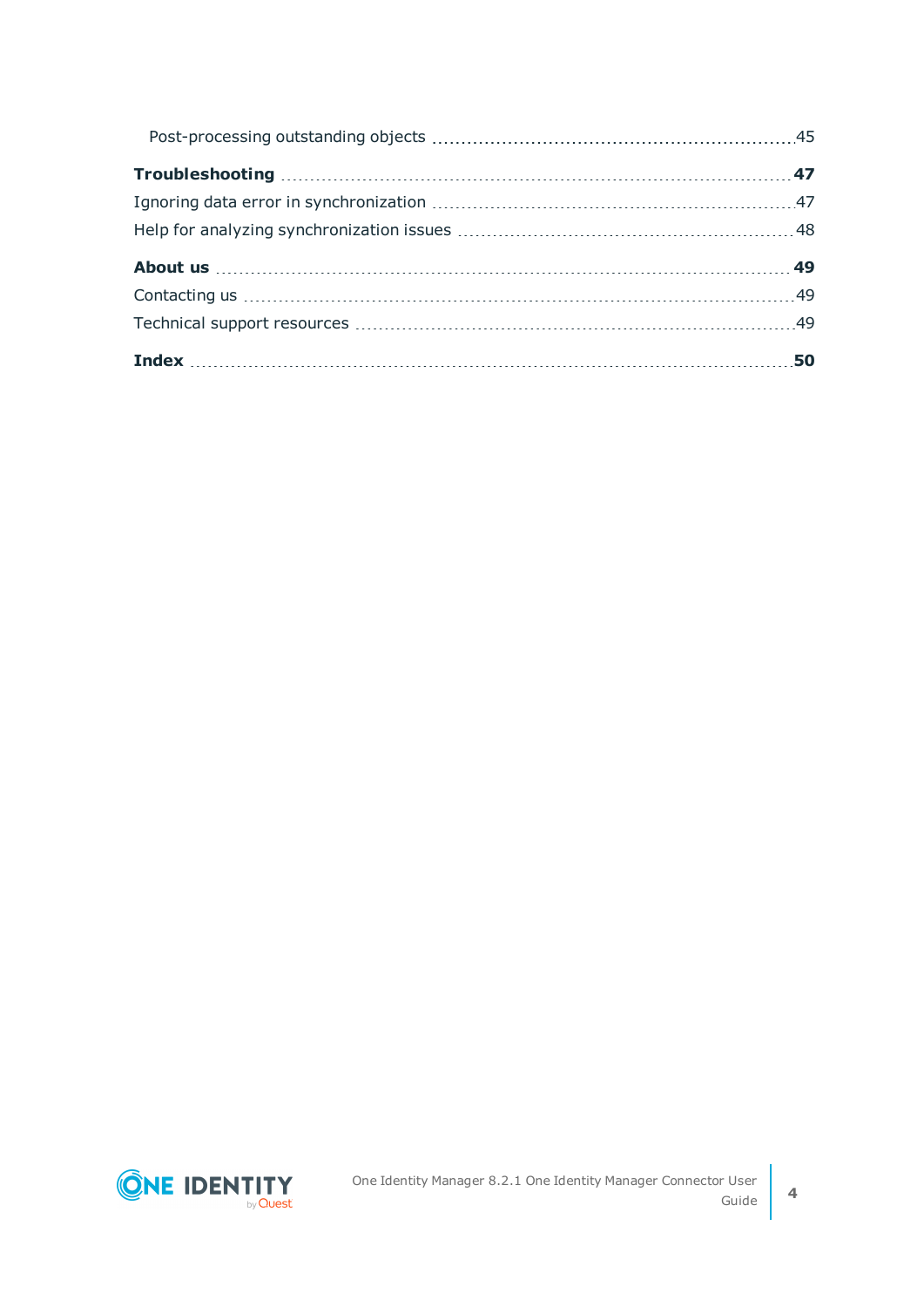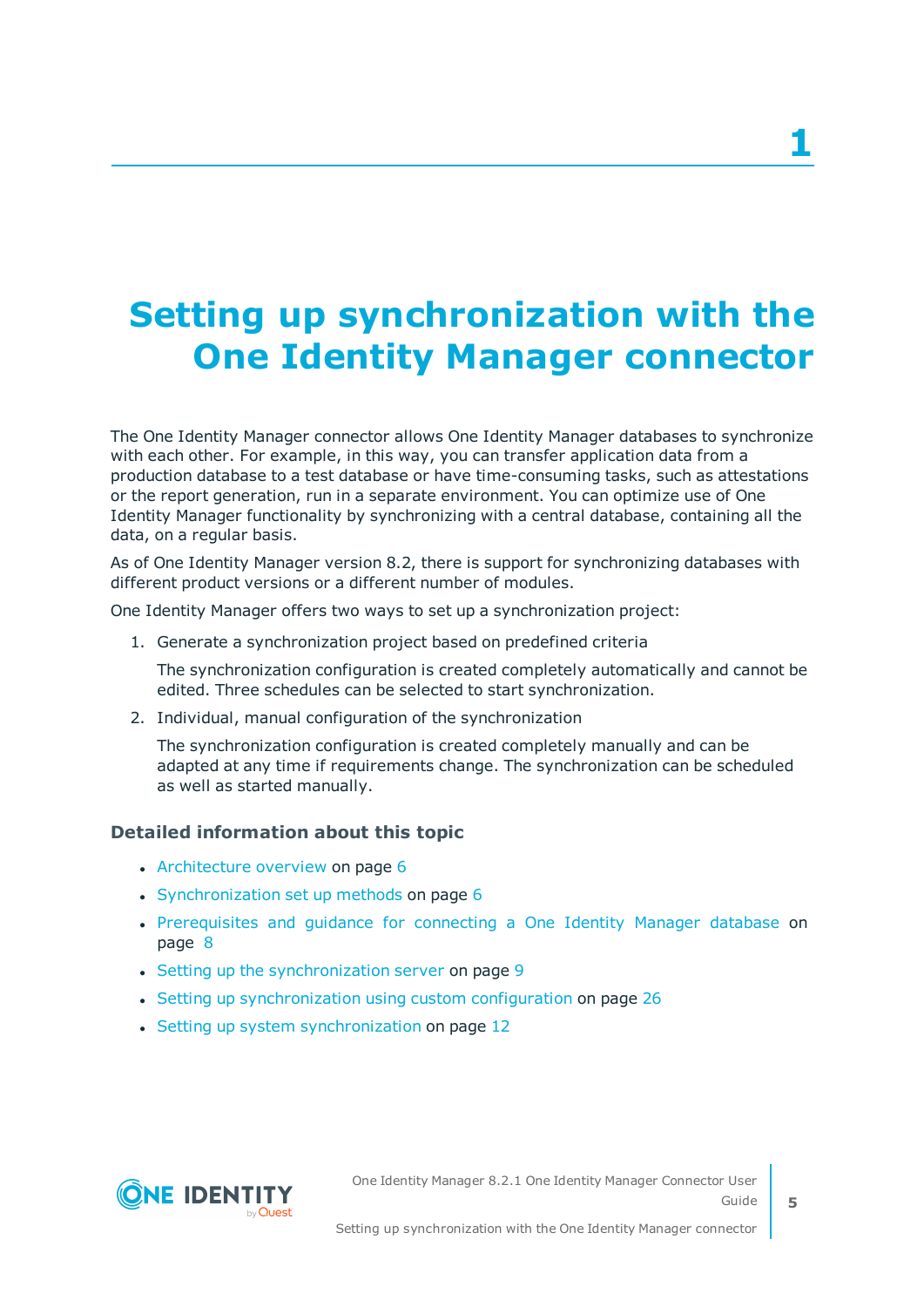# <span id="page-4-0"></span>**Setting up synchronization with the One Identity Manager connector**

The One Identity Manager connector allows One Identity Manager databases to synchronize with each other. For example, in this way, you can transfer application data from a production database to a test database or have time-consuming tasks, such as attestations or the report generation, run in a separate environment. You can optimize use of One Identity Manager functionality by synchronizing with a central database, containing all the data, on a regular basis.

As of One Identity Manager version 8.2, there is support for synchronizing databases with different product versions or a different number of modules.

One Identity Manager offers two ways to set up a synchronization project:

1. Generate a synchronization project based on predefined criteria

The synchronization configuration is created completely automatically and cannot be edited. Three schedules can be selected to start synchronization.

2. Individual, manual configuration of the synchronization

The synchronization configuration is created completely manually and can be adapted at any time if requirements change. The synchronization can be scheduled as well as started manually.

#### **Detailed information about this topic**

- [Architecture](#page-5-0) overview on page 6
- [Synchronization](#page-5-1) set up methods on page  $6$
- [Prerequisites](#page-7-0) and quidance for connecting a One Identity Manager database on [page](#page-7-0) 8
- Setting up the [synchronization](#page-8-0) server on page 9
- Setting up [synchronization](#page-25-0) using custom configuration on page 26
- Setting up system [synchronization](#page-11-0) on page 12

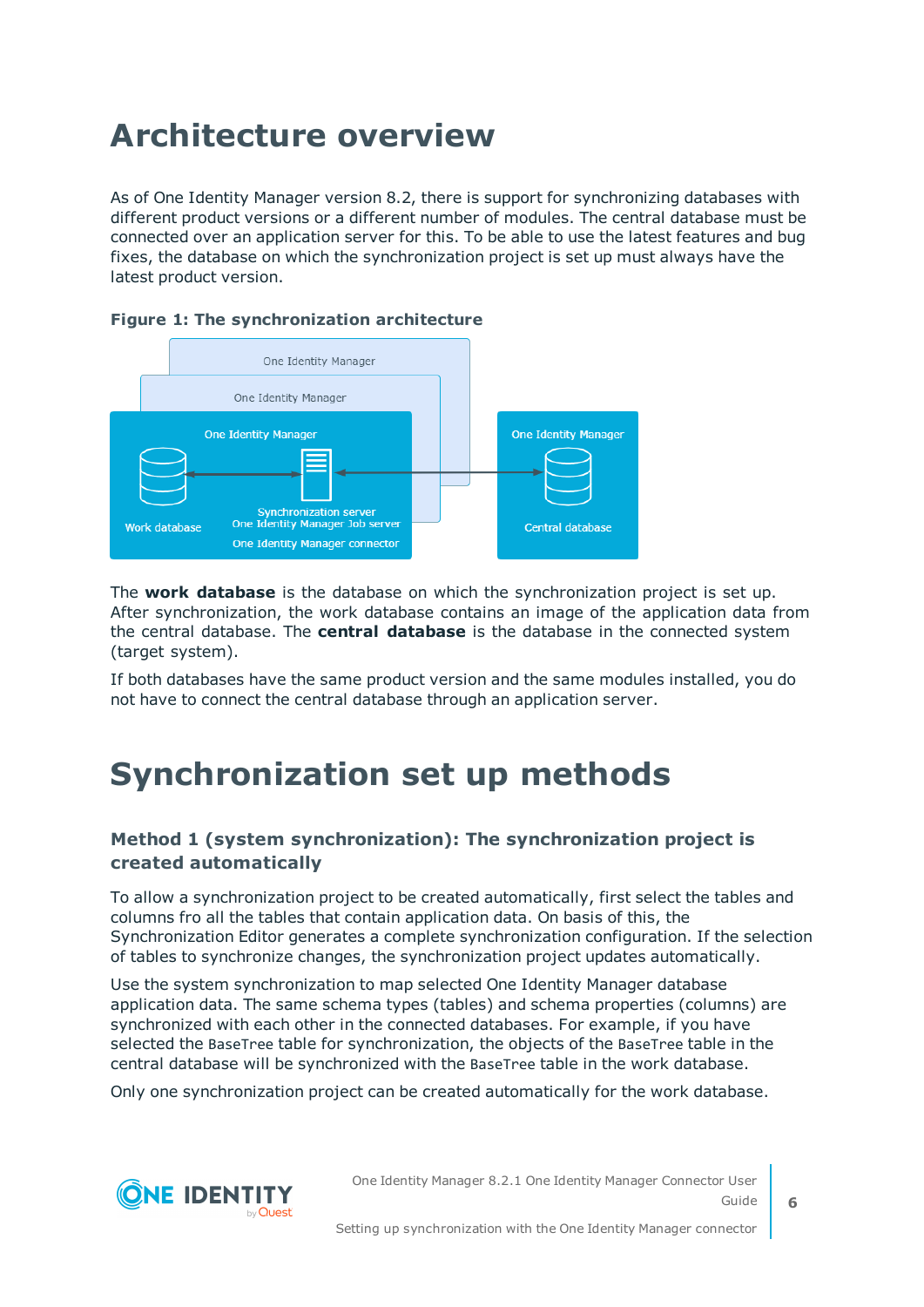## <span id="page-5-0"></span>**Architecture overview**

As of One Identity Manager version 8.2, there is support for synchronizing databases with different product versions or a different number of modules. The central database must be connected over an application server for this. To be able to use the latest features and bug fixes, the database on which the synchronization project is set up must always have the latest product version.



#### **Figure 1: The synchronization architecture**

The **work database** is the database on which the synchronization project is set up. After synchronization, the work database contains an image of the application data from the central database. The **central database** is the database in the connected system (target system).

If both databases have the same product version and the same modules installed, you do not have to connect the central database through an application server.

### <span id="page-5-1"></span>**Synchronization set up methods**

#### **Method 1 (system synchronization): The synchronization project is created automatically**

To allow a synchronization project to be created automatically, first select the tables and columns fro all the tables that contain application data. On basis of this, the Synchronization Editor generates a complete synchronization configuration. If the selection of tables to synchronize changes, the synchronization project updates automatically.

Use the system synchronization to map selected One Identity Manager database application data. The same schema types (tables) and schema properties (columns) are synchronized with each other in the connected databases. For example, if you have selected the BaseTree table for synchronization, the objects of the BaseTree table in the central database will be synchronized with the BaseTree table in the work database.

Only one synchronization project can be created automatically for the work database.



One Identity Manager 8.2.1 One Identity Manager Connector User Guide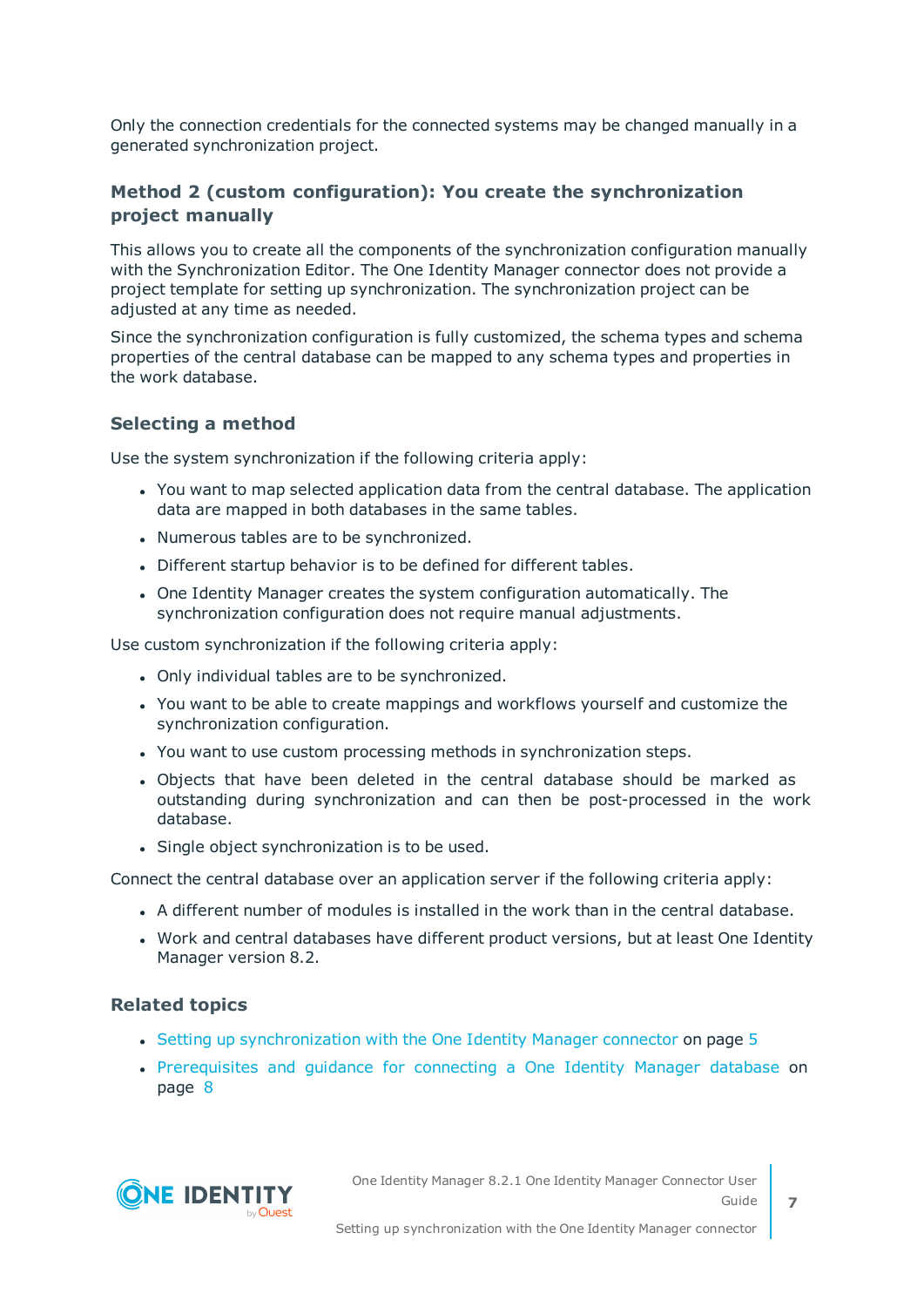Only the connection credentials for the connected systems may be changed manually in a generated synchronization project.

#### **Method 2 (custom configuration): You create the synchronization project manually**

This allows you to create all the components of the synchronization configuration manually with the Synchronization Editor. The One Identity Manager connector does not provide a project template for setting up synchronization. The synchronization project can be adjusted at any time as needed.

Since the synchronization configuration is fully customized, the schema types and schema properties of the central database can be mapped to any schema types and properties in the work database.

#### **Selecting a method**

Use the system synchronization if the following criteria apply:

- You want to map selected application data from the central database. The application data are mapped in both databases in the same tables.
- Numerous tables are to be synchronized.
- Different startup behavior is to be defined for different tables.
- One Identity Manager creates the system configuration automatically. The synchronization configuration does not require manual adjustments.

Use custom synchronization if the following criteria apply:

- Only individual tables are to be synchronized.
- You want to be able to create mappings and workflows yourself and customize the synchronization configuration.
- You want to use custom processing methods in synchronization steps.
- Objects that have been deleted in the central database should be marked as outstanding during synchronization and can then be post-processed in the work database.
- Single object synchronization is to be used.

Connect the central database over an application server if the following criteria apply:

- A different number of modules is installed in the work than in the central database.
- Work and central databases have different product versions, but at least One Identity Manager version 8.2.

#### **Related topics**

- $\bullet$  Setting up [synchronization](#page-4-0) with the One Identity Manager connector on page 5
- [Prerequisites](#page-7-0) and quidance for connecting a One Identity Manager database on [page](#page-7-0) 8



**7**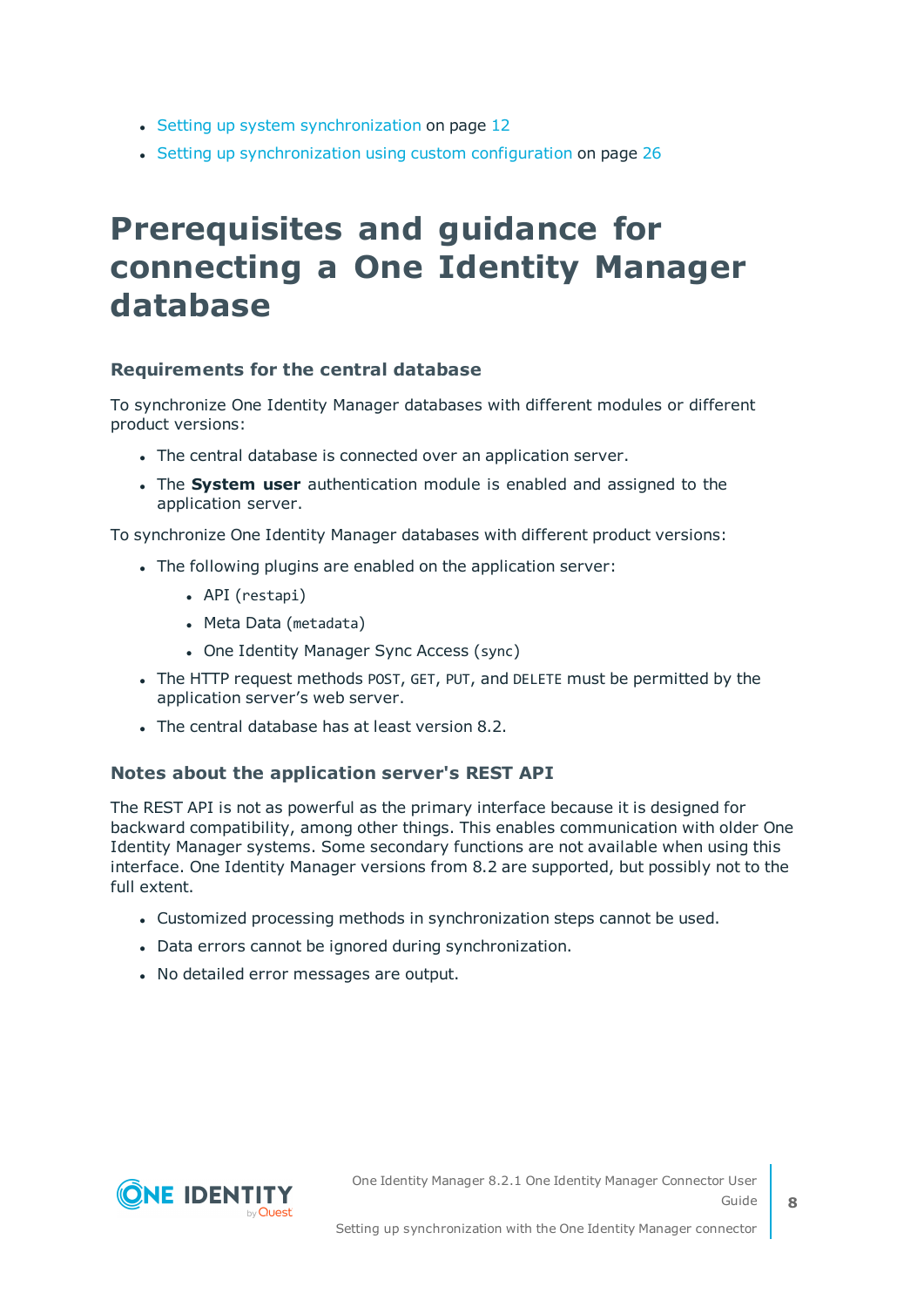- Setting up system [synchronization](#page-11-0) on page 12
- Setting up [synchronization](#page-25-0) using custom configuration on page 26

### <span id="page-7-0"></span>**Prerequisites and guidance for connecting a One Identity Manager database**

#### **Requirements for the central database**

To synchronize One Identity Manager databases with different modules or different product versions:

- The central database is connected over an application server.
- <sup>l</sup> The **System user** authentication module is enabled and assigned to the application server.

To synchronize One Identity Manager databases with different product versions:

- . The following plugins are enabled on the application server:
	- API (restapi)
	- Meta Data (metadata)
	- One Identity Manager Sync Access (sync)
- The HTTP request methods POST, GET, PUT, and DELETE must be permitted by the application server's web server.
- $\bullet$  The central database has at least version 8.2.

#### **Notes about the application server's REST API**

The REST API is not as powerful as the primary interface because it is designed for backward compatibility, among other things. This enables communication with older One Identity Manager systems. Some secondary functions are not available when using this interface. One Identity Manager versions from 8.2 are supported, but possibly not to the full extent.

- Customized processing methods in synchronization steps cannot be used.
- Data errors cannot be ignored during synchronization.
- No detailed error messages are output.

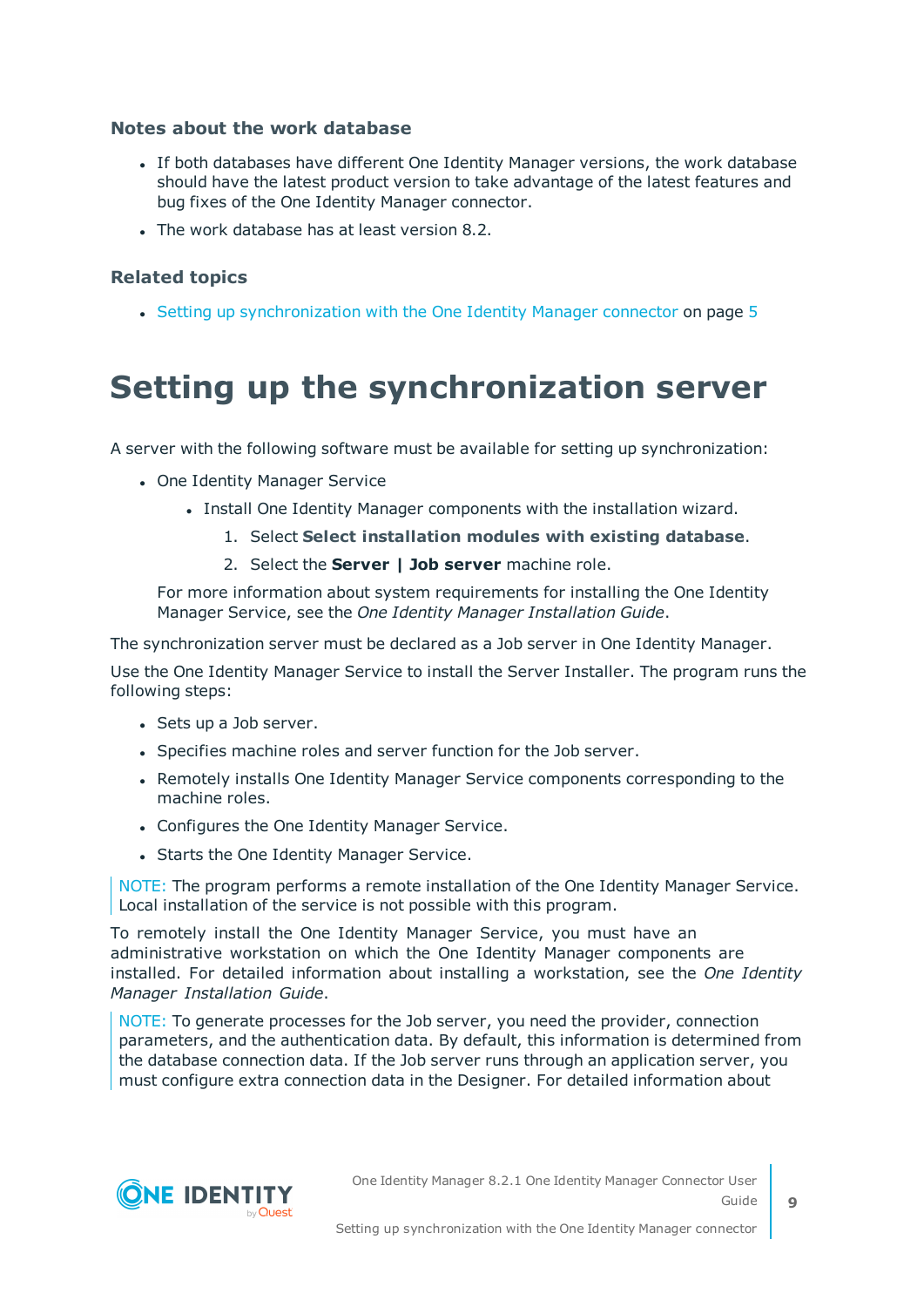#### **Notes about the work database**

- If both databases have different One Identity Manager versions, the work database should have the latest product version to take advantage of the latest features and bug fixes of the One Identity Manager connector.
- The work database has at least version 8.2.

#### **Related topics**

<span id="page-8-0"></span>• Setting up [synchronization](#page-4-0) with the One Identity Manager connector on page 5

### **Setting up the synchronization server**

A server with the following software must be available for setting up synchronization:

- One Identity Manager Service
	- Install One Identity Manager components with the installation wizard.
		- 1. Select **Select installation modules with existing database**.
			- 2. Select the **Server | Job server** machine role.

For more information about system requirements for installing the One Identity Manager Service, see the *One Identity Manager Installation Guide*.

The synchronization server must be declared as a Job server in One Identity Manager.

Use the One Identity Manager Service to install the Server Installer. The program runs the following steps:

- Sets up a Job server.
- Specifies machine roles and server function for the Job server.
- Remotely installs One Identity Manager Service components corresponding to the machine roles.
- Configures the One Identity Manager Service.
- Starts the One Identity Manager Service.

NOTE: The program performs a remote installation of the One Identity Manager Service. Local installation of the service is not possible with this program.

To remotely install the One Identity Manager Service, you must have an administrative workstation on which the One Identity Manager components are installed. For detailed information about installing a workstation, see the *One Identity Manager Installation Guide*.

NOTE: To generate processes for the Job server, you need the provider, connection parameters, and the authentication data. By default, this information is determined from the database connection data. If the Job server runs through an application server, you must configure extra connection data in the Designer. For detailed information about



**9**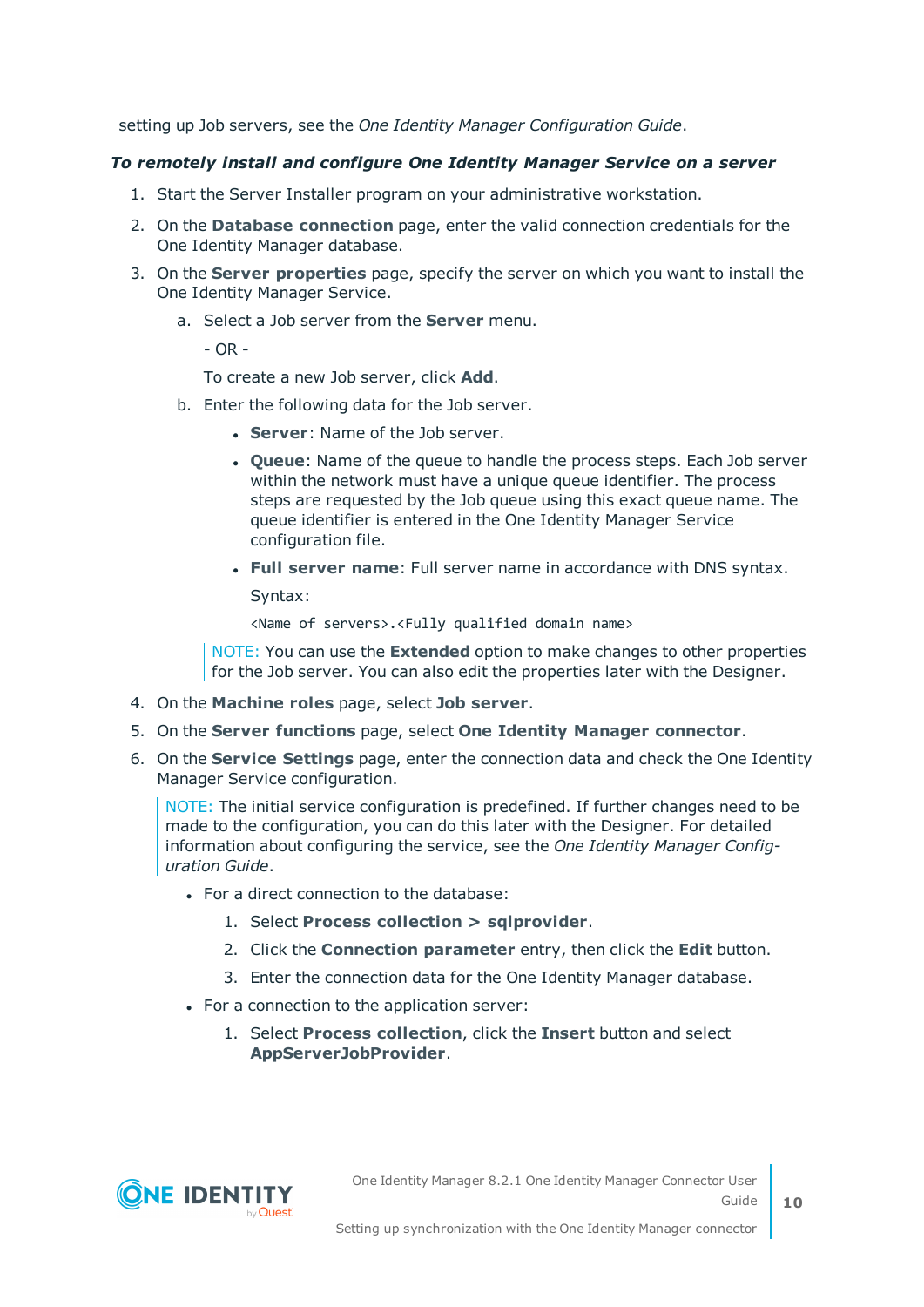setting up Job servers, see the *One Identity Manager Configuration Guide*.

#### *To remotely install and configure One Identity Manager Service on a server*

- 1. Start the Server Installer program on your administrative workstation.
- 2. On the **Database connection** page, enter the valid connection credentials for the One Identity Manager database.
- 3. On the **Server properties** page, specify the server on which you want to install the One Identity Manager Service.
	- a. Select a Job server from the **Server** menu.

- OR -

To create a new Job server, click **Add**.

- b. Enter the following data for the Job server.
	- **Server: Name of the Job server.**
	- **.** Oueue: Name of the queue to handle the process steps. Each Job server within the network must have a unique queue identifier. The process steps are requested by the Job queue using this exact queue name. The queue identifier is entered in the One Identity Manager Service configuration file.
	- <sup>l</sup> **Full server name**: Full server name in accordance with DNS syntax.

Syntax:

<Name of servers>.<Fully qualified domain name>

NOTE: You can use the **Extended** option to make changes to other properties for the Job server. You can also edit the properties later with the Designer.

- 4. On the **Machine roles** page, select **Job server**.
- 5. On the **Server functions** page, select **One Identity Manager connector**.
- 6. On the **Service Settings** page, enter the connection data and check the One Identity Manager Service configuration.

NOTE: The initial service configuration is predefined. If further changes need to be made to the configuration, you can do this later with the Designer. For detailed information about configuring the service, see the *One Identity Manager Configuration Guide*.

- For a direct connection to the database:
	- 1. Select **Process collection > sqlprovider**.
	- 2. Click the **Connection parameter** entry, then click the **Edit** button.
	- 3. Enter the connection data for the One Identity Manager database.
- For a connection to the application server:
	- 1. Select **Process collection**, click the **Insert** button and select **AppServerJobProvider**.

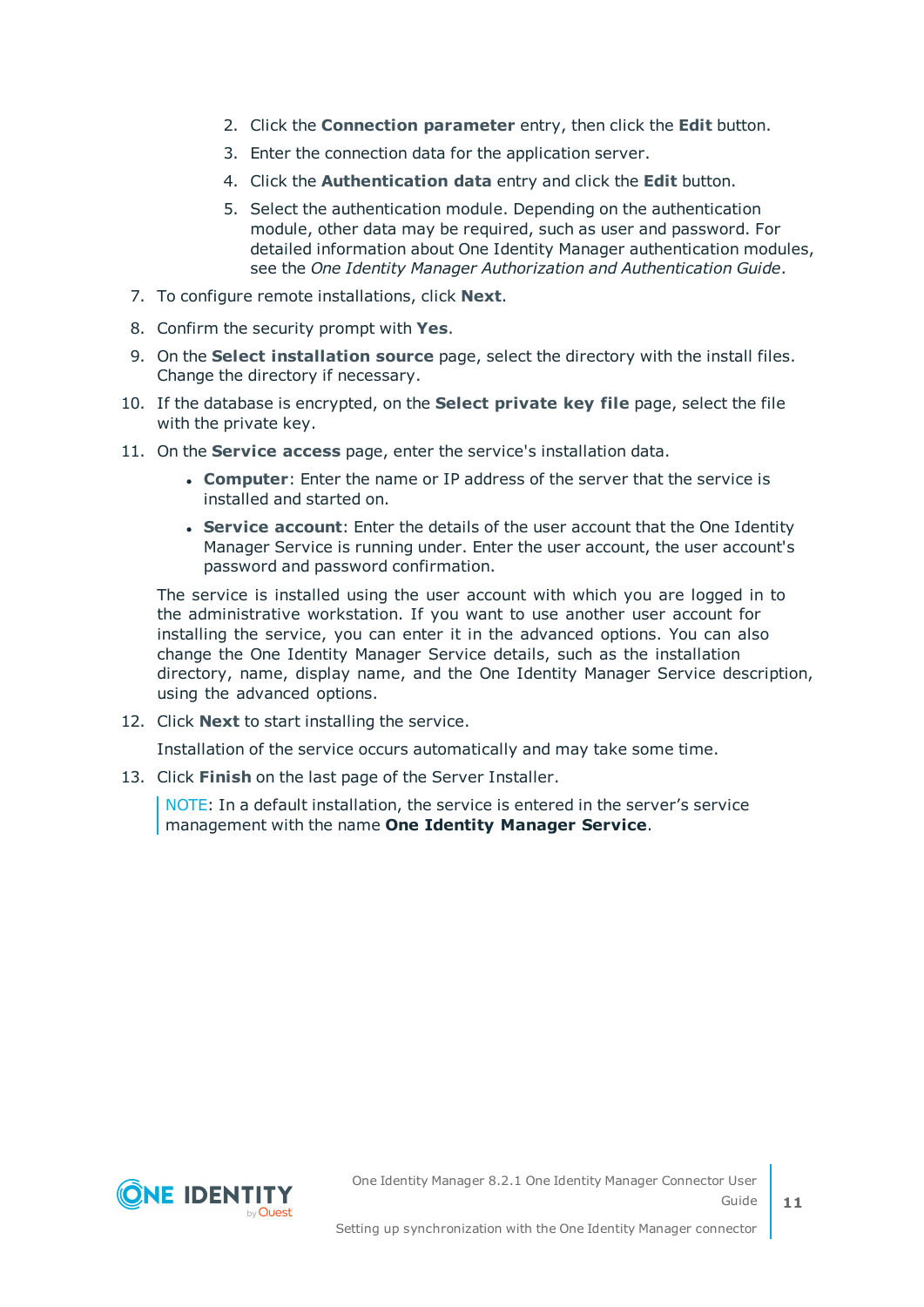- 2. Click the **Connection parameter** entry, then click the **Edit** button.
- 3. Enter the connection data for the application server.
- 4. Click the **Authentication data** entry and click the **Edit** button.
- 5. Select the authentication module. Depending on the authentication module, other data may be required, such as user and password. For detailed information about One Identity Manager authentication modules, see the *One Identity Manager Authorization and Authentication Guide*.
- 7. To configure remote installations, click **Next**.
- 8. Confirm the security prompt with **Yes**.
- 9. On the **Select installation source** page, select the directory with the install files. Change the directory if necessary.
- 10. If the database is encrypted, on the **Select private key file** page, select the file with the private key.
- 11. On the **Service access** page, enter the service's installation data.
	- **Computer:** Enter the name or IP address of the server that the service is installed and started on.
	- **. Service account:** Enter the details of the user account that the One Identity Manager Service is running under. Enter the user account, the user account's password and password confirmation.

The service is installed using the user account with which you are logged in to the administrative workstation. If you want to use another user account for installing the service, you can enter it in the advanced options. You can also change the One Identity Manager Service details, such as the installation directory, name, display name, and the One Identity Manager Service description, using the advanced options.

12. Click **Next** to start installing the service.

Installation of the service occurs automatically and may take some time.

13. Click **Finish** on the last page of the Server Installer.

NOTE: In a default installation, the service is entered in the server's service management with the name **One Identity Manager Service**.

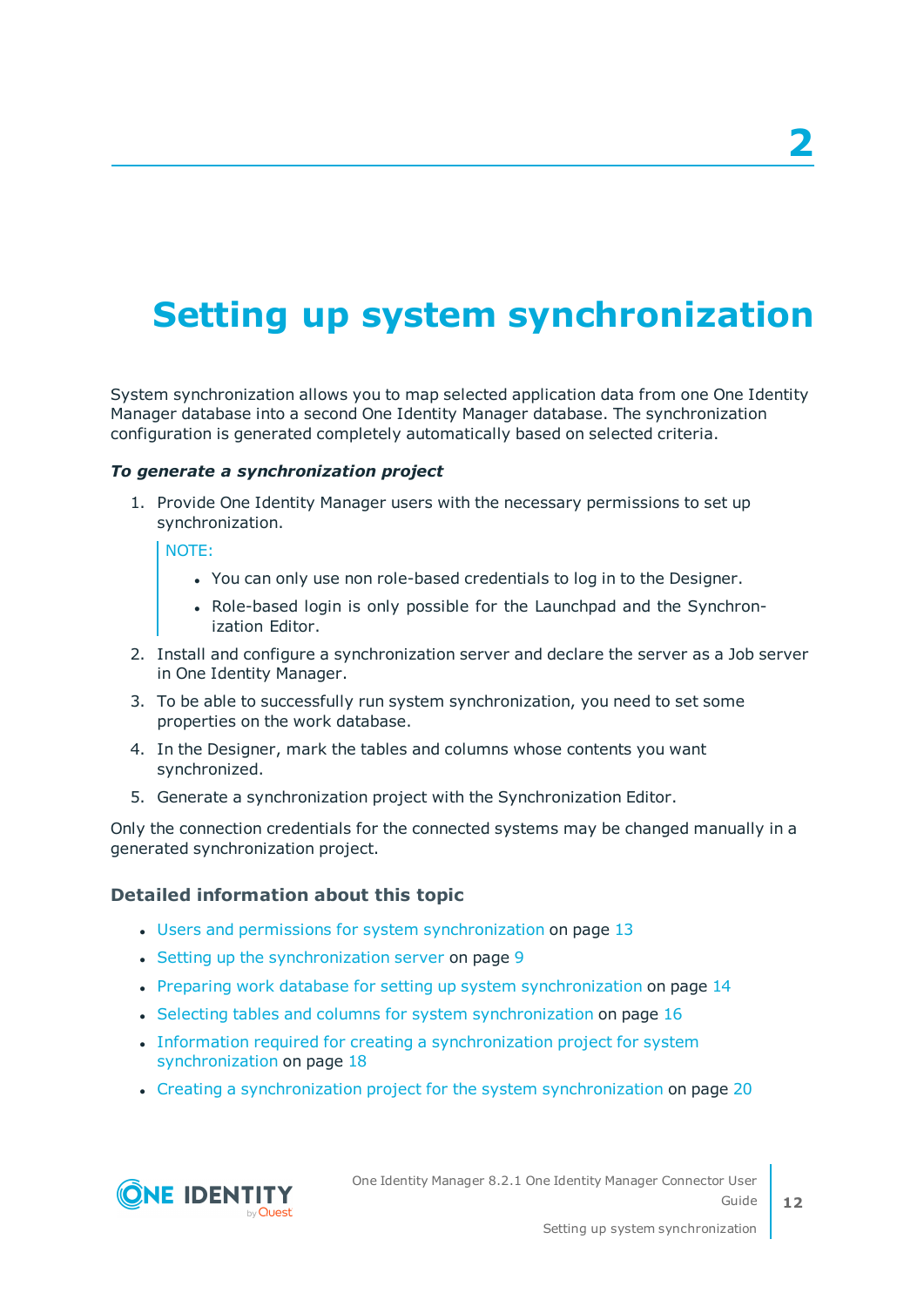# <span id="page-11-0"></span>**Setting up system synchronization**

System synchronization allows you to map selected application data from one One Identity Manager database into a second One Identity Manager database. The synchronization configuration is generated completely automatically based on selected criteria.

#### *To generate a synchronization project*

1. Provide One Identity Manager users with the necessary permissions to set up synchronization.

NOTE:

- <sup>l</sup> You can only use non role-based credentials to log in to the Designer.
- Role-based login is only possible for the Launchpad and the Synchronization Editor.
- 2. Install and configure a synchronization server and declare the server as a Job server in One Identity Manager.
- 3. To be able to successfully run system synchronization, you need to set some properties on the work database.
- 4. In the Designer, mark the tables and columns whose contents you want synchronized.
- 5. Generate a synchronization project with the Synchronization Editor.

Only the connection credentials for the connected systems may be changed manually in a generated synchronization project.

#### **Detailed information about this topic**

- Users and permissions for system [synchronization](#page-12-0) on page 13
- $\cdot$  Setting up the [synchronization](#page-8-0) server on page 9
- Preparing work database for setting up system [synchronization](#page-13-0) on page 14
- Selecting tables and columns for system [synchronization](#page-15-0) on page 16
- Information required for creating a [synchronization](#page-17-0) project for system [synchronization](#page-17-0) on page 18
- Creating a [synchronization](#page-19-0) project for the system synchronization on page 20



One Identity Manager 8.2.1 One Identity Manager Connector User Guide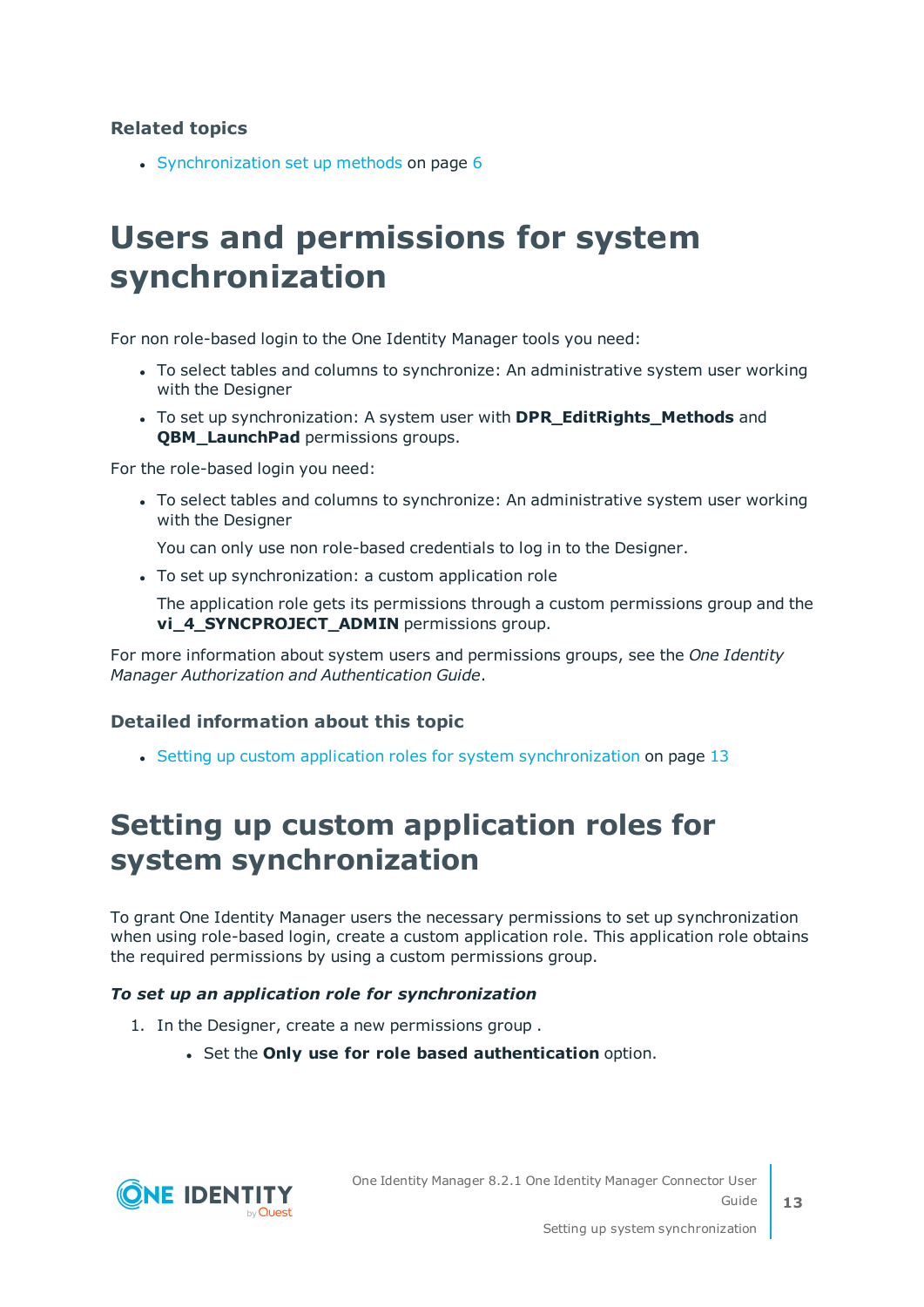#### **Related topics**

• [Synchronization](#page-5-1) set up methods on page 6

### <span id="page-12-0"></span>**Users and permissions for system synchronization**

For non role-based login to the One Identity Manager tools you need:

- To select tables and columns to synchronize: An administrative system user working with the Designer
- To set up synchronization: A system user with **DPR\_EditRights\_Methods** and **QBM** LaunchPad permissions groups.

For the role-based login you need:

• To select tables and columns to synchronize: An administrative system user working with the Designer

You can only use non role-based credentials to log in to the Designer.

• To set up synchronization: a custom application role

The application role gets its permissions through a custom permissions group and the **vi\_4\_SYNCPROJECT\_ADMIN** permissions group.

For more information about system users and permissions groups, see the *One Identity Manager Authorization and Authentication Guide*.

#### **Detailed information about this topic**

• Setting up custom application roles for system [synchronization](#page-12-1) on page 13

### <span id="page-12-1"></span>**Setting up custom application roles for system synchronization**

To grant One Identity Manager users the necessary permissions to set up synchronization when using role-based login, create a custom application role. This application role obtains the required permissions by using a custom permissions group.

#### *To set up an application role for synchronization*

- 1. In the Designer, create a new permissions group .
	- <sup>l</sup> Set the **Only use for role based authentication** option.

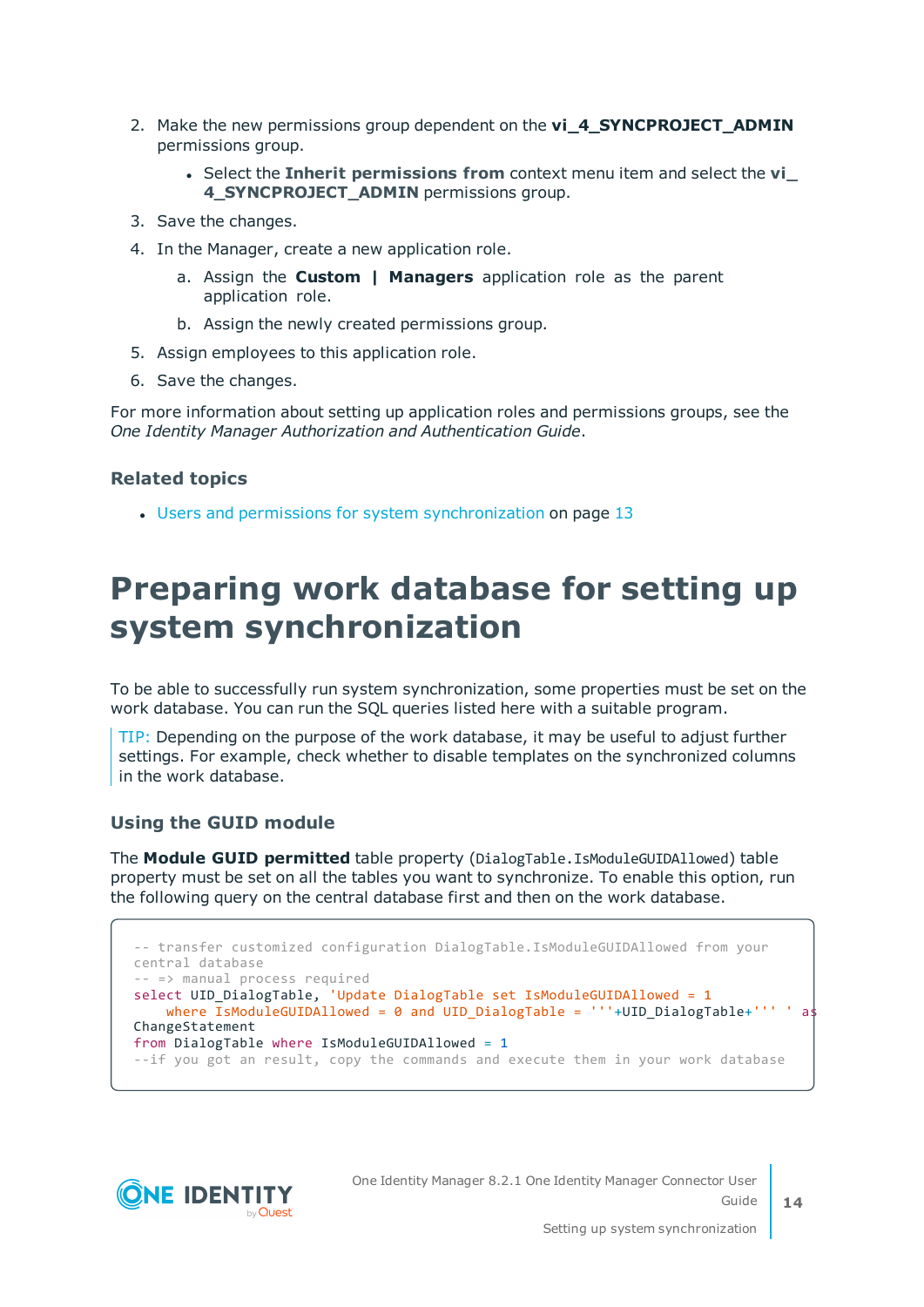- 2. Make the new permissions group dependent on the **vi\_4\_SYNCPROJECT\_ADMIN** permissions group.
	- <sup>l</sup> Select the **Inherit permissions from** context menu item and select the **vi\_ 4\_SYNCPROJECT\_ADMIN** permissions group.
- 3. Save the changes.
- 4. In the Manager, create a new application role.
	- a. Assign the **Custom | Managers** application role as the parent application role.
	- b. Assign the newly created permissions group.
- 5. Assign employees to this application role.
- 6. Save the changes.

For more information about setting up application roles and permissions groups, see the *One Identity Manager Authorization and Authentication Guide*.

#### **Related topics**

 $\cdot$  Users and permissions for system [synchronization](#page-12-0) on page 13

### <span id="page-13-0"></span>**Preparing work database for setting up system synchronization**

To be able to successfully run system synchronization, some properties must be set on the work database. You can run the SQL queries listed here with a suitable program.

TIP: Depending on the purpose of the work database, it may be useful to adjust further settings. For example, check whether to disable templates on the synchronized columns in the work database.

#### **Using the GUID module**

The **Module GUID permitted** table property (DialogTable.IsModuleGUIDAllowed) table property must be set on all the tables you want to synchronize. To enable this option, run the following query on the central database first and then on the work database.

```
-- transfer customized configuration DialogTable.IsModuleGUIDAllowed from your
central database
-- => manual process required
select UID_DialogTable, 'Update DialogTable set IsModuleGUIDAllowed = 1
   where \overline{IsModuleGUIDA11owed = 0} and \overline{UID DialogTable} = '''+UID DialogTable+''' ' as
ChangeStatement 
from DialogTable where IsModuleGUIDAllowed = 1
--if you got an result, copy the commands and execute them in your work database
```


One Identity Manager 8.2.1 One Identity Manager Connector User Guide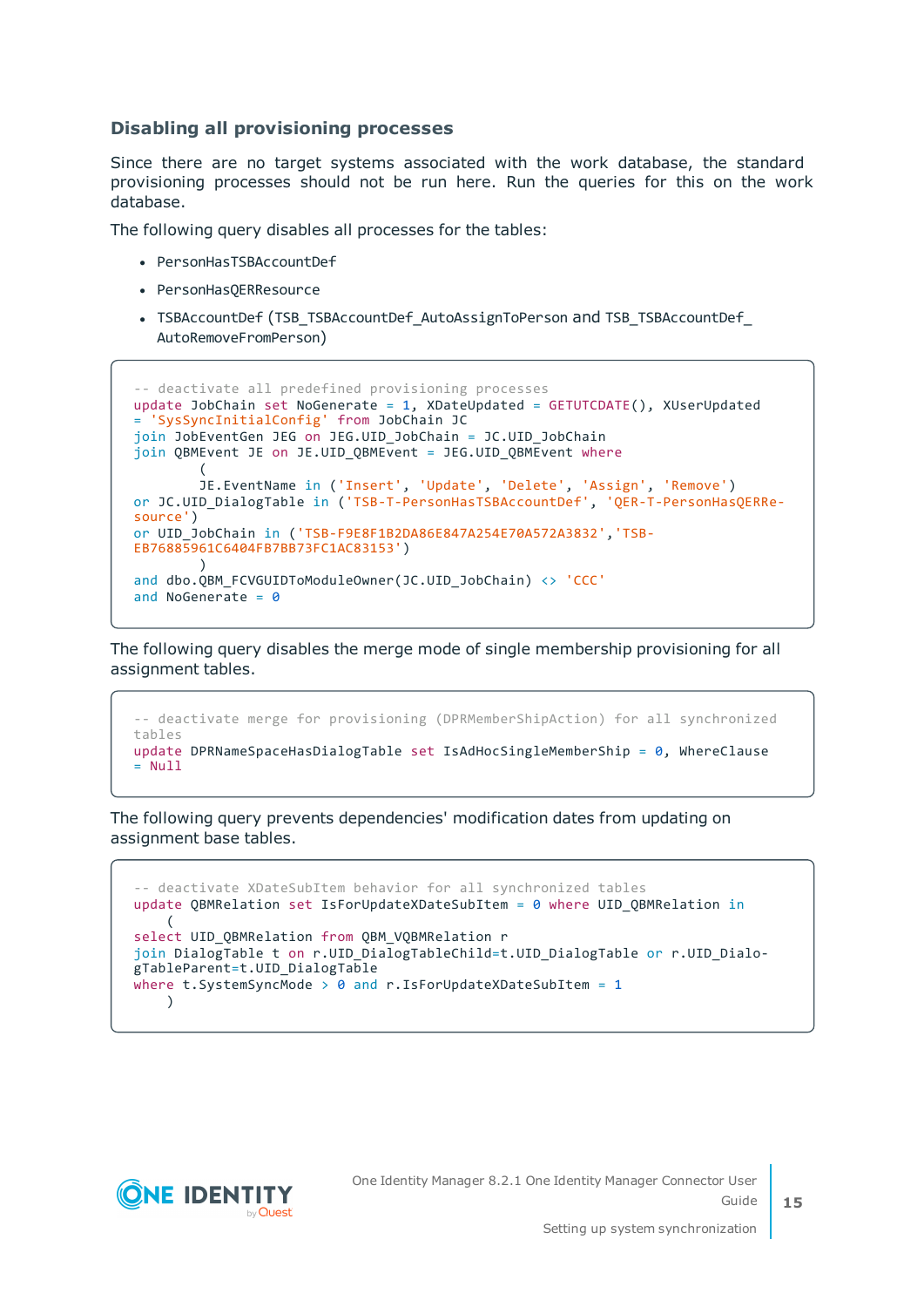#### **Disabling all provisioning processes**

Since there are no target systems associated with the work database, the standard provisioning processes should not be run here. Run the queries for this on the work database.

The following query disables all processes for the tables:

- PersonHasTSBAccountDef
- PersonHasOERResource
- TSBAccountDef (TSB\_TSBAccountDef\_AutoAssignToPerson and TSB\_TSBAccountDef AutoRemoveFromPerson)

```
-- deactivate all predefined provisioning processes
update JobChain set NoGenerate = 1, XDateUpdated = GETUTCDATE(), XUserUpdated
= 'SysSyncInitialConfig' from JobChain JC 
join JobEventGen JEG on JEG.UID_JobChain = JC.UID_JobChain 
join QBMEvent JE on JE.UID QBMEvent = JEG.UID QBMEvent where
        (
        JE.EventName in ('Insert', 'Update', 'Delete', 'Assign', 'Remove') 
or JC.UID_DialogTable in ('TSB-T-PersonHasTSBAccountDef', 'QER-T-PersonHasQERRe-
source') 
or UID_JobChain in ('TSB-F9E8F1B2DA86E847A254E70A572A3832','TSB-
EB76885961C6404FB7BB73FC1AC83153')
        )and dbo.QBM FCVGUIDToModuleOwner(JC.UID JobChain) <> 'CCC'
and NoGenerate = \theta
```
The following query disables the merge mode of single membership provisioning for all assignment tables.

```
-- deactivate merge for provisioning (DPRMemberShipAction) for all synchronized
tables
update DPRNameSpaceHasDialogTable set IsAdHocSingleMemberShip = 0, WhereClause
= Null
```
The following query prevents dependencies' modification dates from updating on assignment base tables.

```
-- deactivate XDateSubItem behavior for all synchronized tables
update QBMRelation set IsForUpdateXDateSubItem = 0 where UID_QBMRelation in
    (
select UID OBMRelation from OBM VOBMRelation r
join DialogTable t on r.UID DialogTableChild=t.UID DialogTable or r.UID Dialo-
gTableParent=t.UID_DialogTable 
where t.SystemSyncMode > \theta and r.IsForUpdateXDateSubItem = 1
    )
```
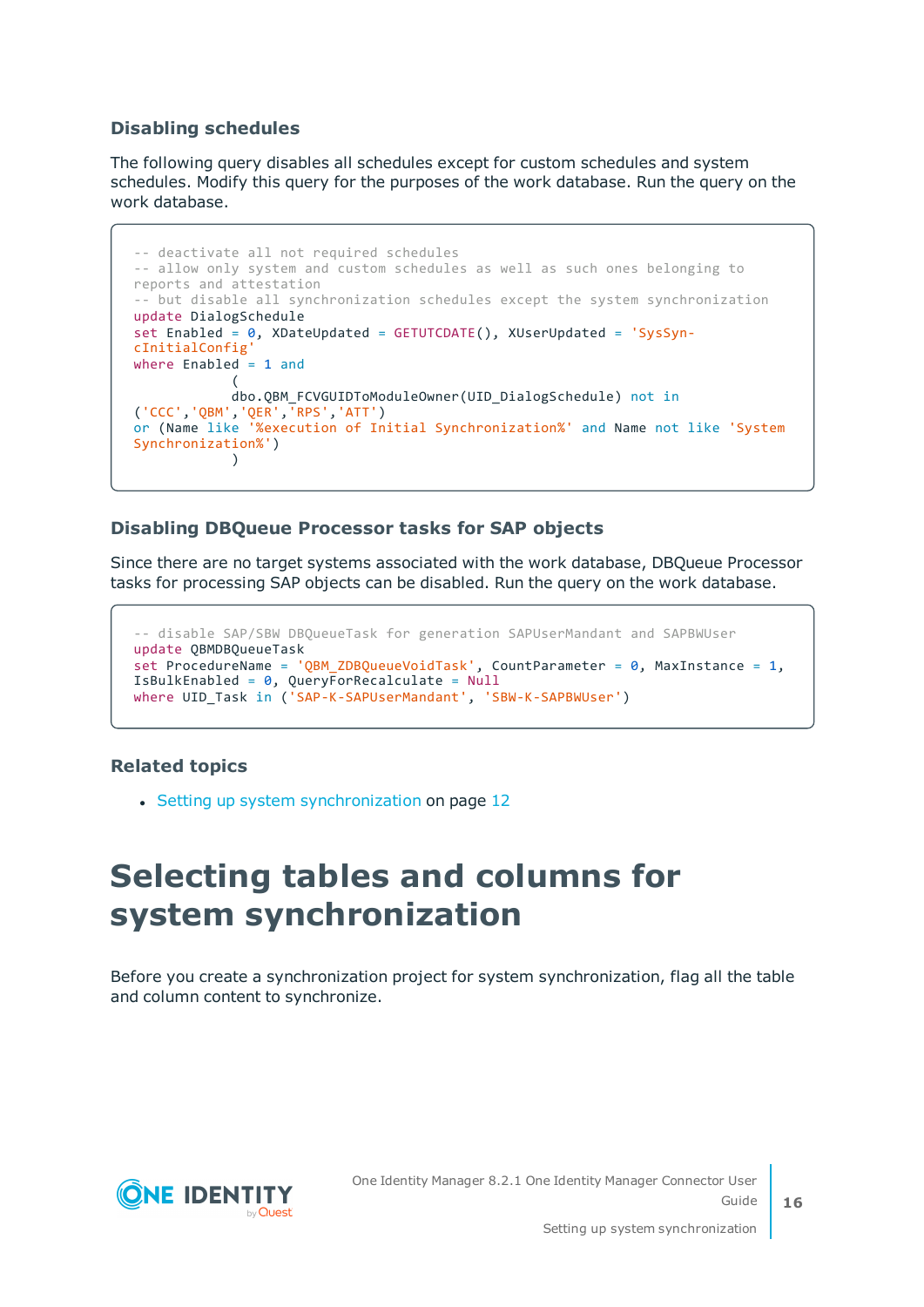#### **Disabling schedules**

The following query disables all schedules except for custom schedules and system schedules. Modify this query for the purposes of the work database. Run the query on the work database.

```
-- deactivate all not required schedules
-- allow only system and custom schedules as well as such ones belonging to
reports and attestation
-- but disable all synchronization schedules except the system synchronization
update DialogSchedule 
set Enabled = \theta, XDateUpdated = GETUTCDATE(), XUserUpdated = 'SysSyn-
cInitialConfig'
where Enabled = 1 and
            (
            dbo.QBM_FCVGUIDToModuleOwner(UID_DialogSchedule) not in
('CCC','QBM','QER','RPS','ATT') 
or (Name like '%execution of Initial Synchronization%' and Name not like 'System
Synchronization%')
            )
```
#### **Disabling DBQueue Processor tasks for SAP objects**

Since there are no target systems associated with the work database, DBQueue Processor tasks for processing SAP objects can be disabled. Run the query on the work database.

```
-- disable SAP/SBW DBQueueTask for generation SAPUserMandant and SAPBWUser
update QBMDBQueueTask 
set ProcedureName = 'QBM_ZDBQueueVoidTask', CountParameter = 0, MaxInstance = 1,
IsBulkEnabled = 0, QueryForRecalculate = Null
where UID Task in ('SAP-K-SAPUserMandant', 'SBW-K-SAPBWUser')
```
#### **Related topics**

<span id="page-15-0"></span>• Setting up system [synchronization](#page-11-0) on page 12

### **Selecting tables and columns for system synchronization**

Before you create a synchronization project for system synchronization, flag all the table and column content to synchronize.

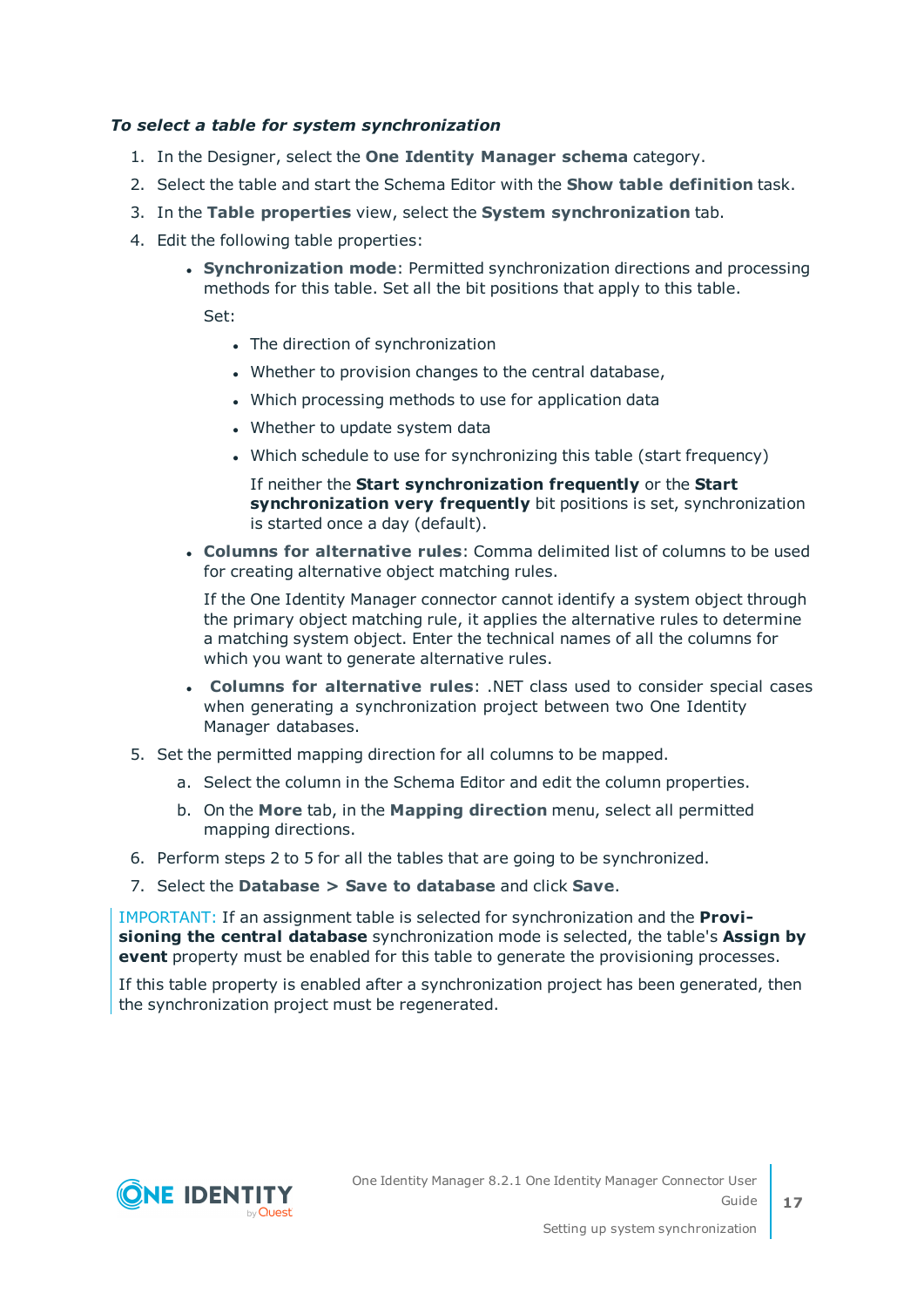#### *To select a table for system synchronization*

- 1. In the Designer, select the **One Identity Manager schema** category.
- 2. Select the table and start the Schema Editor with the **Show table definition** task.
- 3. In the **Table properties** view, select the **System synchronization** tab.
- 4. Edit the following table properties:
	- <sup>l</sup> **Synchronization mode**: Permitted synchronization directions and processing methods for this table. Set all the bit positions that apply to this table.

Set:

- The direction of synchronization
- Whether to provision changes to the central database,
- Which processing methods to use for application data
- Whether to update system data
- . Which schedule to use for synchronizing this table (start frequency)

If neither the **Start synchronization frequently** or the **Start synchronization very frequently** bit positions is set, synchronization is started once a day (default).

<sup>l</sup> **Columns for alternative rules**: Comma delimited list of columns to be used for creating alternative object matching rules.

If the One Identity Manager connector cannot identify a system object through the primary object matching rule, it applies the alternative rules to determine a matching system object. Enter the technical names of all the columns for which you want to generate alternative rules.

- <sup>l</sup> **Columns for alternative rules**: .NET class used to consider special cases when generating a synchronization project between two One Identity Manager databases.
- 5. Set the permitted mapping direction for all columns to be mapped.
	- a. Select the column in the Schema Editor and edit the column properties.
	- b. On the **More** tab, in the **Mapping direction** menu, select all permitted mapping directions.
- 6. Perform steps 2 to 5 for all the tables that are going to be synchronized.
- 7. Select the **Database > Save to database** and click **Save**.

IMPORTANT: If an assignment table is selected for synchronization and the **Provisioning the central database** synchronization mode is selected, the table's **Assign by event** property must be enabled for this table to generate the provisioning processes.

If this table property is enabled after a synchronization project has been generated, then the synchronization project must be regenerated.

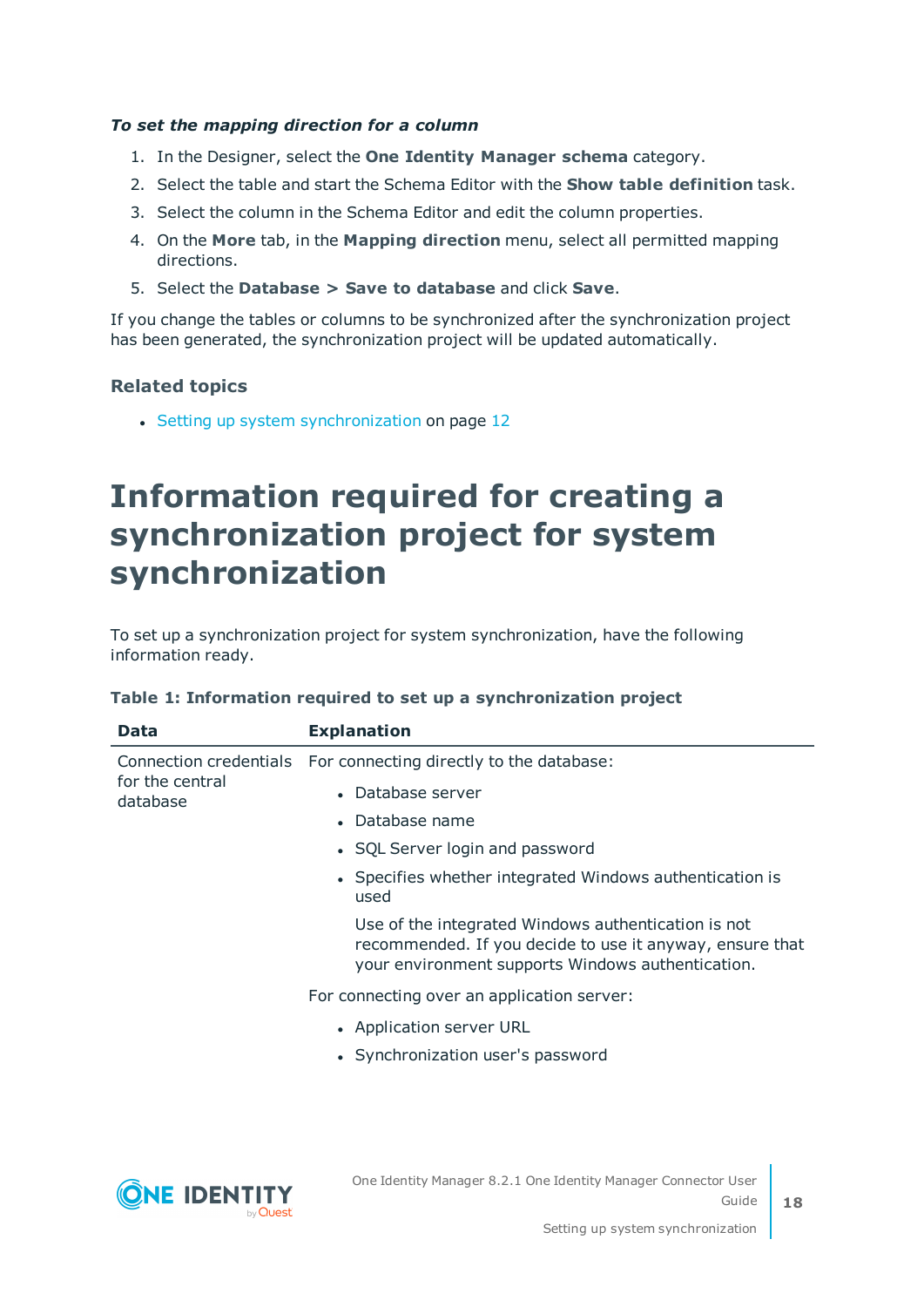#### *To set the mapping direction for a column*

- 1. In the Designer, select the **One Identity Manager schema** category.
- 2. Select the table and start the Schema Editor with the **Show table definition** task.
- 3. Select the column in the Schema Editor and edit the column properties.
- 4. On the **More** tab, in the **Mapping direction** menu, select all permitted mapping directions.
- 5. Select the **Database > Save to database** and click **Save**.

If you change the tables or columns to be synchronized after the synchronization project has been generated, the synchronization project will be updated automatically.

#### **Related topics**

• Setting up system [synchronization](#page-11-0) on page 12

### <span id="page-17-0"></span>**Information required for creating a synchronization project for system synchronization**

To set up a synchronization project for system synchronization, have the following information ready.

| Data                                                  | <b>Explanation</b>                                                                                                                                                   |
|-------------------------------------------------------|----------------------------------------------------------------------------------------------------------------------------------------------------------------------|
| Connection credentials<br>for the central<br>database | For connecting directly to the database:                                                                                                                             |
|                                                       | • Database server                                                                                                                                                    |
|                                                       | • Database name                                                                                                                                                      |
|                                                       | • SQL Server login and password                                                                                                                                      |
|                                                       | • Specifies whether integrated Windows authentication is<br>used                                                                                                     |
|                                                       | Use of the integrated Windows authentication is not<br>recommended. If you decide to use it anyway, ensure that<br>your environment supports Windows authentication. |
|                                                       | For connecting over an application server:                                                                                                                           |
|                                                       | • Application server URL                                                                                                                                             |
|                                                       | • Synchronization user's password                                                                                                                                    |
|                                                       |                                                                                                                                                                      |
|                                                       |                                                                                                                                                                      |

#### **Table 1: Information required to set up a synchronization project**

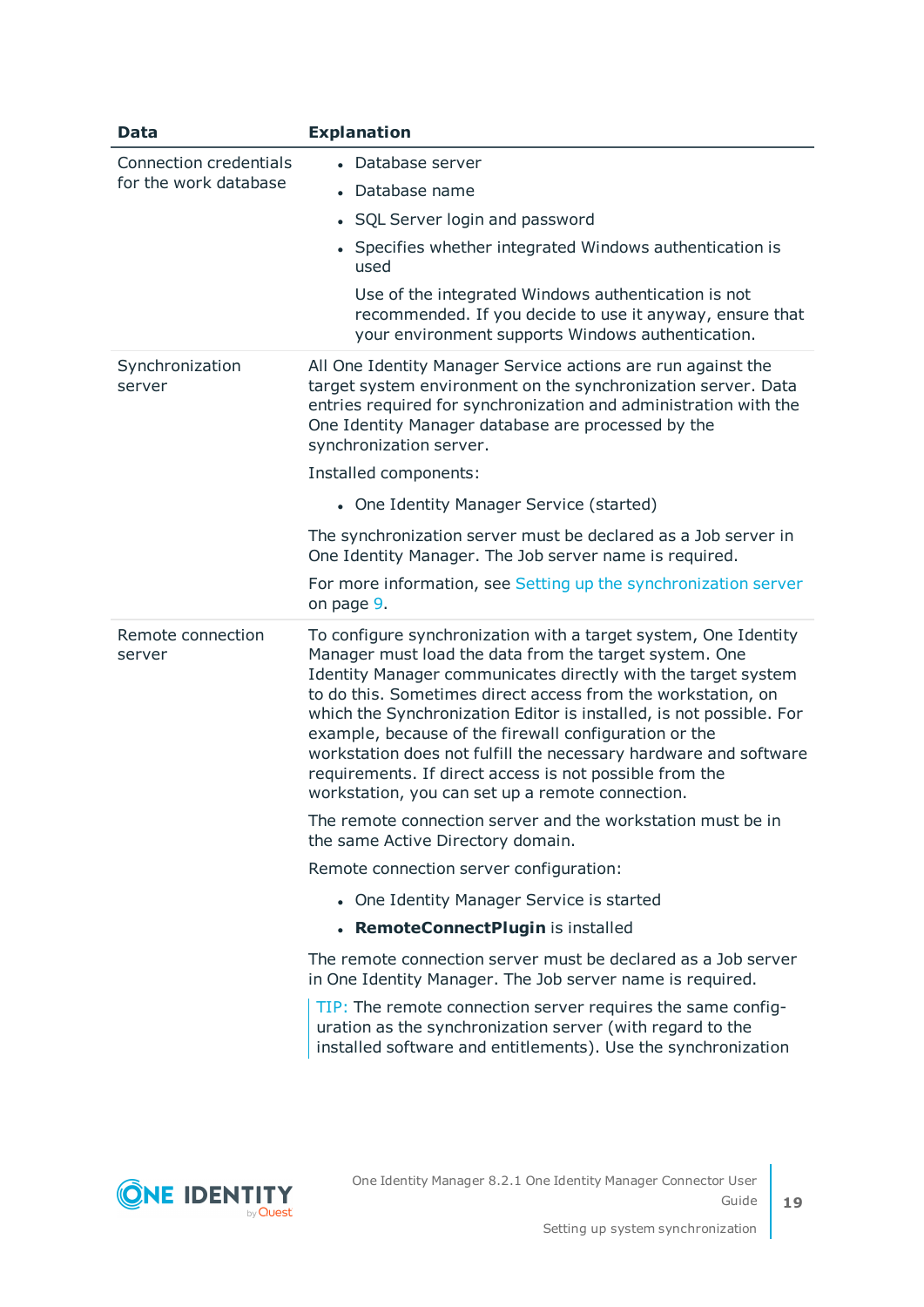| Data                                                   | <b>Explanation</b>                                                                                                                                                                                                                                                                                                                                                                                                                                                                                                                                                            |
|--------------------------------------------------------|-------------------------------------------------------------------------------------------------------------------------------------------------------------------------------------------------------------------------------------------------------------------------------------------------------------------------------------------------------------------------------------------------------------------------------------------------------------------------------------------------------------------------------------------------------------------------------|
| <b>Connection credentials</b><br>for the work database | • Database server                                                                                                                                                                                                                                                                                                                                                                                                                                                                                                                                                             |
|                                                        | • Database name                                                                                                                                                                                                                                                                                                                                                                                                                                                                                                                                                               |
|                                                        | • SQL Server login and password                                                                                                                                                                                                                                                                                                                                                                                                                                                                                                                                               |
|                                                        | • Specifies whether integrated Windows authentication is<br>used                                                                                                                                                                                                                                                                                                                                                                                                                                                                                                              |
|                                                        | Use of the integrated Windows authentication is not<br>recommended. If you decide to use it anyway, ensure that<br>your environment supports Windows authentication.                                                                                                                                                                                                                                                                                                                                                                                                          |
| Synchronization<br>server                              | All One Identity Manager Service actions are run against the<br>target system environment on the synchronization server. Data<br>entries required for synchronization and administration with the<br>One Identity Manager database are processed by the<br>synchronization server.                                                                                                                                                                                                                                                                                            |
|                                                        | Installed components:                                                                                                                                                                                                                                                                                                                                                                                                                                                                                                                                                         |
|                                                        | • One Identity Manager Service (started)                                                                                                                                                                                                                                                                                                                                                                                                                                                                                                                                      |
|                                                        | The synchronization server must be declared as a Job server in<br>One Identity Manager. The Job server name is required.                                                                                                                                                                                                                                                                                                                                                                                                                                                      |
|                                                        | For more information, see Setting up the synchronization server<br>on page 9.                                                                                                                                                                                                                                                                                                                                                                                                                                                                                                 |
| Remote connection<br>server                            | To configure synchronization with a target system, One Identity<br>Manager must load the data from the target system. One<br>Identity Manager communicates directly with the target system<br>to do this. Sometimes direct access from the workstation, on<br>which the Synchronization Editor is installed, is not possible. For<br>example, because of the firewall configuration or the<br>workstation does not fulfill the necessary hardware and software<br>requirements. If direct access is not possible from the<br>workstation, you can set up a remote connection. |
|                                                        | The remote connection server and the workstation must be in<br>the same Active Directory domain.                                                                                                                                                                                                                                                                                                                                                                                                                                                                              |
|                                                        | Remote connection server configuration:                                                                                                                                                                                                                                                                                                                                                                                                                                                                                                                                       |
|                                                        | • One Identity Manager Service is started                                                                                                                                                                                                                                                                                                                                                                                                                                                                                                                                     |
|                                                        | • RemoteConnectPlugin is installed                                                                                                                                                                                                                                                                                                                                                                                                                                                                                                                                            |
|                                                        | The remote connection server must be declared as a Job server<br>in One Identity Manager. The Job server name is required.                                                                                                                                                                                                                                                                                                                                                                                                                                                    |
|                                                        | TIP: The remote connection server requires the same config-<br>uration as the synchronization server (with regard to the<br>installed software and entitlements). Use the synchronization                                                                                                                                                                                                                                                                                                                                                                                     |

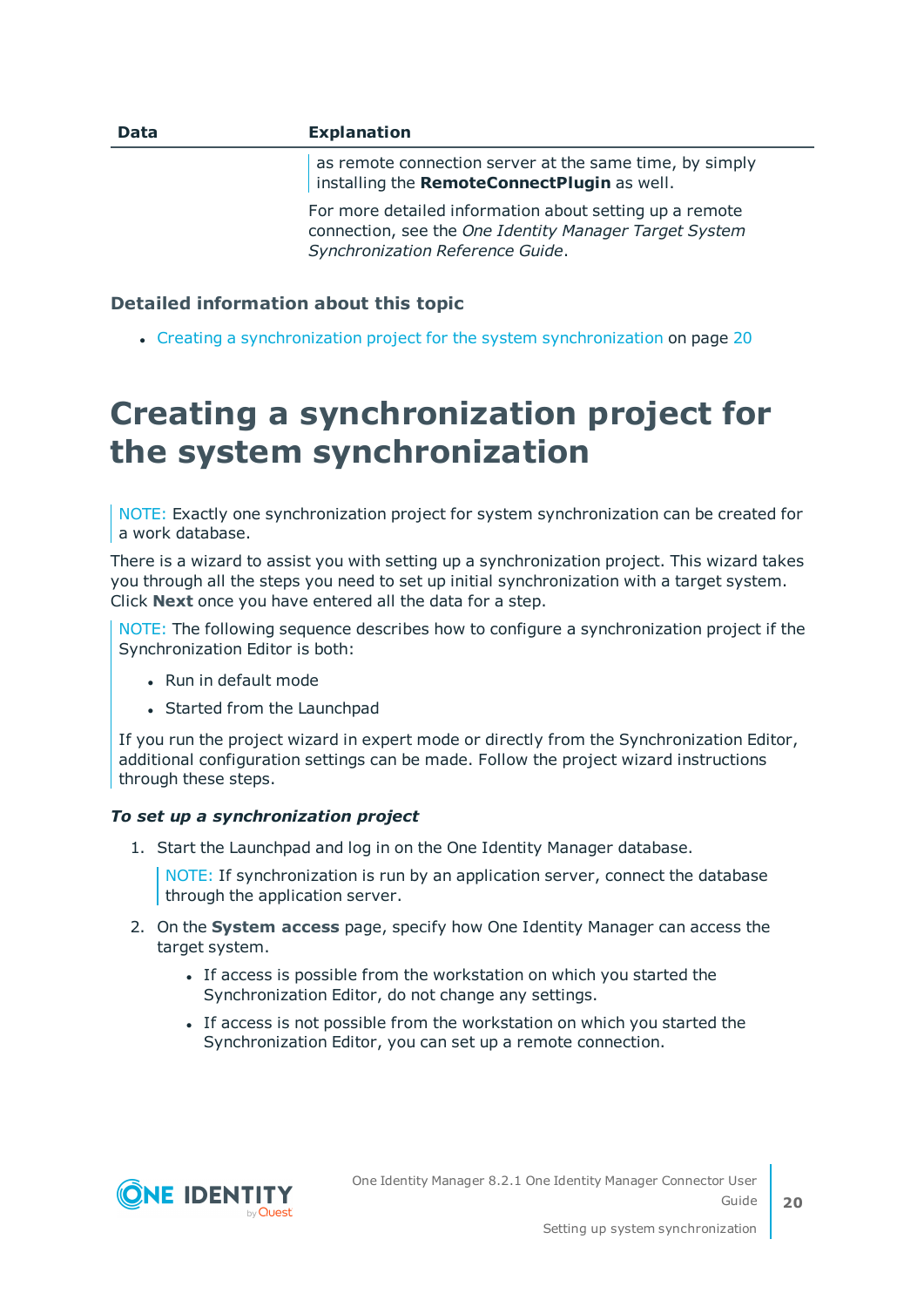| <b>Data</b> | <b>Explanation</b>                                                                                                                                    |
|-------------|-------------------------------------------------------------------------------------------------------------------------------------------------------|
|             | as remote connection server at the same time, by simply<br>installing the RemoteConnectPlugin as well.                                                |
|             | For more detailed information about setting up a remote<br>connection, see the One Identity Manager Target System<br>Synchronization Reference Guide. |

#### **Detailed information about this topic**

• Creating a [synchronization](#page-19-0) project for the system synchronization on page 20

### <span id="page-19-0"></span>**Creating a synchronization project for the system synchronization**

NOTE: Exactly one synchronization project for system synchronization can be created for a work database.

There is a wizard to assist you with setting up a synchronization project. This wizard takes you through all the steps you need to set up initial synchronization with a target system. Click **Next** once you have entered all the data for a step.

NOTE: The following sequence describes how to configure a synchronization project if the Synchronization Editor is both:

- Run in default mode
- Started from the Launchpad

If you run the project wizard in expert mode or directly from the Synchronization Editor, additional configuration settings can be made. Follow the project wizard instructions through these steps.

#### *To set up a synchronization project*

1. Start the Launchpad and log in on the One Identity Manager database.

NOTE: If synchronization is run by an application server, connect the database through the application server.

- 2. On the **System access** page, specify how One Identity Manager can access the target system.
	- If access is possible from the workstation on which you started the Synchronization Editor, do not change any settings.
	- If access is not possible from the workstation on which you started the Synchronization Editor, you can set up a remote connection.

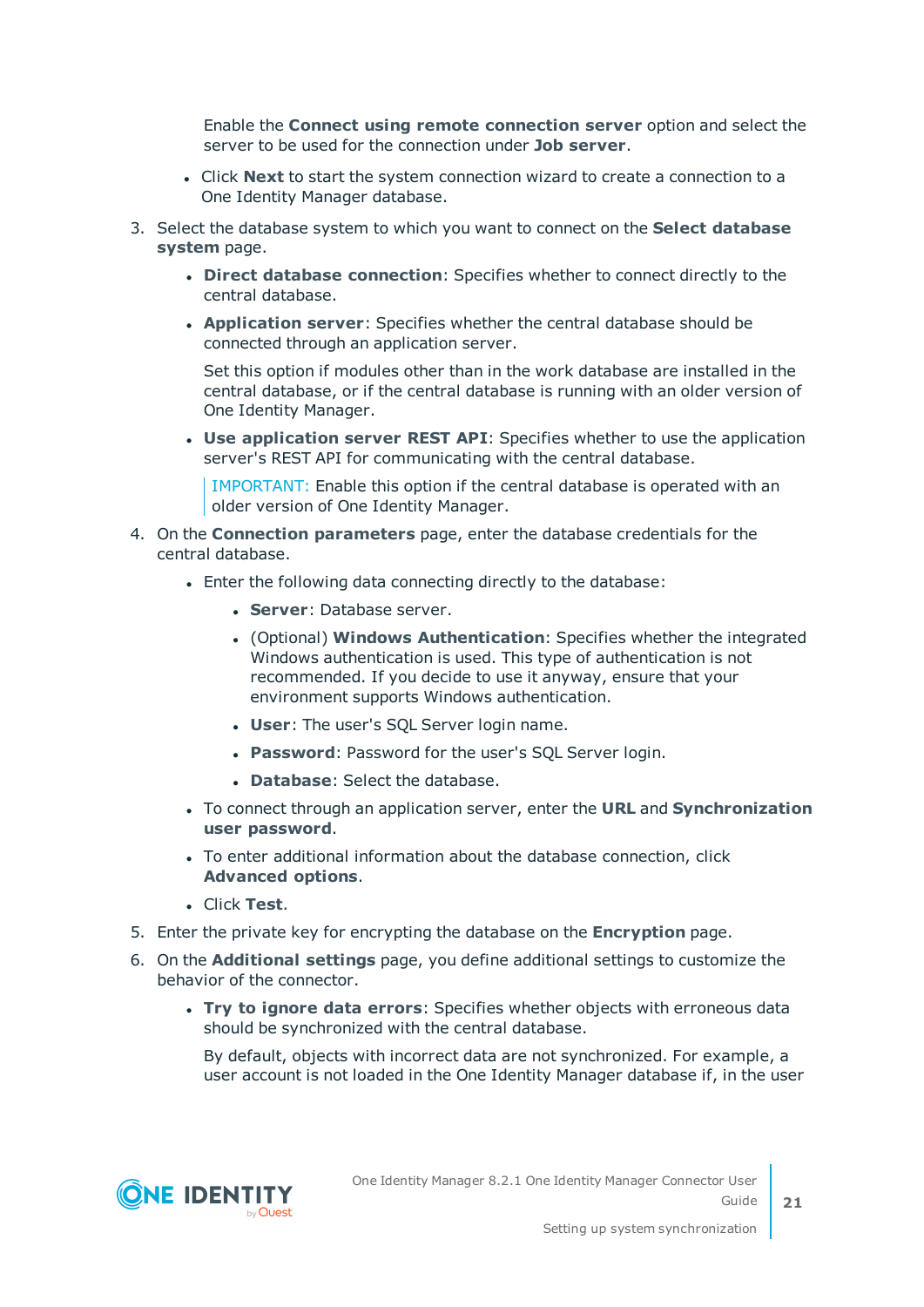Enable the **Connect using remote connection server** option and select the server to be used for the connection under **Job server**.

- **.** Click **Next** to start the system connection wizard to create a connection to a One Identity Manager database.
- 3. Select the database system to which you want to connect on the **Select database system** page.
	- **.** Direct database connection: Specifies whether to connect directly to the central database.
	- **Application server:** Specifies whether the central database should be connected through an application server.

Set this option if modules other than in the work database are installed in the central database, or if the central database is running with an older version of One Identity Manager.

<sup>l</sup> **Use application server REST API**: Specifies whether to use the application server's REST API for communicating with the central database.

IMPORTANT: Enable this option if the central database is operated with an older version of One Identity Manager.

- 4. On the **Connection parameters** page, enter the database credentials for the central database.
	- Enter the following data connecting directly to the database:
		- **. Server: Database server.**
		- <sup>l</sup> (Optional) **Windows Authentication**: Specifies whether the integrated Windows authentication is used. This type of authentication is not recommended. If you decide to use it anyway, ensure that your environment supports Windows authentication.
		- **.** User: The user's SQL Server login name.
		- **Password: Password for the user's SQL Server login.**
		- **. Database:** Select the database.
	- <sup>l</sup> To connect through an application server, enter the **URL** and **Synchronization user password**.
	- To enter additional information about the database connection, click **Advanced options**.
	- <sup>l</sup> Click **Test**.
- 5. Enter the private key for encrypting the database on the **Encryption** page.
- 6. On the **Additional settings** page, you define additional settings to customize the behavior of the connector.
	- <sup>l</sup> **Try to ignore data errors**: Specifies whether objects with erroneous data should be synchronized with the central database.

By default, objects with incorrect data are not synchronized. For example, a user account is not loaded in the One Identity Manager database if, in the user

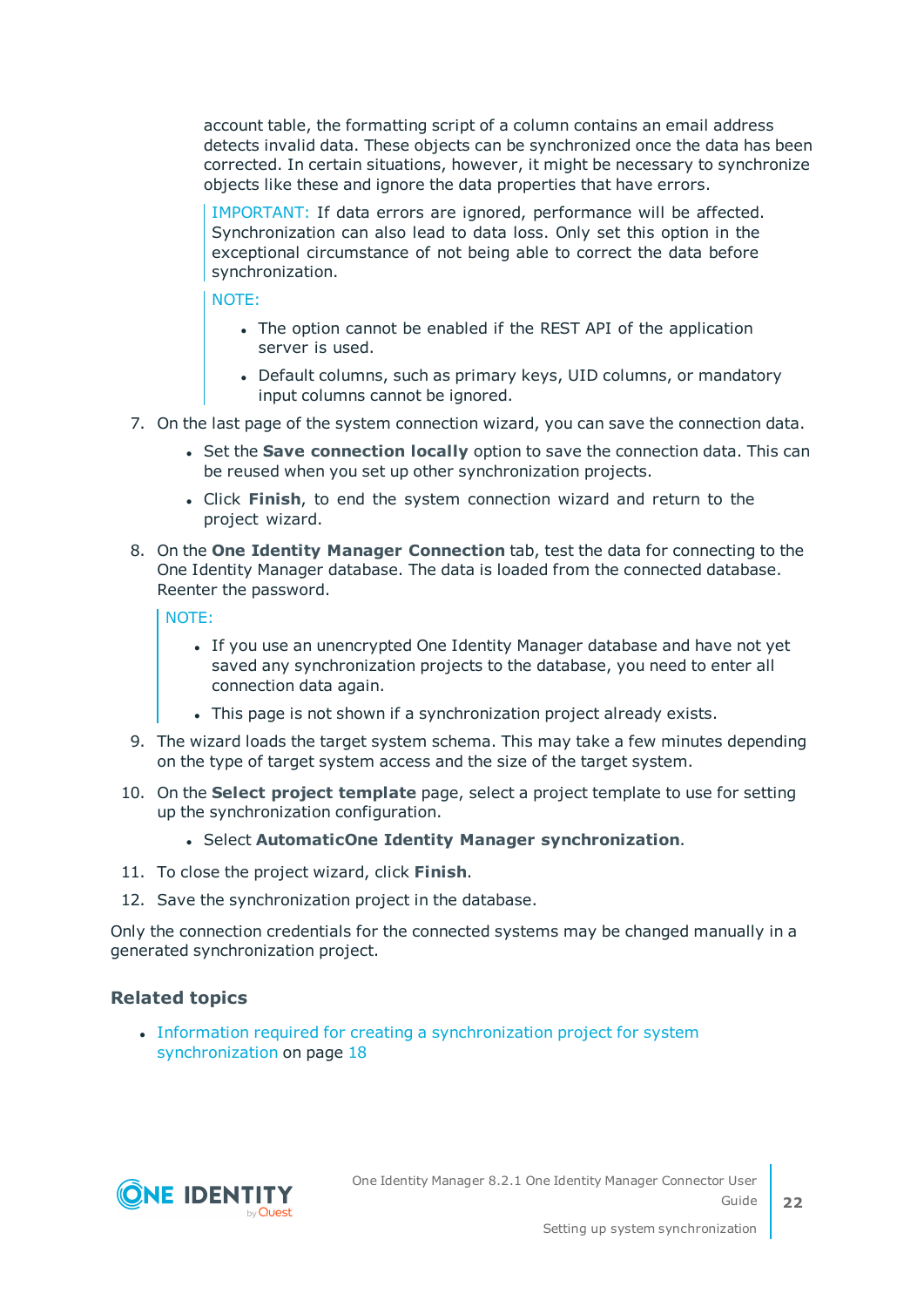account table, the formatting script of a column contains an email address detects invalid data. These objects can be synchronized once the data has been corrected. In certain situations, however, it might be necessary to synchronize objects like these and ignore the data properties that have errors.

IMPORTANT: If data errors are ignored, performance will be affected. Synchronization can also lead to data loss. Only set this option in the exceptional circumstance of not being able to correct the data before synchronization.

NOTE:

- The option cannot be enabled if the REST API of the application server is used.
- Default columns, such as primary keys, UID columns, or mandatory input columns cannot be ignored.
- 7. On the last page of the system connection wizard, you can save the connection data.
	- **.** Set the **Save connection locally** option to save the connection data. This can be reused when you set up other synchronization projects.
	- <sup>l</sup> Click **Finish**, to end the system connection wizard and return to the project wizard.
- 8. On the **One Identity Manager Connection** tab, test the data for connecting to the One Identity Manager database. The data is loaded from the connected database. Reenter the password.

NOTE:

- If you use an unencrypted One Identity Manager database and have not yet saved any synchronization projects to the database, you need to enter all connection data again.
- This page is not shown if a synchronization project already exists.
- 9. The wizard loads the target system schema. This may take a few minutes depending on the type of target system access and the size of the target system.
- 10. On the **Select project template** page, select a project template to use for setting up the synchronization configuration.
	- <sup>l</sup> Select **AutomaticOne Identity Manager synchronization**.
- 11. To close the project wizard, click **Finish**.
- 12. Save the synchronization project in the database.

Only the connection credentials for the connected systems may be changed manually in a generated synchronization project.

#### **Related topics**

<sup>l</sup> Information required for creating a [synchronization](#page-17-0) project for system [synchronization](#page-17-0) on page 18

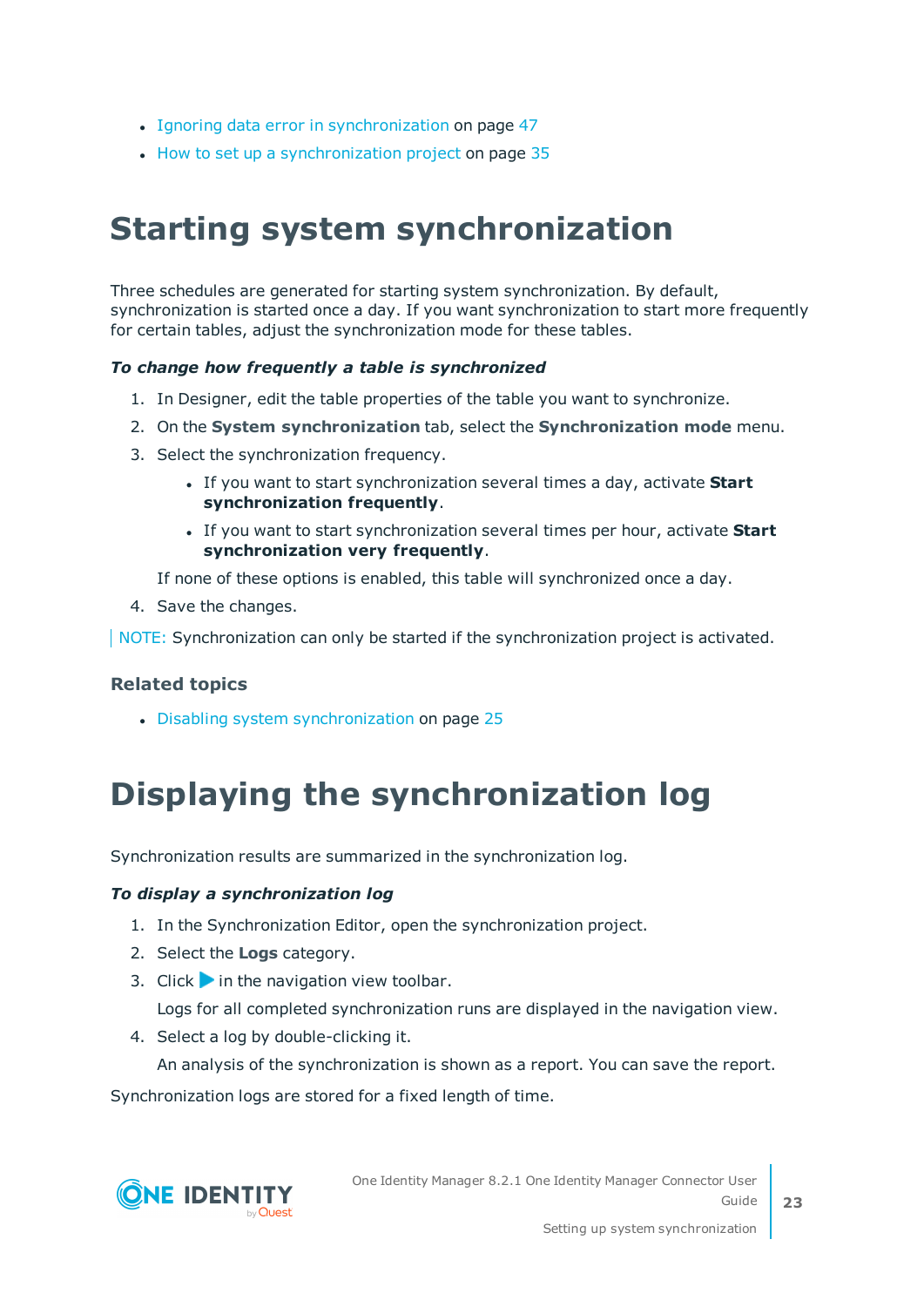- Ignoring data error in [synchronization](#page-46-1) on page 47
- $\bullet$  How to set up a [synchronization](#page-34-0) project on page 35

## <span id="page-22-0"></span>**Starting system synchronization**

Three schedules are generated for starting system synchronization. By default, synchronization is started once a day. If you want synchronization to start more frequently for certain tables, adjust the synchronization mode for these tables.

#### *To change how frequently a table is synchronized*

- 1. In Designer, edit the table properties of the table you want to synchronize.
- 2. On the **System synchronization** tab, select the **Synchronization mode** menu.
- 3. Select the synchronization frequency.
	- **.** If you want to start synchronization several times a day, activate Start **synchronization frequently**.
	- **.** If you want to start synchronization several times per hour, activate **Start synchronization very frequently**.

If none of these options is enabled, this table will synchronized once a day.

4. Save the changes.

NOTE: Synchronization can only be started if the synchronization project is activated.

#### **Related topics**

• Disabling system [synchronization](#page-24-0) on page 25

## <span id="page-22-1"></span>**Displaying the synchronization log**

Synchronization results are summarized in the synchronization log.

#### *To display a synchronization log*

- 1. In the Synchronization Editor, open the synchronization project.
- 2. Select the **Logs** category.
- 3. Click in the navigation view toolbar.

Logs for all completed synchronization runs are displayed in the navigation view.

4. Select a log by double-clicking it.

An analysis of the synchronization is shown as a report. You can save the report.

Synchronization logs are stored for a fixed length of time.

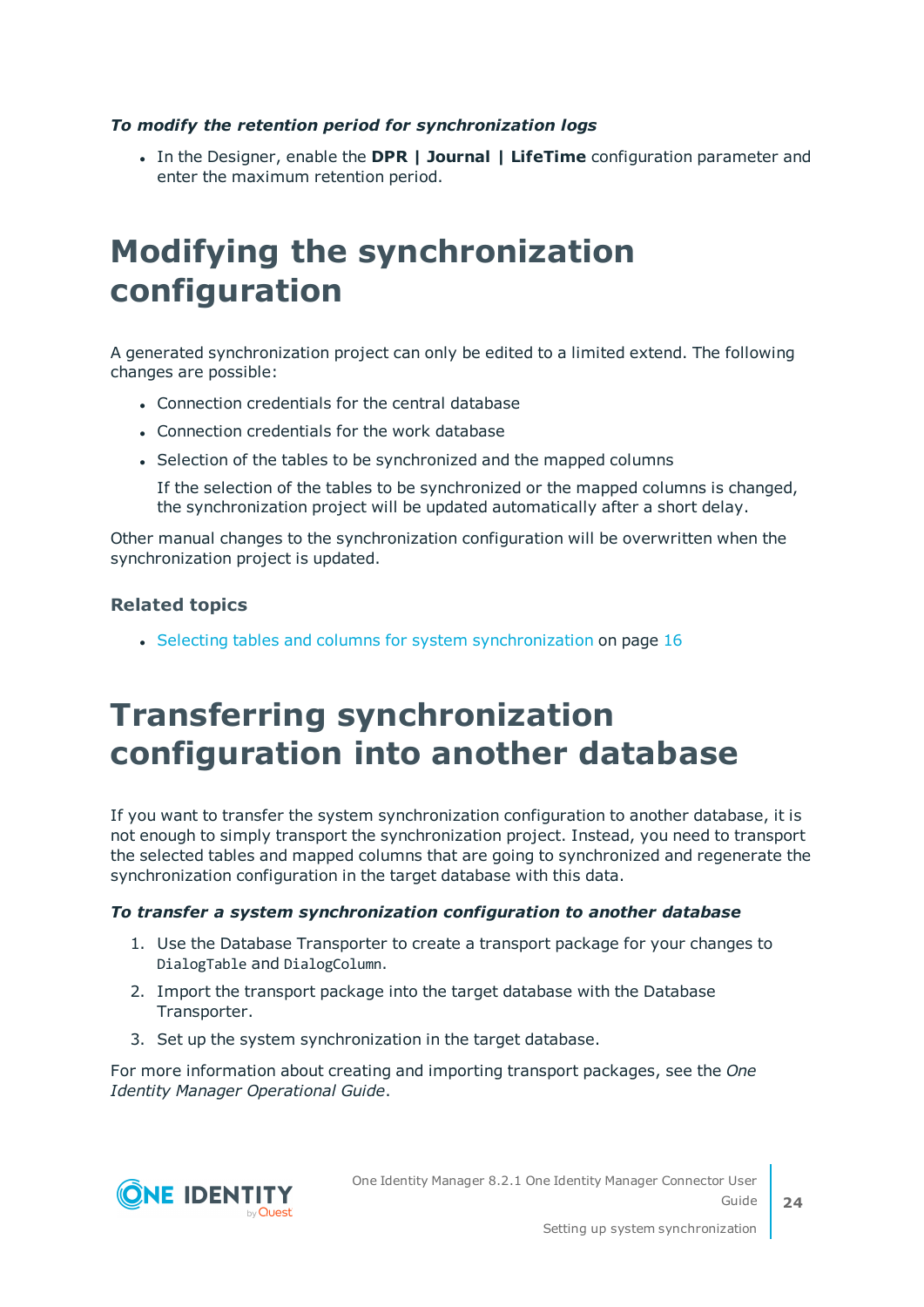#### *To modify the retention period for synchronization logs*

<sup>l</sup> In the Designer, enable the **DPR | Journal | LifeTime** configuration parameter and enter the maximum retention period.

### <span id="page-23-0"></span>**Modifying the synchronization configuration**

A generated synchronization project can only be edited to a limited extend. The following changes are possible:

- Connection credentials for the central database
- Connection credentials for the work database
- Selection of the tables to be synchronized and the mapped columns

If the selection of the tables to be synchronized or the mapped columns is changed, the synchronization project will be updated automatically after a short delay.

Other manual changes to the synchronization configuration will be overwritten when the synchronization project is updated.

#### **Related topics**

<span id="page-23-1"></span>• Selecting tables and columns for system [synchronization](#page-15-0) on page 16

### **Transferring synchronization configuration into another database**

If you want to transfer the system synchronization configuration to another database, it is not enough to simply transport the synchronization project. Instead, you need to transport the selected tables and mapped columns that are going to synchronized and regenerate the synchronization configuration in the target database with this data.

#### *To transfer a system synchronization configuration to another database*

- 1. Use the Database Transporter to create a transport package for your changes to DialogTable and DialogColumn.
- 2. Import the transport package into the target database with the Database Transporter.
- 3. Set up the system synchronization in the target database.

For more information about creating and importing transport packages, see the *One Identity Manager Operational Guide*.



One Identity Manager 8.2.1 One Identity Manager Connector User Guide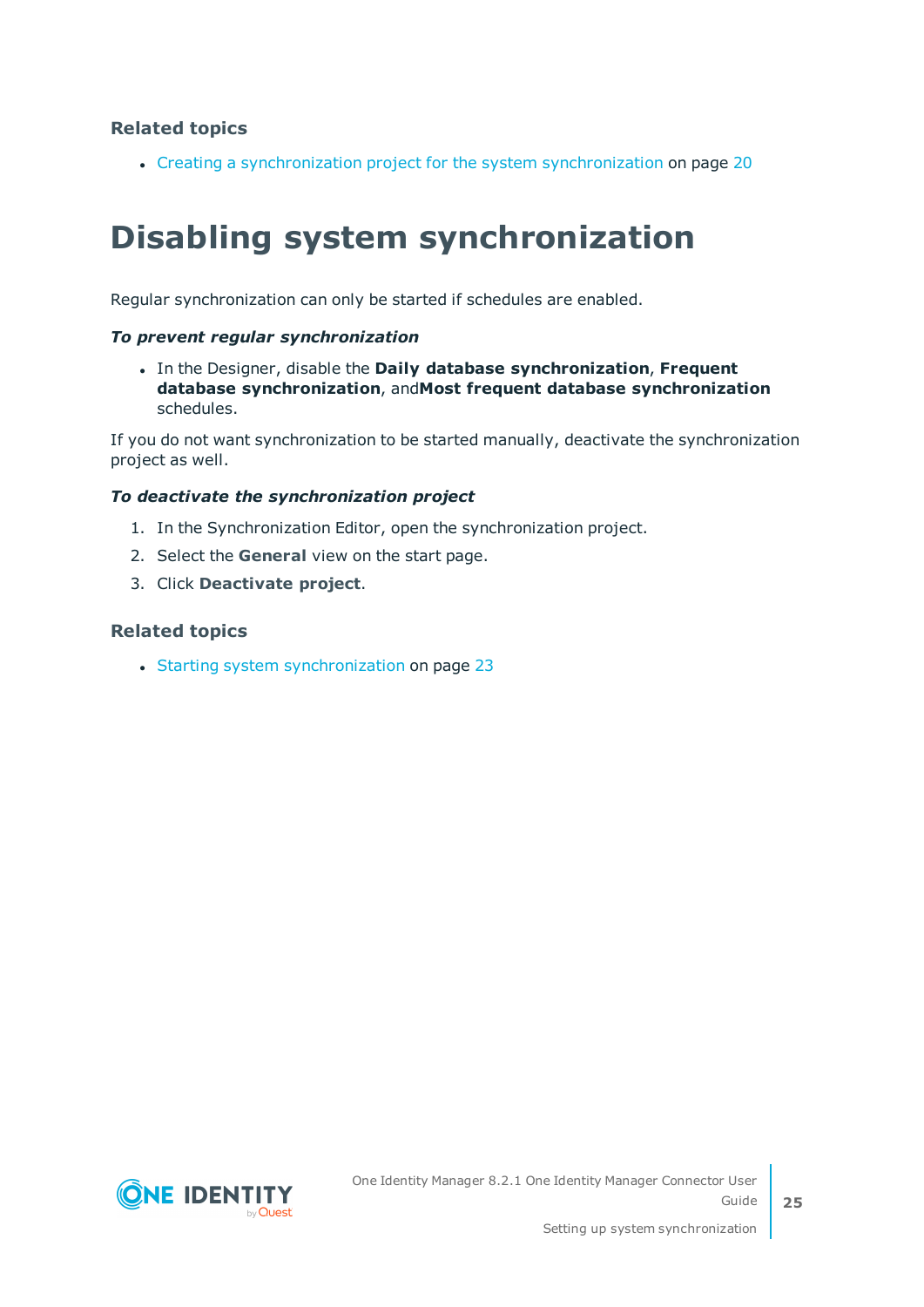#### **Related topics**

<span id="page-24-0"></span>• Creating a [synchronization](#page-19-0) project for the system synchronization on page 20

## **Disabling system synchronization**

Regular synchronization can only be started if schedules are enabled.

#### *To prevent regular synchronization*

<sup>l</sup> In the Designer, disable the **Daily database synchronization**, **Frequent database synchronization**, and**Most frequent database synchronization** schedules.

If you do not want synchronization to be started manually, deactivate the synchronization project as well.

#### *To deactivate the synchronization project*

- 1. In the Synchronization Editor, open the synchronization project.
- 2. Select the **General** view on the start page.
- 3. Click **Deactivate project**.

#### **Related topics**

• Starting system [synchronization](#page-22-0) on page 23

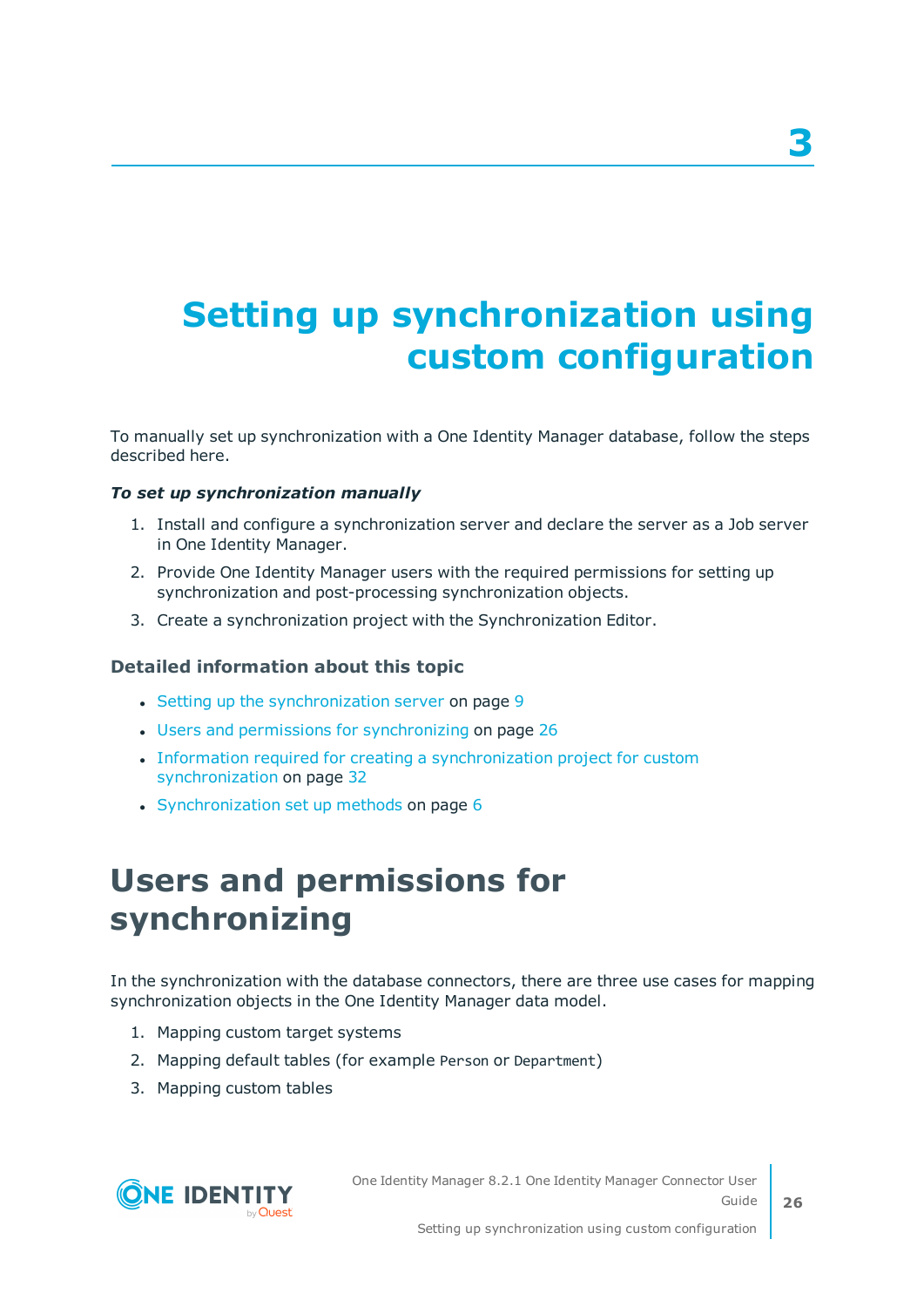# <span id="page-25-0"></span>**Setting up synchronization using custom configuration**

To manually set up synchronization with a One Identity Manager database, follow the steps described here.

#### *To set up synchronization manually*

- 1. Install and configure a synchronization server and declare the server as a Job server in One Identity Manager.
- 2. Provide One Identity Manager users with the required permissions for setting up synchronization and post-processing synchronization objects.
- 3. Create a synchronization project with the Synchronization Editor.

#### **Detailed information about this topic**

- $\cdot$  Setting up the [synchronization](#page-8-0) server on page 9
- Users and permissions for [synchronizing](#page-25-1) on page 26
- Information required for creating a [synchronization](#page-31-0) project for custom [synchronization](#page-31-0) on page 32
- <span id="page-25-1"></span>• [Synchronization](#page-5-1) set up methods on page 6

### **Users and permissions for synchronizing**

In the synchronization with the database connectors, there are three use cases for mapping synchronization objects in the One Identity Manager data model.

- 1. Mapping custom target systems
- 2. Mapping default tables (for example Person or Department)
- 3. Mapping custom tables



One Identity Manager 8.2.1 One Identity Manager Connector User Guide **3**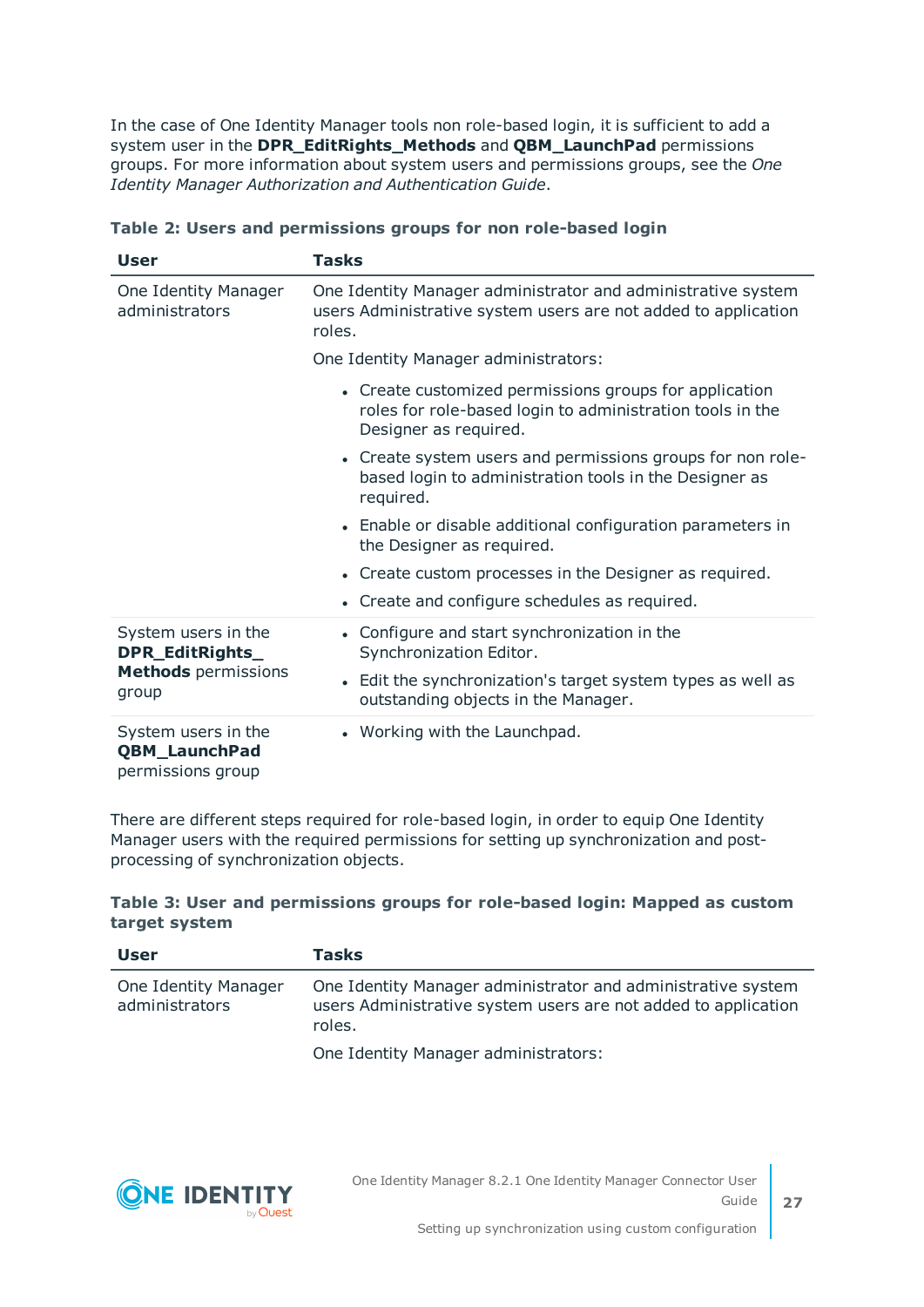In the case of One Identity Manager tools non role-based login, it is sufficient to add a system user in the **DPR\_EditRights\_Methods** and **QBM\_LaunchPad** permissions groups. For more information about system users and permissions groups, see the *One Identity Manager Authorization and Authentication Guide*.

| <b>User</b>                                                                   | Tasks                                                                                                                                                                         |
|-------------------------------------------------------------------------------|-------------------------------------------------------------------------------------------------------------------------------------------------------------------------------|
| One Identity Manager<br>administrators                                        | One Identity Manager administrator and administrative system<br>users Administrative system users are not added to application<br>roles.                                      |
|                                                                               | One Identity Manager administrators:                                                                                                                                          |
|                                                                               | • Create customized permissions groups for application<br>roles for role-based login to administration tools in the<br>Designer as required.                                  |
|                                                                               | • Create system users and permissions groups for non role-<br>based login to administration tools in the Designer as<br>required.                                             |
|                                                                               | • Enable or disable additional configuration parameters in<br>the Designer as required.                                                                                       |
|                                                                               | • Create custom processes in the Designer as required.                                                                                                                        |
|                                                                               | • Create and configure schedules as required.                                                                                                                                 |
| System users in the<br>DPR_EditRights_<br><b>Methods</b> permissions<br>group | • Configure and start synchronization in the<br>Synchronization Editor.<br>• Edit the synchronization's target system types as well as<br>outstanding objects in the Manager. |
| System users in the<br><b>QBM_LaunchPad</b><br>permissions group              | • Working with the Launchpad.                                                                                                                                                 |

#### **Table 2: Users and permissions groups for non role-based login**

There are different steps required for role-based login, in order to equip One Identity Manager users with the required permissions for setting up synchronization and postprocessing of synchronization objects.

#### **Table 3: User and permissions groups for role-based login: Mapped as custom target system**

| <b>User</b>                            | Tasks                                                                                                                                    |
|----------------------------------------|------------------------------------------------------------------------------------------------------------------------------------------|
| One Identity Manager<br>administrators | One Identity Manager administrator and administrative system<br>users Administrative system users are not added to application<br>roles. |
|                                        | One Identity Manager administrators:                                                                                                     |

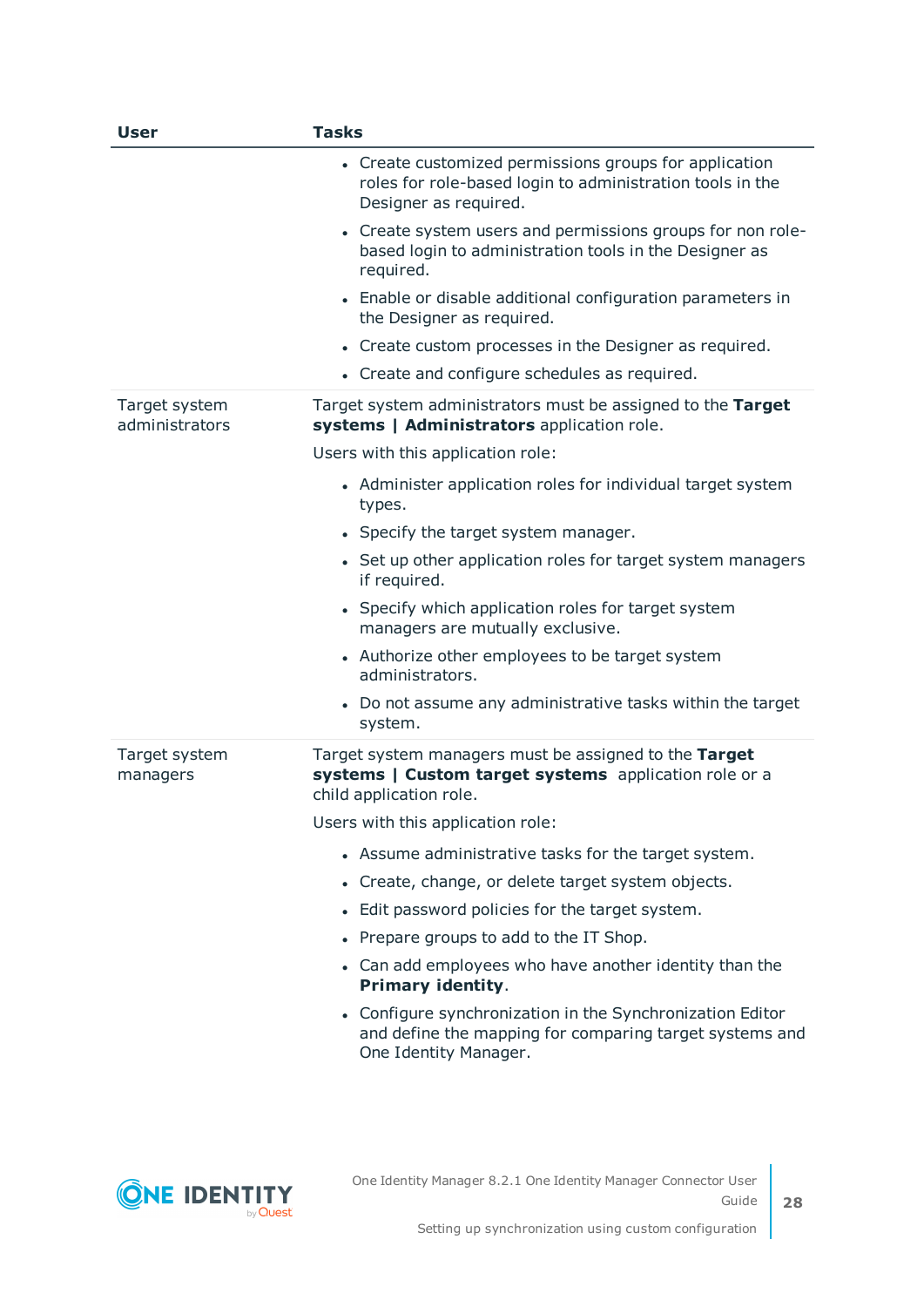| <b>User</b>                     | <b>Tasks</b>                                                                                                                                  |
|---------------------------------|-----------------------------------------------------------------------------------------------------------------------------------------------|
|                                 | • Create customized permissions groups for application<br>roles for role-based login to administration tools in the<br>Designer as required.  |
|                                 | • Create system users and permissions groups for non role-<br>based login to administration tools in the Designer as<br>required.             |
|                                 | • Enable or disable additional configuration parameters in<br>the Designer as required.                                                       |
|                                 | • Create custom processes in the Designer as required.                                                                                        |
|                                 | • Create and configure schedules as required.                                                                                                 |
| Target system<br>administrators | Target system administrators must be assigned to the Target<br>systems   Administrators application role.                                     |
|                                 | Users with this application role:                                                                                                             |
|                                 | • Administer application roles for individual target system<br>types.                                                                         |
|                                 | • Specify the target system manager.                                                                                                          |
|                                 | • Set up other application roles for target system managers<br>if required.                                                                   |
|                                 | • Specify which application roles for target system<br>managers are mutually exclusive.                                                       |
|                                 | • Authorize other employees to be target system<br>administrators.                                                                            |
|                                 | • Do not assume any administrative tasks within the target<br>system.                                                                         |
| Target system<br>managers       | Target system managers must be assigned to the Target<br>systems   Custom target systems application role or a<br>child application role.     |
|                                 | Users with this application role:                                                                                                             |
|                                 | • Assume administrative tasks for the target system.                                                                                          |
|                                 | Create, change, or delete target system objects.<br>٠                                                                                         |
|                                 | Edit password policies for the target system.                                                                                                 |
|                                 | Prepare groups to add to the IT Shop.                                                                                                         |
|                                 | Can add employees who have another identity than the<br>Primary identity.                                                                     |
|                                 | • Configure synchronization in the Synchronization Editor<br>and define the mapping for comparing target systems and<br>One Identity Manager. |
|                                 |                                                                                                                                               |

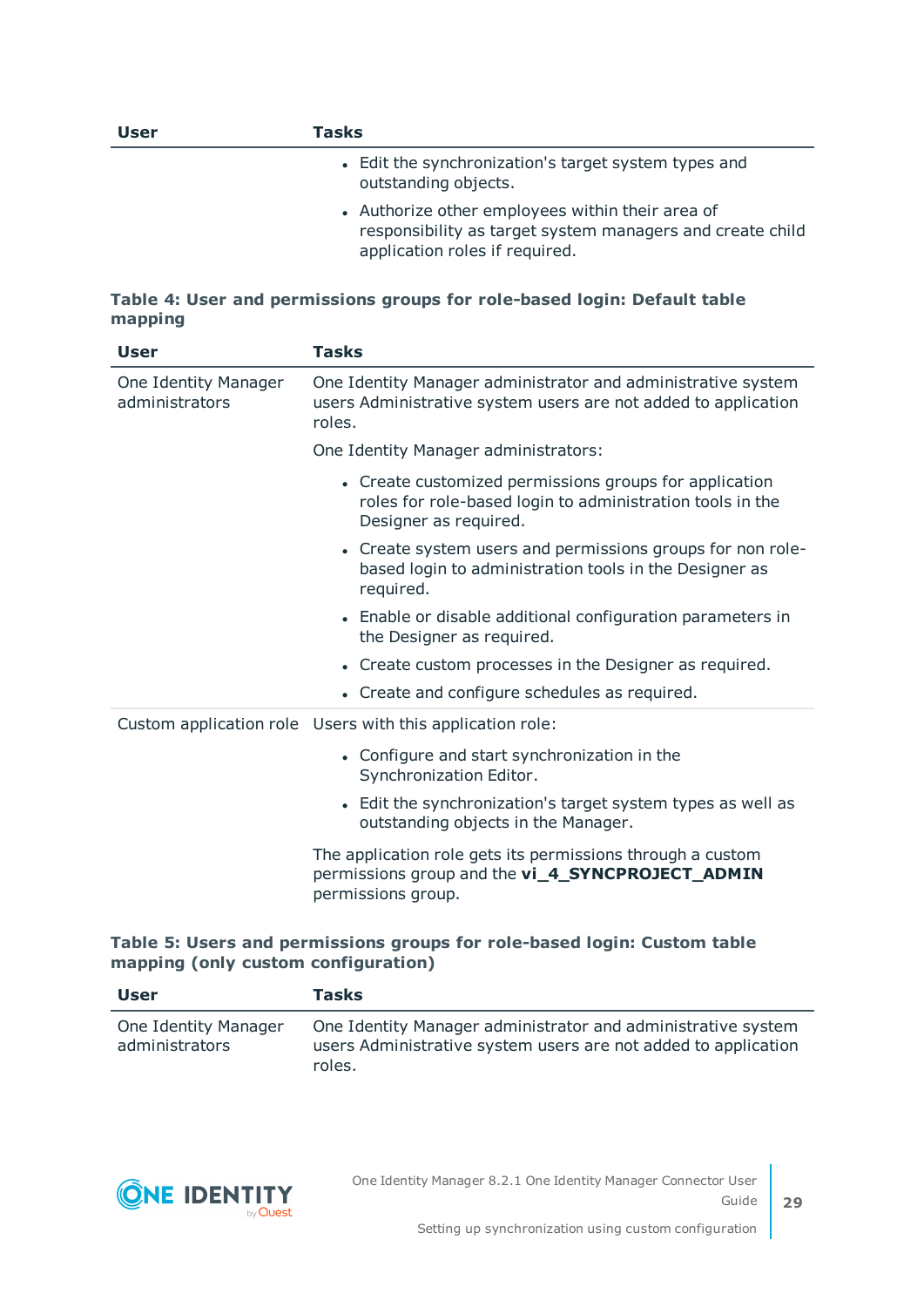| <b>User</b> | Tasks                                                                                                                                           |
|-------------|-------------------------------------------------------------------------------------------------------------------------------------------------|
|             | • Edit the synchronization's target system types and<br>outstanding objects.                                                                    |
|             | • Authorize other employees within their area of<br>responsibility as target system managers and create child<br>application roles if required. |

#### **Table 4: User and permissions groups for role-based login: Default table mapping**

| <b>User</b>                            | <b>Tasks</b>                                                                                                                                 |
|----------------------------------------|----------------------------------------------------------------------------------------------------------------------------------------------|
| One Identity Manager<br>administrators | One Identity Manager administrator and administrative system<br>users Administrative system users are not added to application<br>roles.     |
|                                        | One Identity Manager administrators:                                                                                                         |
|                                        | • Create customized permissions groups for application<br>roles for role-based login to administration tools in the<br>Designer as required. |
|                                        | • Create system users and permissions groups for non role-<br>based login to administration tools in the Designer as<br>required.            |
|                                        | • Enable or disable additional configuration parameters in<br>the Designer as required.                                                      |
|                                        | • Create custom processes in the Designer as required.                                                                                       |
|                                        | • Create and configure schedules as required.                                                                                                |
|                                        | Custom application role Users with this application role:                                                                                    |
|                                        | • Configure and start synchronization in the<br>Synchronization Editor.                                                                      |
|                                        | • Edit the synchronization's target system types as well as<br>outstanding objects in the Manager.                                           |
|                                        | The application role gets its permissions through a custom<br>permissions group and the vi_4_SYNCPROJECT_ADMIN<br>permissions group.         |

#### **Table 5: Users and permissions groups for role-based login: Custom table mapping (only custom configuration)**

| <b>User</b>                            | <b>Tasks</b>                                                                                                                             |
|----------------------------------------|------------------------------------------------------------------------------------------------------------------------------------------|
| One Identity Manager<br>administrators | One Identity Manager administrator and administrative system<br>users Administrative system users are not added to application<br>roles. |

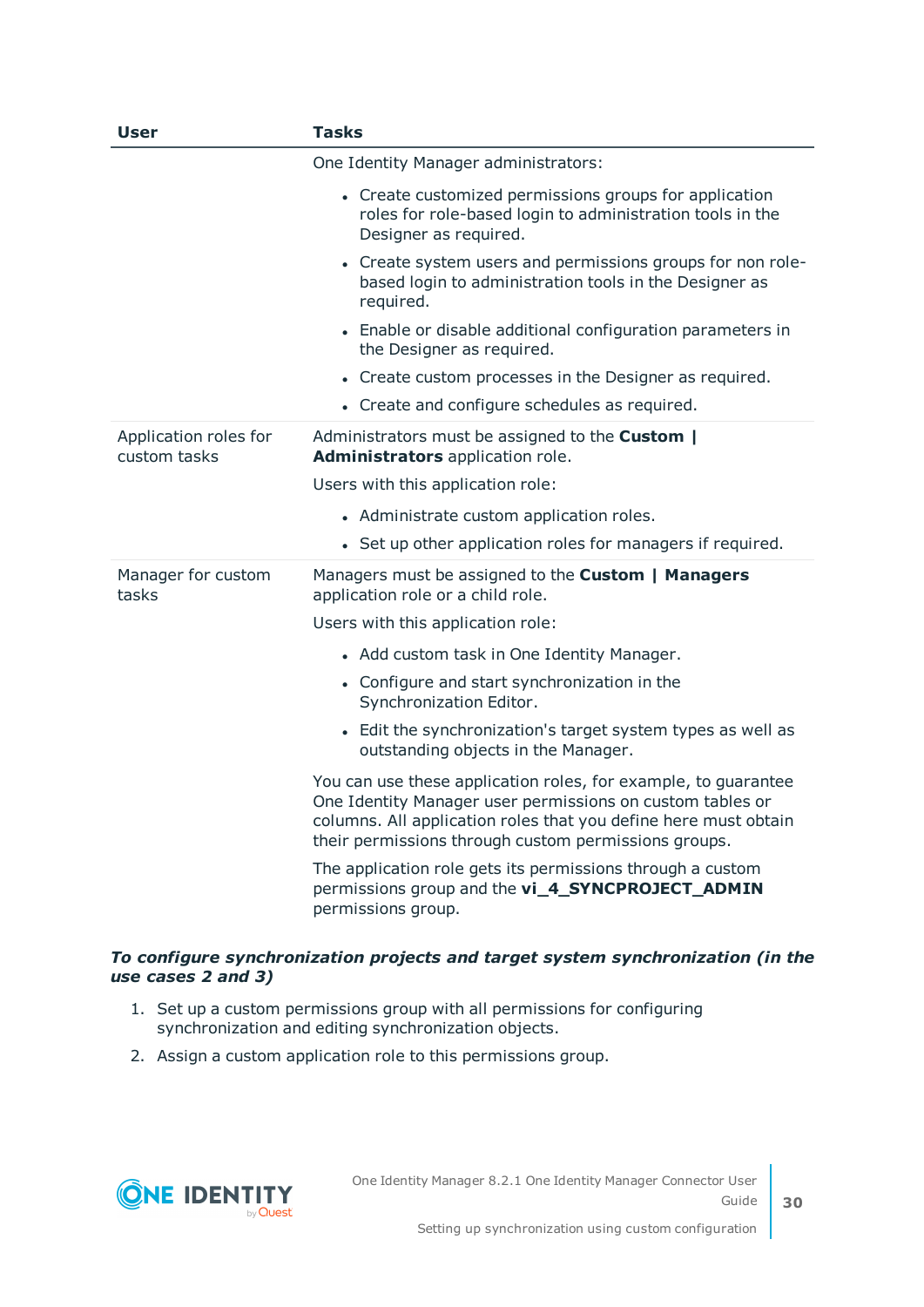| <b>User</b>                           | <b>Tasks</b>                                                                                                                                                                                                                                           |
|---------------------------------------|--------------------------------------------------------------------------------------------------------------------------------------------------------------------------------------------------------------------------------------------------------|
|                                       | One Identity Manager administrators:                                                                                                                                                                                                                   |
|                                       | • Create customized permissions groups for application<br>roles for role-based login to administration tools in the<br>Designer as required.                                                                                                           |
|                                       | • Create system users and permissions groups for non role-<br>based login to administration tools in the Designer as<br>required.                                                                                                                      |
|                                       | • Enable or disable additional configuration parameters in<br>the Designer as required.                                                                                                                                                                |
|                                       | • Create custom processes in the Designer as required.                                                                                                                                                                                                 |
|                                       | • Create and configure schedules as required.                                                                                                                                                                                                          |
| Application roles for<br>custom tasks | Administrators must be assigned to the Custom  <br>Administrators application role.                                                                                                                                                                    |
|                                       | Users with this application role:                                                                                                                                                                                                                      |
|                                       | • Administrate custom application roles.                                                                                                                                                                                                               |
|                                       | • Set up other application roles for managers if required.                                                                                                                                                                                             |
| Manager for custom<br>tasks           | Managers must be assigned to the Custom   Managers<br>application role or a child role.                                                                                                                                                                |
|                                       | Users with this application role:                                                                                                                                                                                                                      |
|                                       | • Add custom task in One Identity Manager.                                                                                                                                                                                                             |
|                                       | • Configure and start synchronization in the<br>Synchronization Editor.                                                                                                                                                                                |
|                                       | • Edit the synchronization's target system types as well as<br>outstanding objects in the Manager.                                                                                                                                                     |
|                                       | You can use these application roles, for example, to guarantee<br>One Identity Manager user permissions on custom tables or<br>columns. All application roles that you define here must obtain<br>their permissions through custom permissions groups. |
|                                       | The application role gets its permissions through a custom<br>permissions group and the vi_4_SYNCPROJECT_ADMIN<br>permissions group.                                                                                                                   |

#### *To configure synchronization projects and target system synchronization (in the use cases 2 and 3)*

- 1. Set up a custom permissions group with all permissions for configuring synchronization and editing synchronization objects.
- 2. Assign a custom application role to this permissions group.

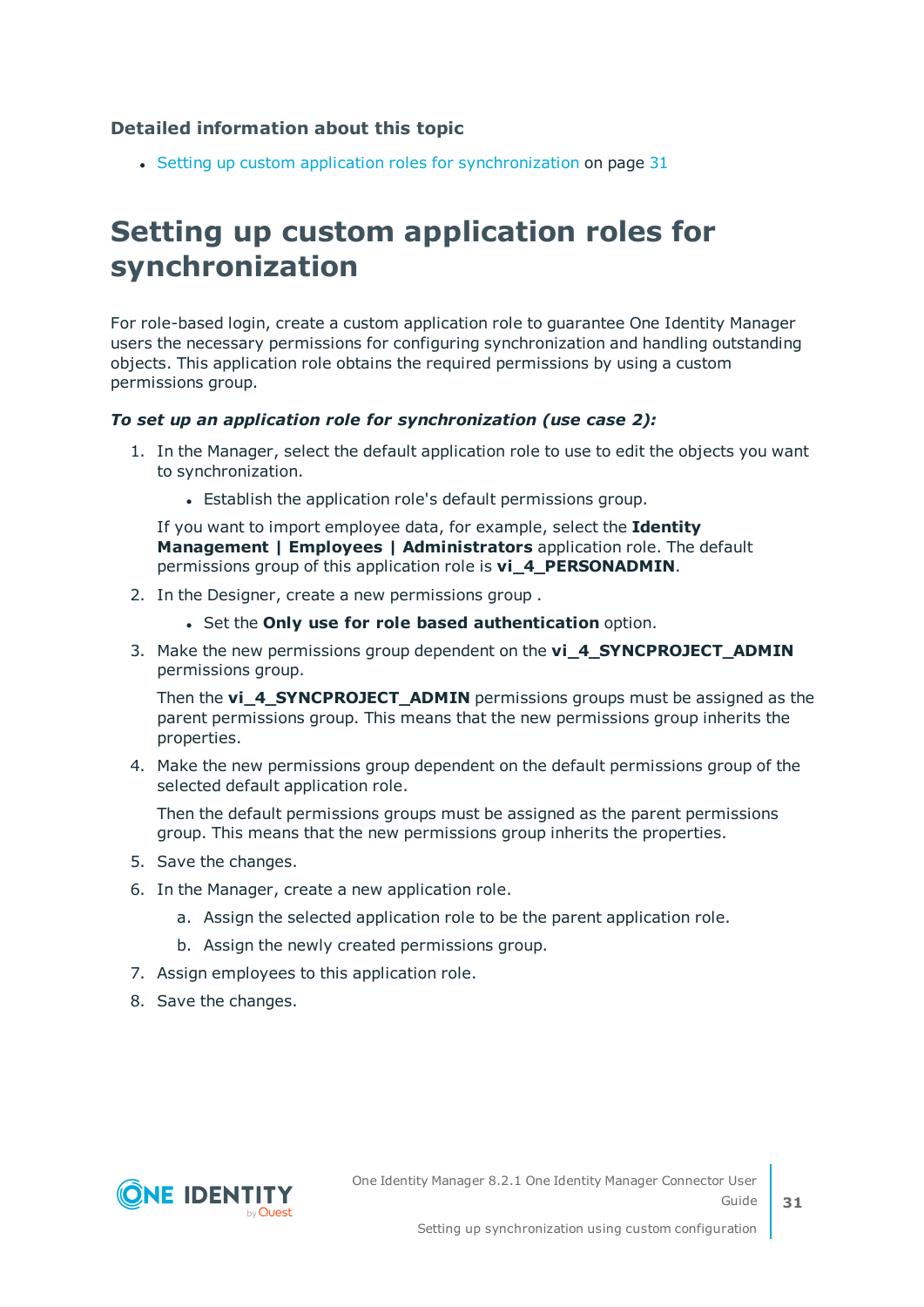#### **Detailed information about this topic**

 $\cdot$  Setting up custom application roles for [synchronization](#page-30-0) on page 31

### <span id="page-30-0"></span>**Setting up custom application roles for synchronization**

For role-based login, create a custom application role to guarantee One Identity Manager users the necessary permissions for configuring synchronization and handling outstanding objects. This application role obtains the required permissions by using a custom permissions group.

#### *To set up an application role for synchronization (use case 2):*

- 1. In the Manager, select the default application role to use to edit the objects you want to synchronization.
	- Establish the application role's default permissions group.

If you want to import employee data, for example, select the **Identity Management | Employees | Administrators** application role. The default permissions group of this application role is **vi\_4\_PERSONADMIN**.

- 2. In the Designer, create a new permissions group .
	- <sup>l</sup> Set the **Only use for role based authentication** option.
- 3. Make the new permissions group dependent on the **vi\_4\_SYNCPROJECT\_ADMIN** permissions group.

Then the **vi\_4\_SYNCPROJECT\_ADMIN** permissions groups must be assigned as the parent permissions group. This means that the new permissions group inherits the properties.

4. Make the new permissions group dependent on the default permissions group of the selected default application role.

Then the default permissions groups must be assigned as the parent permissions group. This means that the new permissions group inherits the properties.

- 5. Save the changes.
- 6. In the Manager, create a new application role.
	- a. Assign the selected application role to be the parent application role.
	- b. Assign the newly created permissions group.
- 7. Assign employees to this application role.
- 8. Save the changes.

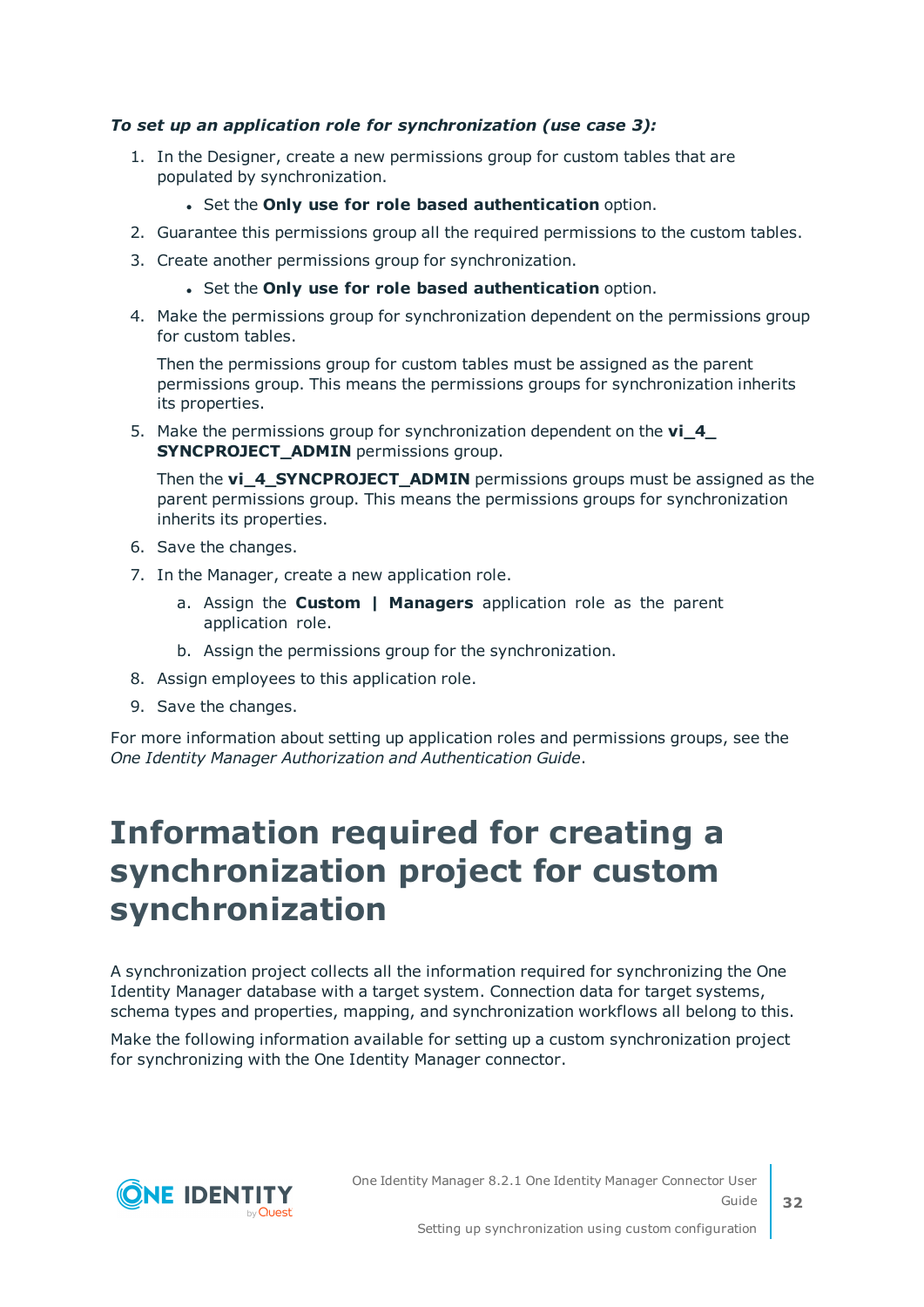#### *To set up an application role for synchronization (use case 3):*

- 1. In the Designer, create a new permissions group for custom tables that are populated by synchronization.
	- <sup>l</sup> Set the **Only use for role based authentication** option.
- 2. Guarantee this permissions group all the required permissions to the custom tables.
- 3. Create another permissions group for synchronization.
	- <sup>l</sup> Set the **Only use for role based authentication** option.
- 4. Make the permissions group for synchronization dependent on the permissions group for custom tables.

Then the permissions group for custom tables must be assigned as the parent permissions group. This means the permissions groups for synchronization inherits its properties.

5. Make the permissions group for synchronization dependent on the **vi\_4\_ SYNCPROJECT\_ADMIN** permissions group.

Then the **vi\_4\_SYNCPROJECT\_ADMIN** permissions groups must be assigned as the parent permissions group. This means the permissions groups for synchronization inherits its properties.

- 6. Save the changes.
- 7. In the Manager, create a new application role.
	- a. Assign the **Custom | Managers** application role as the parent application role.
	- b. Assign the permissions group for the synchronization.
- 8. Assign employees to this application role.
- 9. Save the changes.

For more information about setting up application roles and permissions groups, see the *One Identity Manager Authorization and Authentication Guide*.

### <span id="page-31-0"></span>**Information required for creating a synchronization project for custom synchronization**

A synchronization project collects all the information required for synchronizing the One Identity Manager database with a target system. Connection data for target systems, schema types and properties, mapping, and synchronization workflows all belong to this.

Make the following information available for setting up a custom synchronization project for synchronizing with the One Identity Manager connector.

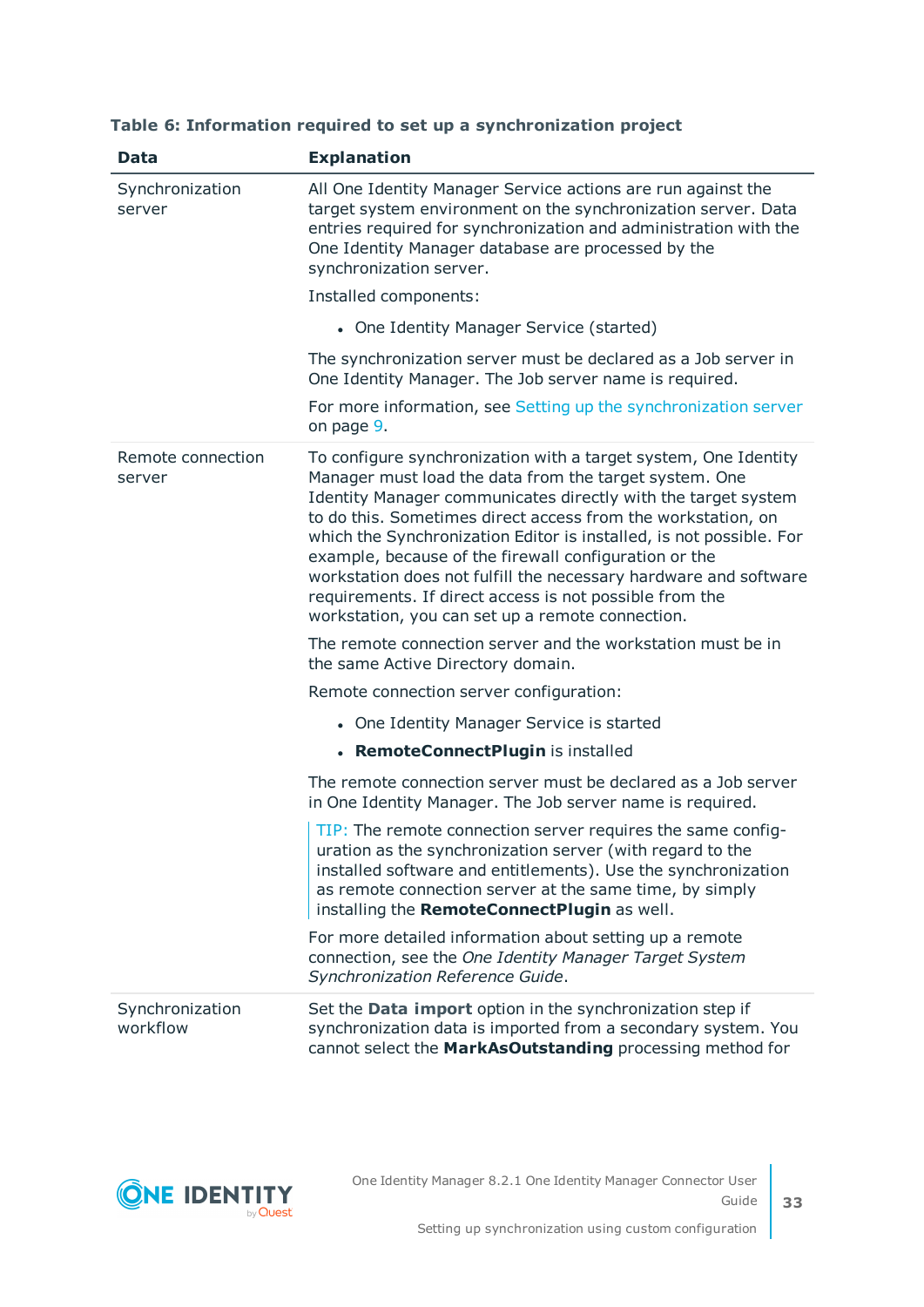| <b>Data</b>                 | <b>Explanation</b>                                                                                                                                                                                                                                                                                                                                                                                                                                                                                                                                                            |
|-----------------------------|-------------------------------------------------------------------------------------------------------------------------------------------------------------------------------------------------------------------------------------------------------------------------------------------------------------------------------------------------------------------------------------------------------------------------------------------------------------------------------------------------------------------------------------------------------------------------------|
| Synchronization<br>server   | All One Identity Manager Service actions are run against the<br>target system environment on the synchronization server. Data<br>entries required for synchronization and administration with the<br>One Identity Manager database are processed by the<br>synchronization server.                                                                                                                                                                                                                                                                                            |
|                             | Installed components:                                                                                                                                                                                                                                                                                                                                                                                                                                                                                                                                                         |
|                             | • One Identity Manager Service (started)                                                                                                                                                                                                                                                                                                                                                                                                                                                                                                                                      |
|                             | The synchronization server must be declared as a Job server in<br>One Identity Manager. The Job server name is required.                                                                                                                                                                                                                                                                                                                                                                                                                                                      |
|                             | For more information, see Setting up the synchronization server<br>on page 9.                                                                                                                                                                                                                                                                                                                                                                                                                                                                                                 |
| Remote connection<br>server | To configure synchronization with a target system, One Identity<br>Manager must load the data from the target system. One<br>Identity Manager communicates directly with the target system<br>to do this. Sometimes direct access from the workstation, on<br>which the Synchronization Editor is installed, is not possible. For<br>example, because of the firewall configuration or the<br>workstation does not fulfill the necessary hardware and software<br>requirements. If direct access is not possible from the<br>workstation, you can set up a remote connection. |
|                             | The remote connection server and the workstation must be in<br>the same Active Directory domain.                                                                                                                                                                                                                                                                                                                                                                                                                                                                              |
|                             | Remote connection server configuration:                                                                                                                                                                                                                                                                                                                                                                                                                                                                                                                                       |
|                             | • One Identity Manager Service is started                                                                                                                                                                                                                                                                                                                                                                                                                                                                                                                                     |
|                             | • RemoteConnectPlugin is installed                                                                                                                                                                                                                                                                                                                                                                                                                                                                                                                                            |
|                             | The remote connection server must be declared as a Job server<br>in One Identity Manager. The Job server name is required.                                                                                                                                                                                                                                                                                                                                                                                                                                                    |
|                             | TIP: The remote connection server requires the same config-<br>uration as the synchronization server (with regard to the<br>installed software and entitlements). Use the synchronization<br>as remote connection server at the same time, by simply<br>installing the RemoteConnectPlugin as well.                                                                                                                                                                                                                                                                           |
|                             | For more detailed information about setting up a remote<br>connection, see the One Identity Manager Target System<br>Synchronization Reference Guide.                                                                                                                                                                                                                                                                                                                                                                                                                         |
| Synchronization<br>workflow | Set the Data import option in the synchronization step if<br>synchronization data is imported from a secondary system. You<br>cannot select the MarkAsOutstanding processing method for                                                                                                                                                                                                                                                                                                                                                                                       |

#### **Table 6: Information required to set up a synchronization project**

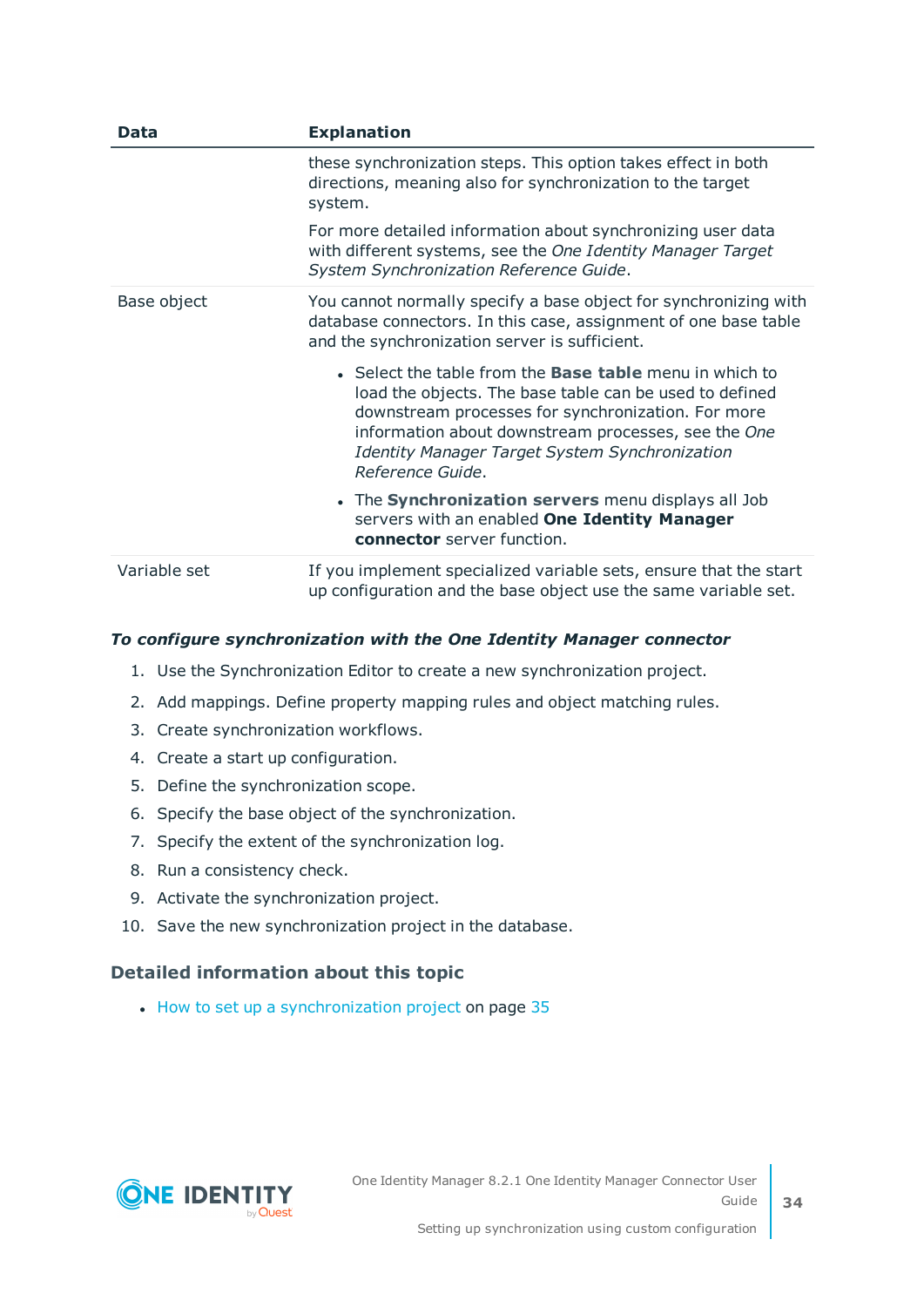| Data         | <b>Explanation</b>                                                                                                                                                                                                                                                                                                  |
|--------------|---------------------------------------------------------------------------------------------------------------------------------------------------------------------------------------------------------------------------------------------------------------------------------------------------------------------|
|              | these synchronization steps. This option takes effect in both<br>directions, meaning also for synchronization to the target<br>system.                                                                                                                                                                              |
|              | For more detailed information about synchronizing user data<br>with different systems, see the One Identity Manager Target<br>System Synchronization Reference Guide.                                                                                                                                               |
| Base object  | You cannot normally specify a base object for synchronizing with<br>database connectors. In this case, assignment of one base table<br>and the synchronization server is sufficient.                                                                                                                                |
|              | • Select the table from the <b>Base table</b> menu in which to<br>load the objects. The base table can be used to defined<br>downstream processes for synchronization. For more<br>information about downstream processes, see the One<br><b>Identity Manager Target System Synchronization</b><br>Reference Guide. |
|              | • The Synchronization servers menu displays all Job<br>servers with an enabled One Identity Manager<br>connector server function.                                                                                                                                                                                   |
| Variable set | If you implement specialized variable sets, ensure that the start<br>up configuration and the base object use the same variable set.                                                                                                                                                                                |

#### *To configure synchronization with the One Identity Manager connector*

- 1. Use the Synchronization Editor to create a new synchronization project.
- 2. Add mappings. Define property mapping rules and object matching rules.
- 3. Create synchronization workflows.
- 4. Create a start up configuration.
- 5. Define the synchronization scope.
- 6. Specify the base object of the synchronization.
- 7. Specify the extent of the synchronization log.
- 8. Run a consistency check.
- 9. Activate the synchronization project.
- 10. Save the new synchronization project in the database.

#### **Detailed information about this topic**

• How to set up a [synchronization](#page-34-0) project on page 35

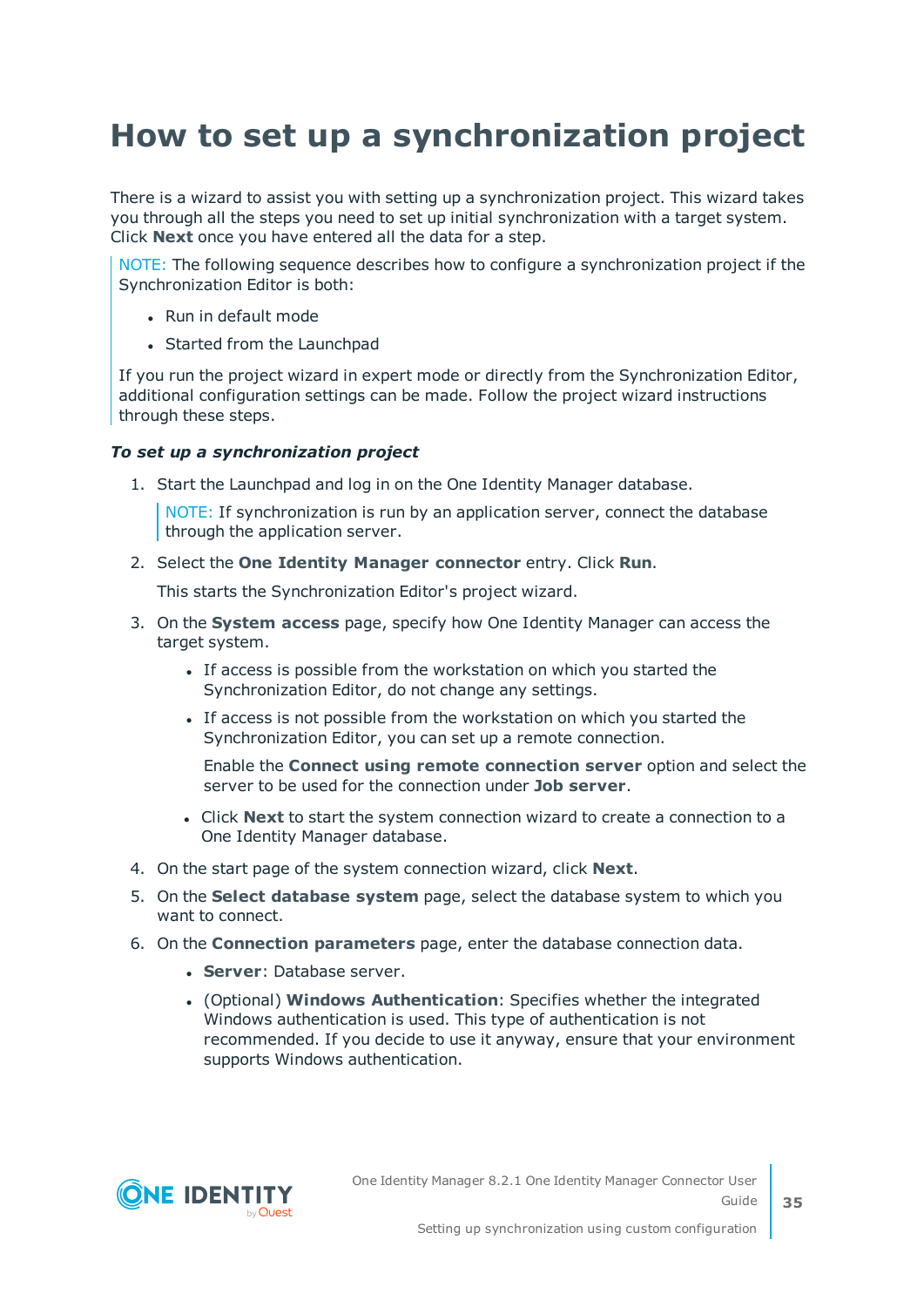## <span id="page-34-0"></span>**How to set up a synchronization project**

There is a wizard to assist you with setting up a synchronization project. This wizard takes you through all the steps you need to set up initial synchronization with a target system. Click **Next** once you have entered all the data for a step.

NOTE: The following sequence describes how to configure a synchronization project if the Synchronization Editor is both:

- Run in default mode
- Started from the Launchpad

If you run the project wizard in expert mode or directly from the Synchronization Editor, additional configuration settings can be made. Follow the project wizard instructions through these steps.

#### *To set up a synchronization project*

1. Start the Launchpad and log in on the One Identity Manager database.

NOTE: If synchronization is run by an application server, connect the database through the application server.

2. Select the **One Identity Manager connector** entry. Click **Run**.

This starts the Synchronization Editor's project wizard.

- 3. On the **System access** page, specify how One Identity Manager can access the target system.
	- If access is possible from the workstation on which you started the Synchronization Editor, do not change any settings.
	- If access is not possible from the workstation on which you started the Synchronization Editor, you can set up a remote connection.

Enable the **Connect using remote connection server** option and select the server to be used for the connection under **Job server**.

- <sup>l</sup> Click **Next** to start the system connection wizard to create a connection to a One Identity Manager database.
- 4. On the start page of the system connection wizard, click **Next**.
- 5. On the **Select database system** page, select the database system to which you want to connect.
- 6. On the **Connection parameters** page, enter the database connection data.
	- **. Server: Database server.**
	- <sup>l</sup> (Optional) **Windows Authentication**: Specifies whether the integrated Windows authentication is used. This type of authentication is not recommended. If you decide to use it anyway, ensure that your environment supports Windows authentication.

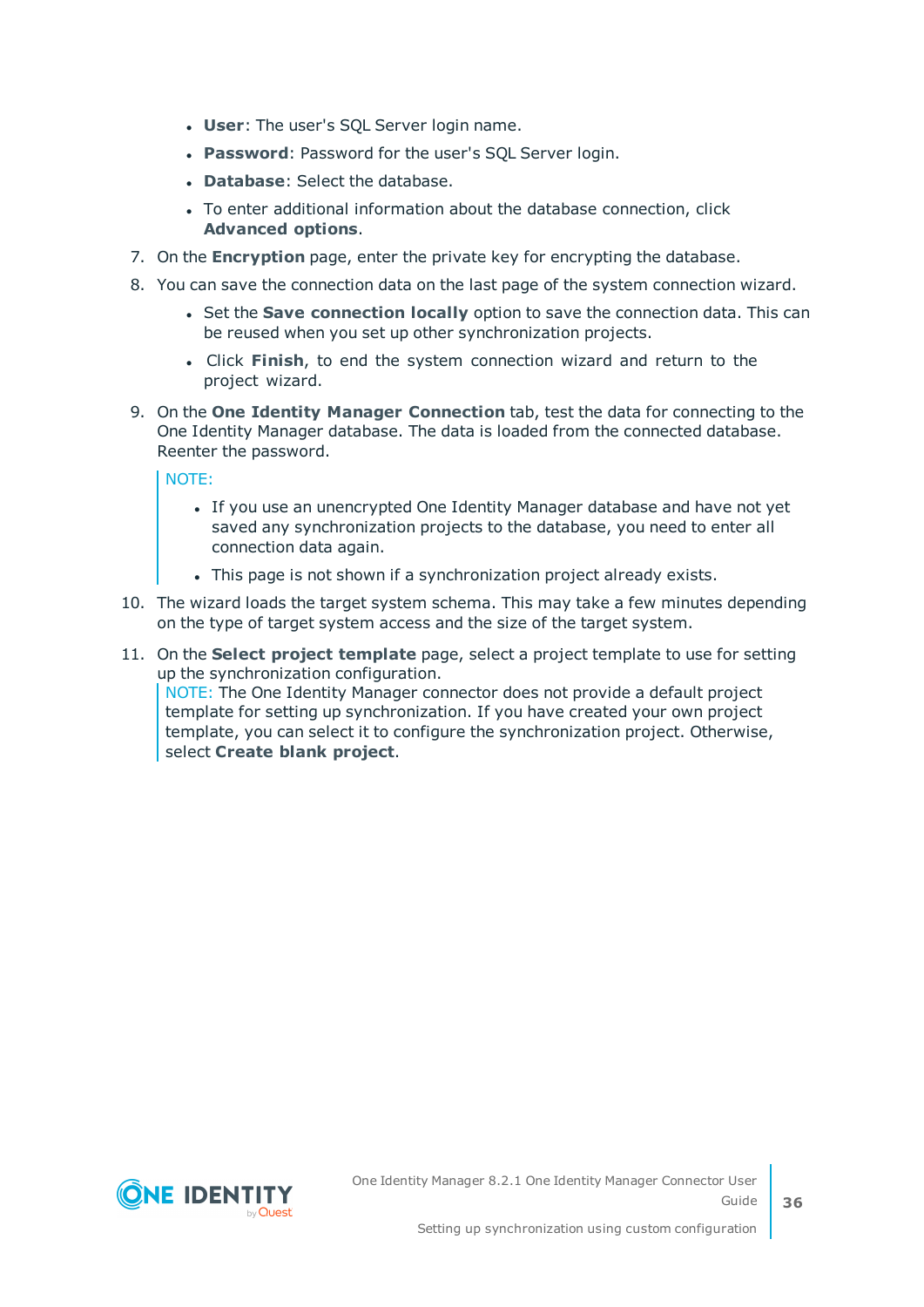- **.** User: The user's SQL Server login name.
- **Password: Password for the user's SQL Server login.**
- **.** Database: Select the database.
- To enter additional information about the database connection, click **Advanced options**.
- 7. On the **Encryption** page, enter the private key for encrypting the database.
- 8. You can save the connection data on the last page of the system connection wizard.
	- **.** Set the **Save connection locally** option to save the connection data. This can be reused when you set up other synchronization projects.
	- <sup>l</sup> Click **Finish**, to end the system connection wizard and return to the project wizard.
- 9. On the **One Identity Manager Connection** tab, test the data for connecting to the One Identity Manager database. The data is loaded from the connected database. Reenter the password.

NOTE:

- If you use an unencrypted One Identity Manager database and have not yet saved any synchronization projects to the database, you need to enter all connection data again.
- This page is not shown if a synchronization project already exists.
- 10. The wizard loads the target system schema. This may take a few minutes depending on the type of target system access and the size of the target system.
- 11. On the **Select project template** page, select a project template to use for setting up the synchronization configuration.

NOTE: The One Identity Manager connector does not provide a default project template for setting up synchronization. If you have created your own project template, you can select it to configure the synchronization project. Otherwise, select **Create blank project**.

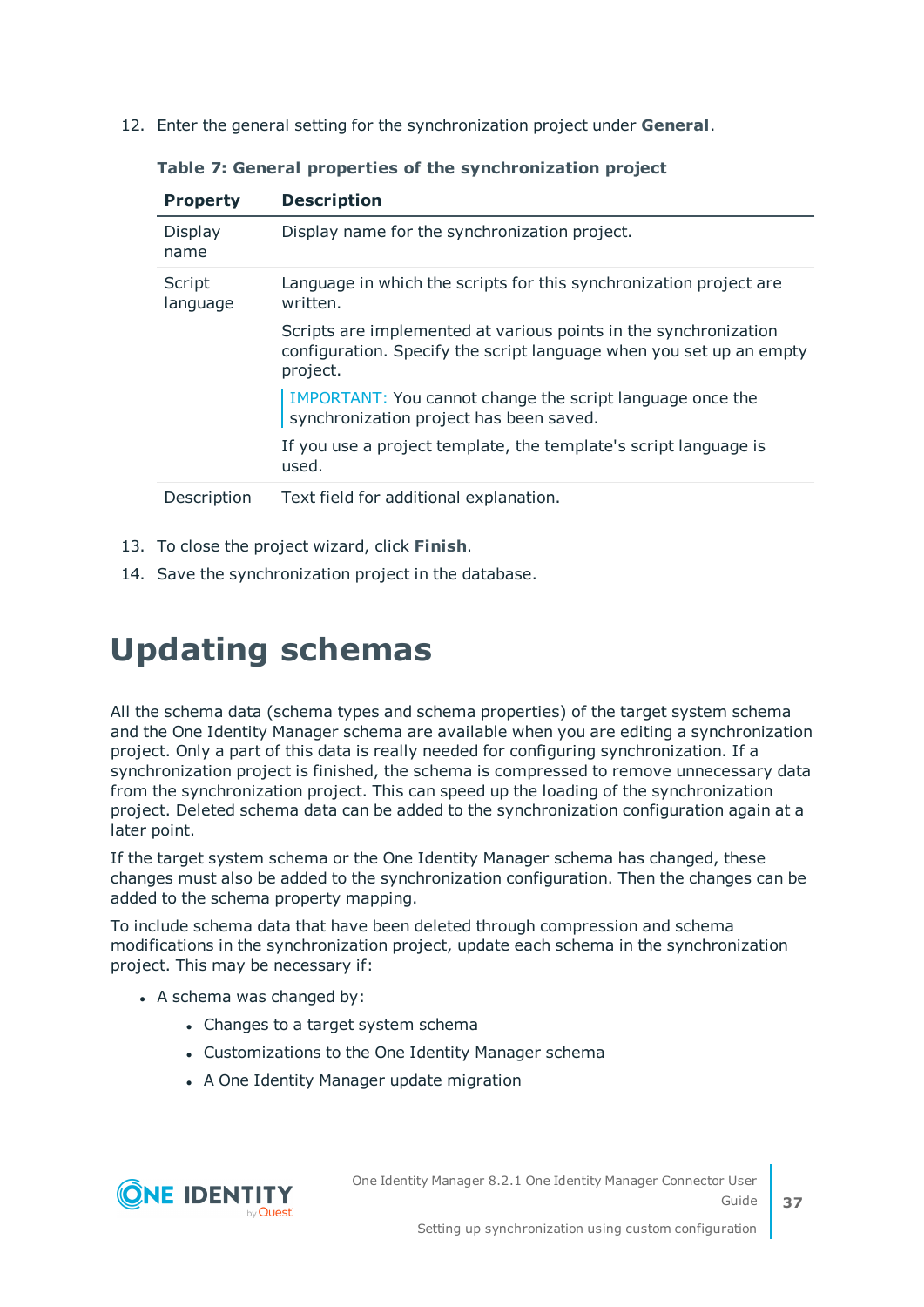12. Enter the general setting for the synchronization project under **General**.

| <b>Property</b>    | <b>Description</b>                                                                                                                                  |
|--------------------|-----------------------------------------------------------------------------------------------------------------------------------------------------|
| Display<br>name    | Display name for the synchronization project.                                                                                                       |
| Script<br>language | Language in which the scripts for this synchronization project are<br>written.                                                                      |
|                    | Scripts are implemented at various points in the synchronization<br>configuration. Specify the script language when you set up an empty<br>project. |
|                    | IMPORTANT: You cannot change the script language once the<br>synchronization project has been saved.                                                |
|                    | If you use a project template, the template's script language is<br>used.                                                                           |
| Description        | Text field for additional explanation.                                                                                                              |

**Table 7: General properties of the synchronization project**

- 13. To close the project wizard, click **Finish**.
- <span id="page-36-0"></span>14. Save the synchronization project in the database.

## **Updating schemas**

All the schema data (schema types and schema properties) of the target system schema and the One Identity Manager schema are available when you are editing a synchronization project. Only a part of this data is really needed for configuring synchronization. If a synchronization project is finished, the schema is compressed to remove unnecessary data from the synchronization project. This can speed up the loading of the synchronization project. Deleted schema data can be added to the synchronization configuration again at a later point.

If the target system schema or the One Identity Manager schema has changed, these changes must also be added to the synchronization configuration. Then the changes can be added to the schema property mapping.

To include schema data that have been deleted through compression and schema modifications in the synchronization project, update each schema in the synchronization project. This may be necessary if:

- $\bullet$  A schema was changed by:
	- Changes to a target system schema
	- Customizations to the One Identity Manager schema
	- A One Identity Manager update migration



One Identity Manager 8.2.1 One Identity Manager Connector User Guide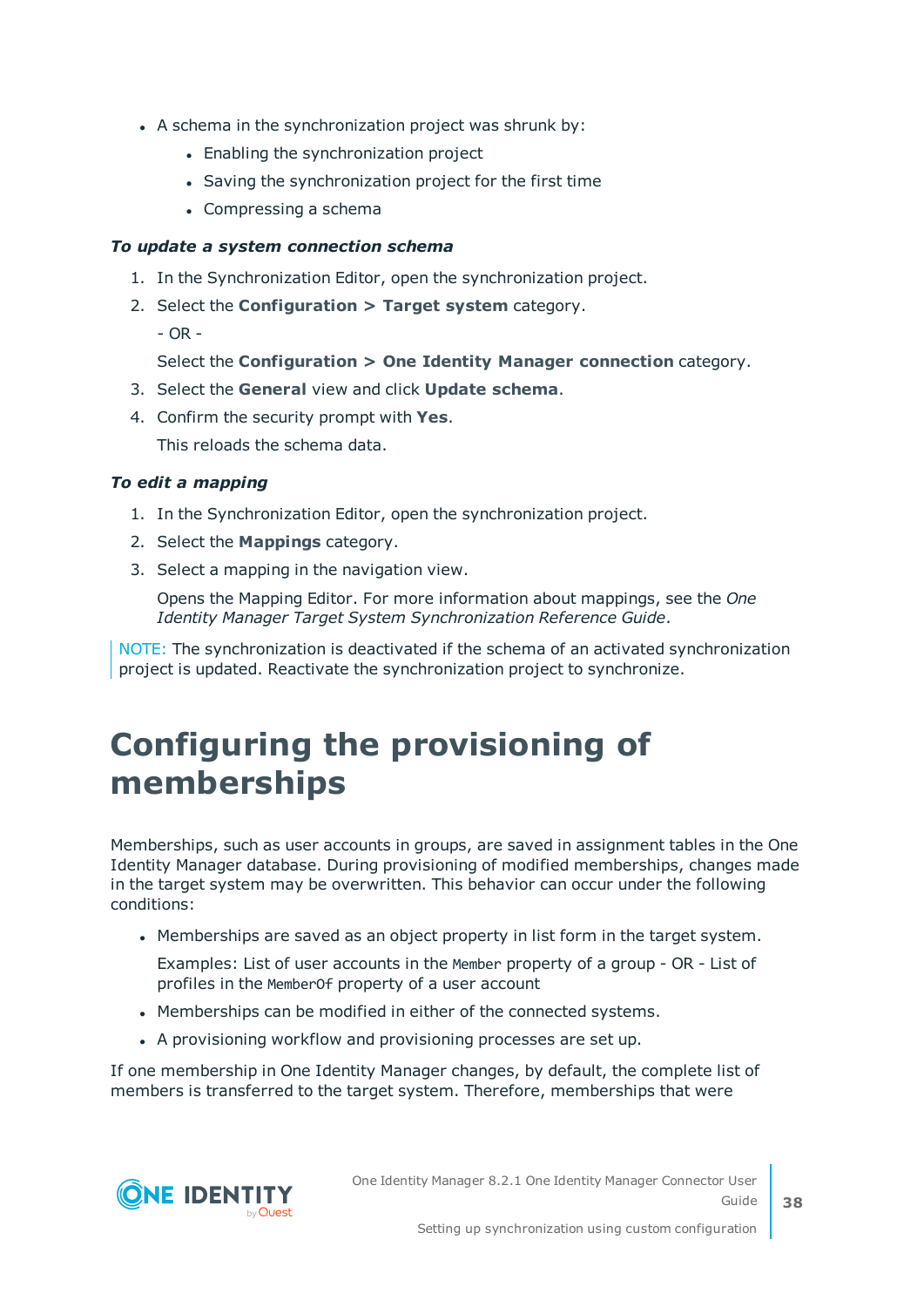- A schema in the synchronization project was shrunk by:
	- Enabling the synchronization project
	- Saving the synchronization project for the first time
	- $\bullet$  Compressing a schema

#### *To update a system connection schema*

- 1. In the Synchronization Editor, open the synchronization project.
- 2. Select the **Configuration > Target system** category.
	- OR -

Select the **Configuration > One Identity Manager connection** category.

- 3. Select the **General** view and click **Update schema**.
- 4. Confirm the security prompt with **Yes**.

This reloads the schema data.

#### *To edit a mapping*

- 1. In the Synchronization Editor, open the synchronization project.
- 2. Select the **Mappings** category.
- 3. Select a mapping in the navigation view.

Opens the Mapping Editor. For more information about mappings, see the *One Identity Manager Target System Synchronization Reference Guide*.

NOTE: The synchronization is deactivated if the schema of an activated synchronization project is updated. Reactivate the synchronization project to synchronize.

### <span id="page-37-0"></span>**Configuring the provisioning of memberships**

Memberships, such as user accounts in groups, are saved in assignment tables in the One Identity Manager database. During provisioning of modified memberships, changes made in the target system may be overwritten. This behavior can occur under the following conditions:

• Memberships are saved as an object property in list form in the target system.

Examples: List of user accounts in the Member property of a group - OR - List of profiles in the MemberOf property of a user account

- Memberships can be modified in either of the connected systems.
- A provisioning workflow and provisioning processes are set up.

If one membership in One Identity Manager changes, by default, the complete list of members is transferred to the target system. Therefore, memberships that were

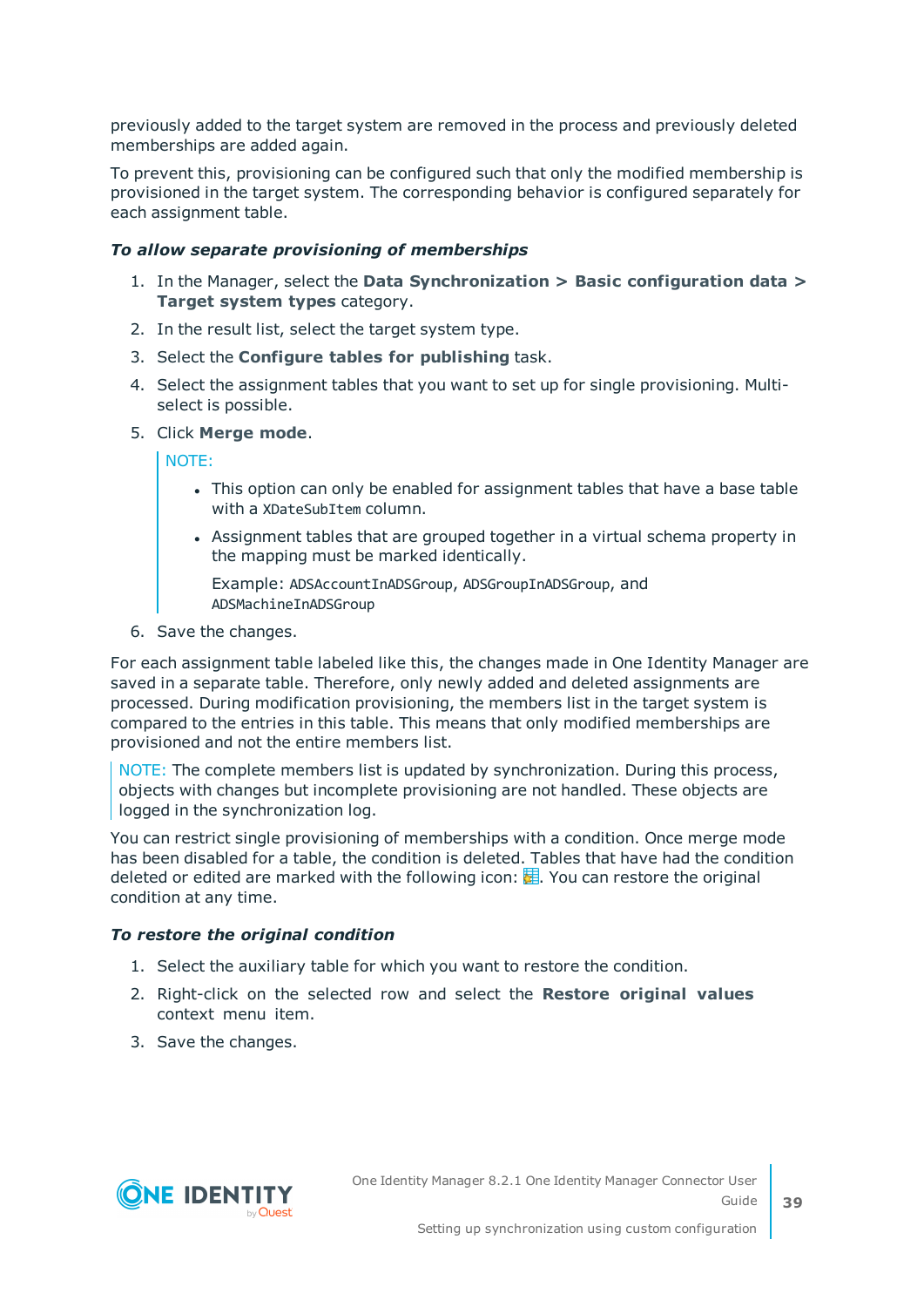previously added to the target system are removed in the process and previously deleted memberships are added again.

To prevent this, provisioning can be configured such that only the modified membership is provisioned in the target system. The corresponding behavior is configured separately for each assignment table.

#### *To allow separate provisioning of memberships*

- 1. In the Manager, select the **Data Synchronization > Basic configuration data > Target system types** category.
- 2. In the result list, select the target system type.
- 3. Select the **Configure tables for publishing** task.
- 4. Select the assignment tables that you want to set up for single provisioning. Multiselect is possible.
- 5. Click **Merge mode**.

NOTE:

- This option can only be enabled for assignment tables that have a base table with a XDateSubItem column.
- Assignment tables that are grouped together in a virtual schema property in the mapping must be marked identically.

Example: ADSAccountInADSGroup, ADSGroupInADSGroup, and ADSMachineInADSGroup

6. Save the changes.

For each assignment table labeled like this, the changes made in One Identity Manager are saved in a separate table. Therefore, only newly added and deleted assignments are processed. During modification provisioning, the members list in the target system is compared to the entries in this table. This means that only modified memberships are provisioned and not the entire members list.

NOTE: The complete members list is updated by synchronization. During this process, objects with changes but incomplete provisioning are not handled. These objects are logged in the synchronization log.

You can restrict single provisioning of memberships with a condition. Once merge mode has been disabled for a table, the condition is deleted. Tables that have had the condition deleted or edited are marked with the following icon:  $\mathbb{E}$ . You can restore the original condition at any time.

#### *To restore the original condition*

- 1. Select the auxiliary table for which you want to restore the condition.
- 2. Right-click on the selected row and select the **Restore original values** context menu item.
- 3. Save the changes.

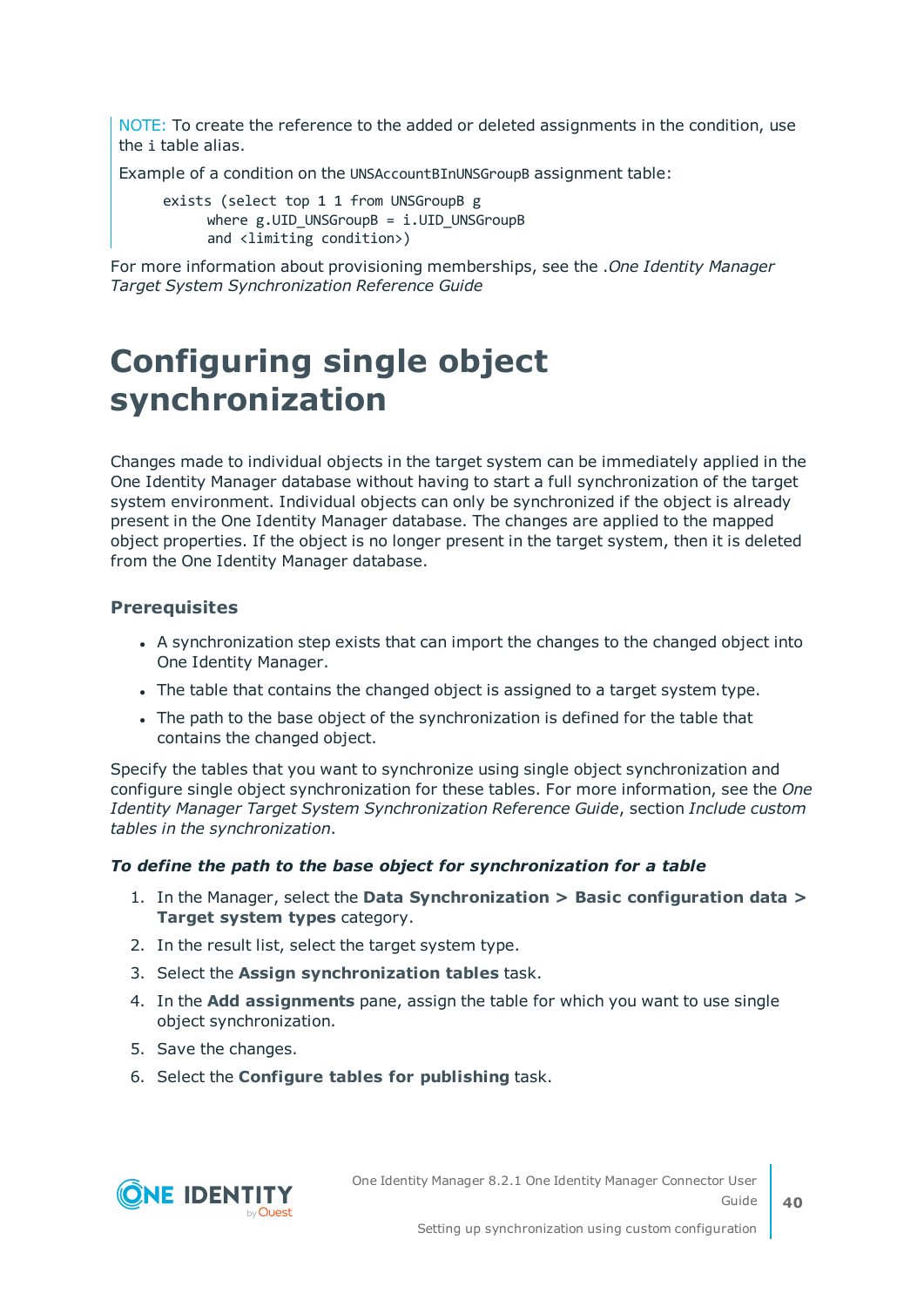NOTE: To create the reference to the added or deleted assignments in the condition, use the i table alias.

Example of a condition on the UNSAccountBInUNSGroupB assignment table:

exists (select top 1 1 from UNSGroupB g where  $g.UID$  UNSGroupB = i.UID UNSGroupB and <limiting condition>)

For more information about provisioning memberships, see the .*One Identity Manager Target System Synchronization Reference Guide*

## <span id="page-39-0"></span>**Configuring single object synchronization**

Changes made to individual objects in the target system can be immediately applied in the One Identity Manager database without having to start a full synchronization of the target system environment. Individual objects can only be synchronized if the object is already present in the One Identity Manager database. The changes are applied to the mapped object properties. If the object is no longer present in the target system, then it is deleted from the One Identity Manager database.

#### **Prerequisites**

- A synchronization step exists that can import the changes to the changed object into One Identity Manager.
- The table that contains the changed object is assigned to a target system type.
- The path to the base object of the synchronization is defined for the table that contains the changed object.

Specify the tables that you want to synchronize using single object synchronization and configure single object synchronization for these tables. For more information, see the *One Identity Manager Target System Synchronization Reference Guide*, section *Include custom tables in the synchronization*.

#### *To define the path to the base object for synchronization for a table*

- 1. In the Manager, select the **Data Synchronization > Basic configuration data > Target system types** category.
- 2. In the result list, select the target system type.
- 3. Select the **Assign synchronization tables** task.
- 4. In the **Add assignments** pane, assign the table for which you want to use single object synchronization.
- 5. Save the changes.
- 6. Select the **Configure tables for publishing** task.

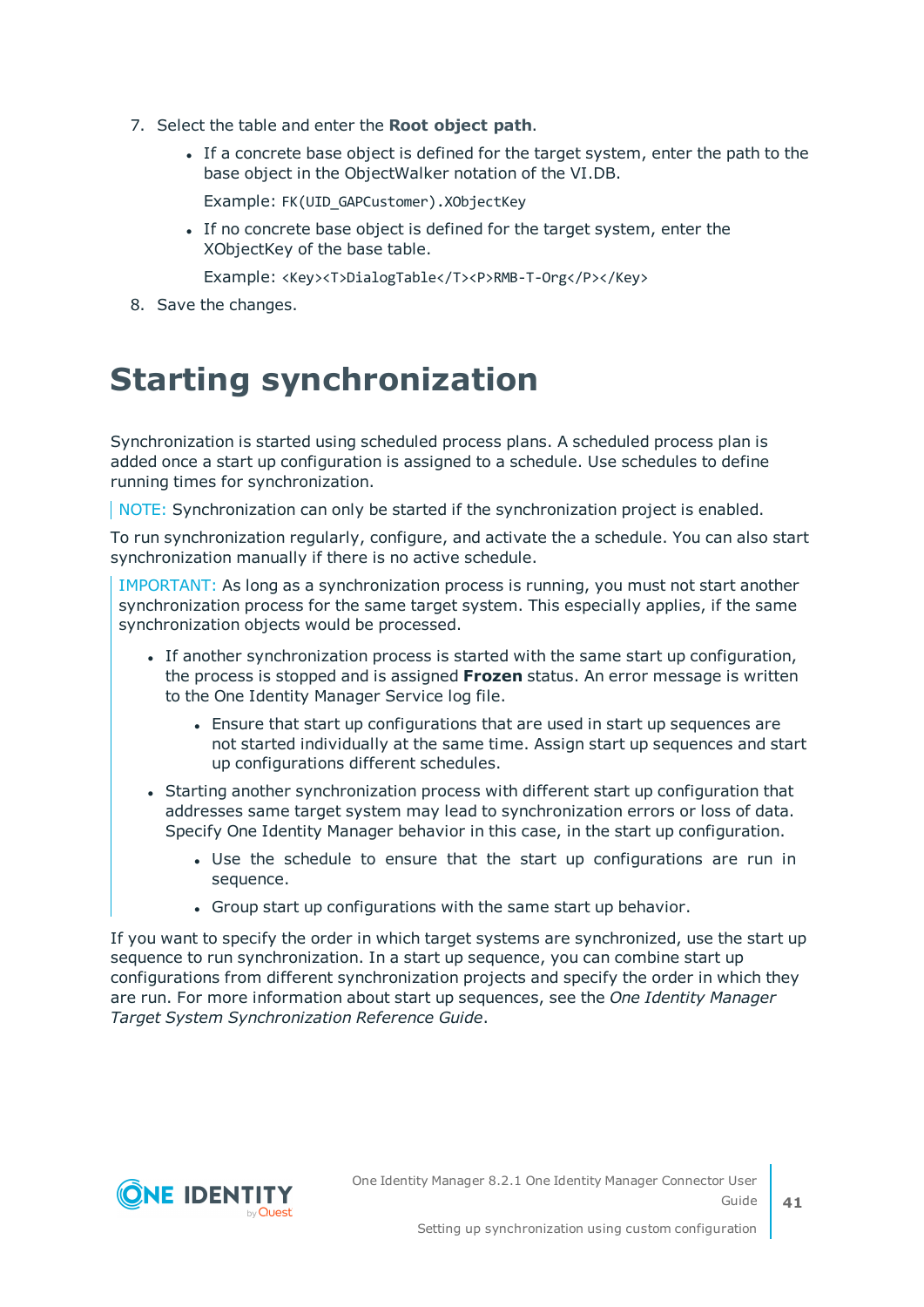- 7. Select the table and enter the **Root object path**.
	- If a concrete base object is defined for the target system, enter the path to the base object in the ObjectWalker notation of the VI.DB.

Example: FK(UID\_GAPCustomer).XObjectKey

• If no concrete base object is defined for the target system, enter the XObjectKey of the base table.

Example: <Key><T>DialogTable</T><P>RMB-T-Org</P></Key>

<span id="page-40-0"></span>8. Save the changes.

### **Starting synchronization**

Synchronization is started using scheduled process plans. A scheduled process plan is added once a start up configuration is assigned to a schedule. Use schedules to define running times for synchronization.

NOTE: Synchronization can only be started if the synchronization project is enabled.

To run synchronization regularly, configure, and activate the a schedule. You can also start synchronization manually if there is no active schedule.

IMPORTANT: As long as a synchronization process is running, you must not start another synchronization process for the same target system. This especially applies, if the same synchronization objects would be processed.

- If another synchronization process is started with the same start up configuration, the process is stopped and is assigned **Frozen** status. An error message is written to the One Identity Manager Service log file.
	- Ensure that start up configurations that are used in start up sequences are not started individually at the same time. Assign start up sequences and start up configurations different schedules.
- Starting another synchronization process with different start up configuration that addresses same target system may lead to synchronization errors or loss of data. Specify One Identity Manager behavior in this case, in the start up configuration.
	- Use the schedule to ensure that the start up configurations are run in sequence.
	- Group start up configurations with the same start up behavior.

If you want to specify the order in which target systems are synchronized, use the start up sequence to run synchronization. In a start up sequence, you can combine start up configurations from different synchronization projects and specify the order in which they are run. For more information about start up sequences, see the *One Identity Manager Target System Synchronization Reference Guide*.



**41**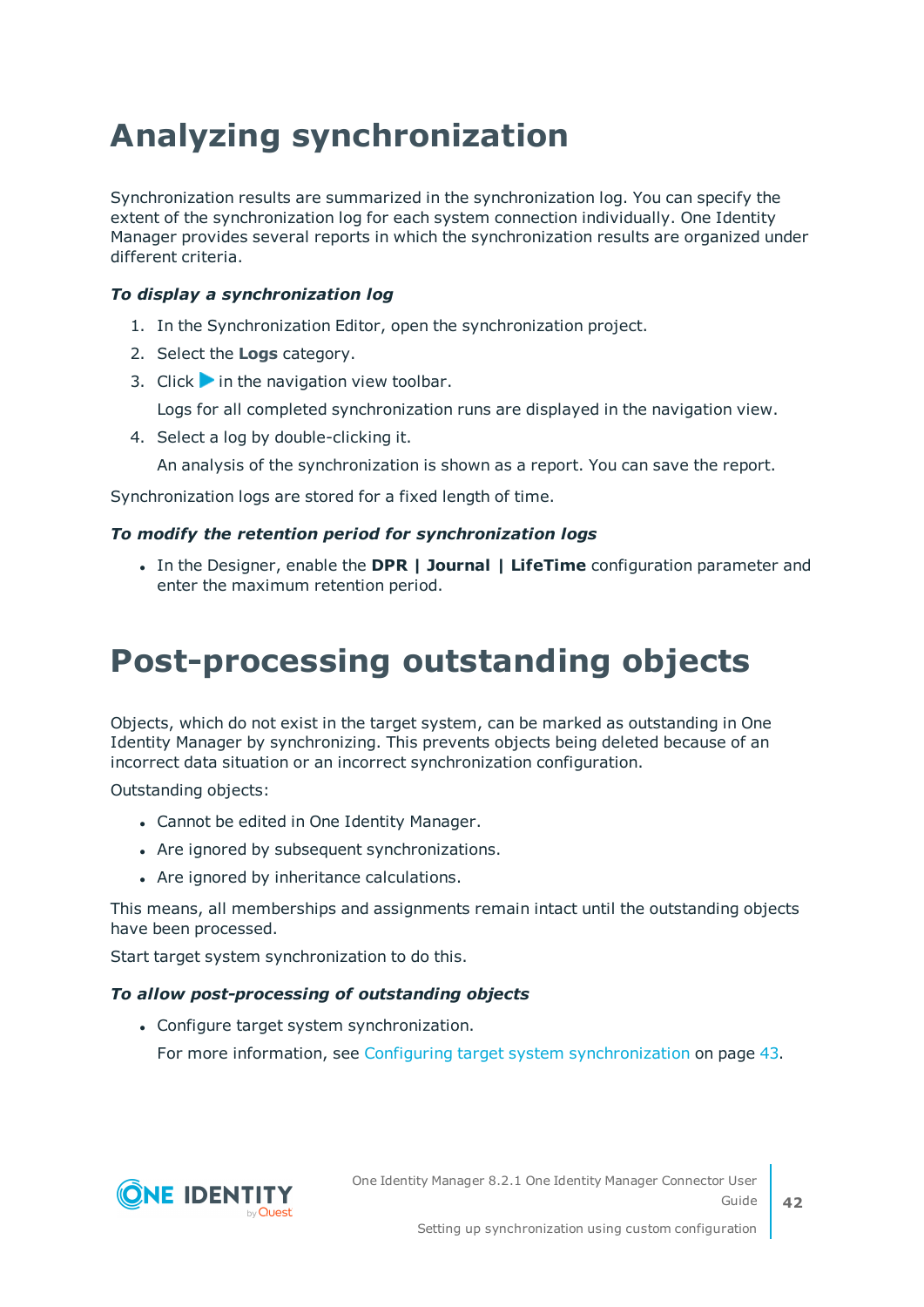## <span id="page-41-0"></span>**Analyzing synchronization**

Synchronization results are summarized in the synchronization log. You can specify the extent of the synchronization log for each system connection individually. One Identity Manager provides several reports in which the synchronization results are organized under different criteria.

#### *To display a synchronization log*

- 1. In the Synchronization Editor, open the synchronization project.
- 2. Select the **Logs** category.
- 3. Click in the navigation view toolbar.

Logs for all completed synchronization runs are displayed in the navigation view.

4. Select a log by double-clicking it.

An analysis of the synchronization is shown as a report. You can save the report.

Synchronization logs are stored for a fixed length of time.

#### *To modify the retention period for synchronization logs*

<sup>l</sup> In the Designer, enable the **DPR | Journal | LifeTime** configuration parameter and enter the maximum retention period.

## <span id="page-41-1"></span>**Post-processing outstanding objects**

Objects, which do not exist in the target system, can be marked as outstanding in One Identity Manager by synchronizing. This prevents objects being deleted because of an incorrect data situation or an incorrect synchronization configuration.

Outstanding objects:

- Cannot be edited in One Identity Manager.
- Are ignored by subsequent synchronizations.
- Are ignored by inheritance calculations.

This means, all memberships and assignments remain intact until the outstanding objects have been processed.

Start target system synchronization to do this.

#### *To allow post-processing of outstanding objects*

• Configure target system synchronization. For more information, see Configuring target system [synchronization](#page-42-0) on page 43.

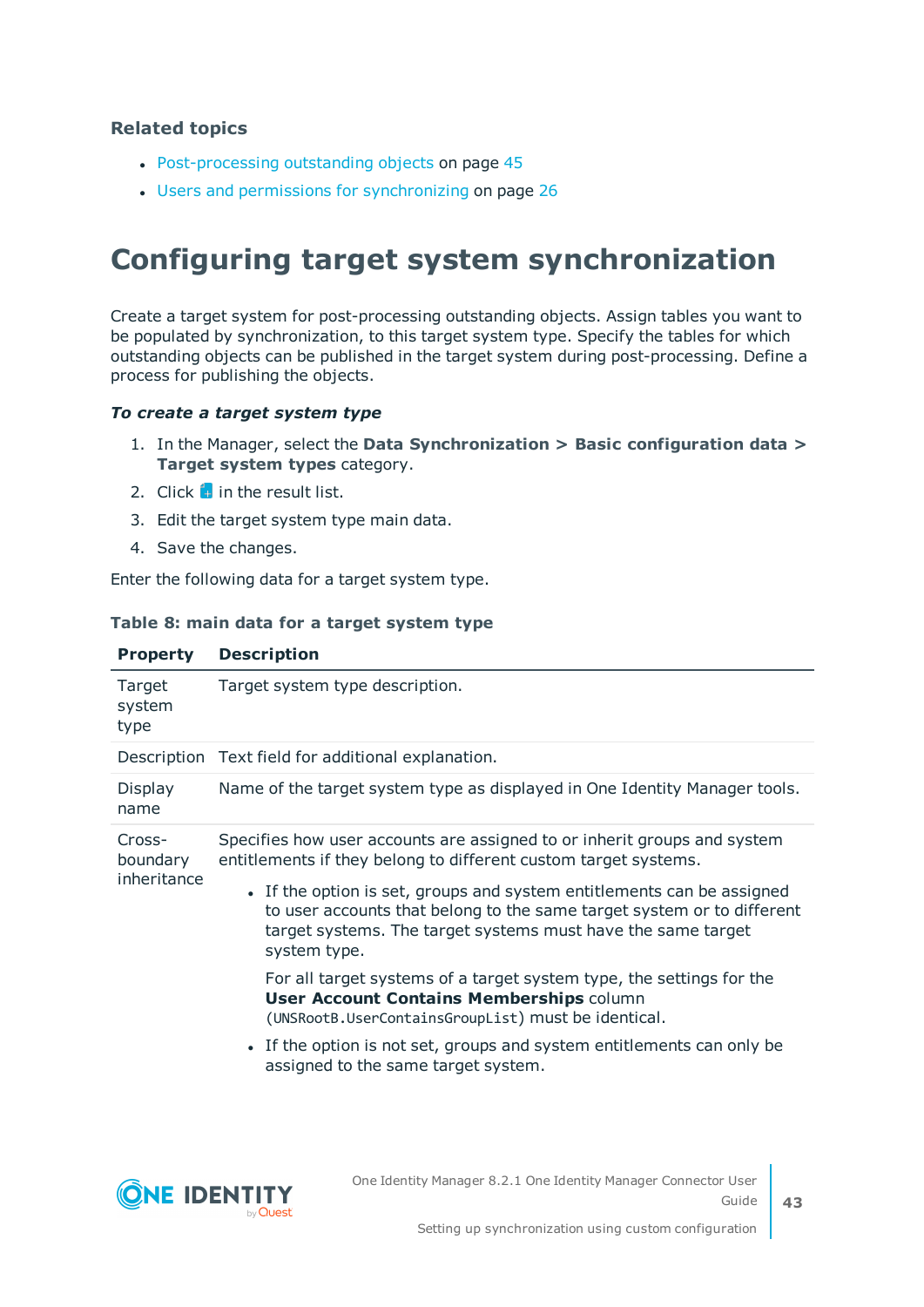#### **Related topics**

- [Post-processing](#page-44-0) outstanding objects on page 45
- Users and permissions for [synchronizing](#page-25-1) on page 26

### <span id="page-42-0"></span>**Configuring target system synchronization**

Create a target system for post-processing outstanding objects. Assign tables you want to be populated by synchronization, to this target system type. Specify the tables for which outstanding objects can be published in the target system during post-processing. Define a process for publishing the objects.

#### *To create a target system type*

- 1. In the Manager, select the **Data Synchronization > Basic configuration data > Target system types** category.
- 2. Click  $\frac{1}{2}$  in the result list.
- 3. Edit the target system type main data.
- 4. Save the changes.

Enter the following data for a target system type.

#### **Table 8: main data for a target system type**

| <b>Property</b>                   | <b>Description</b>                                                                                                                                                                                                               |
|-----------------------------------|----------------------------------------------------------------------------------------------------------------------------------------------------------------------------------------------------------------------------------|
| Target<br>system<br>type          | Target system type description.                                                                                                                                                                                                  |
|                                   | Description Text field for additional explanation.                                                                                                                                                                               |
| <b>Display</b><br>name            | Name of the target system type as displayed in One Identity Manager tools.                                                                                                                                                       |
| Cross-<br>boundary<br>inheritance | Specifies how user accounts are assigned to or inherit groups and system<br>entitlements if they belong to different custom target systems.                                                                                      |
|                                   | • If the option is set, groups and system entitlements can be assigned<br>to user accounts that belong to the same target system or to different<br>target systems. The target systems must have the same target<br>system type. |
|                                   | For all target systems of a target system type, the settings for the<br><b>User Account Contains Memberships column</b><br>(UNSRootB.UserContainsGroupList) must be identical.                                                   |
|                                   | • If the option is not set, groups and system entitlements can only be<br>assigned to the same target system.                                                                                                                    |

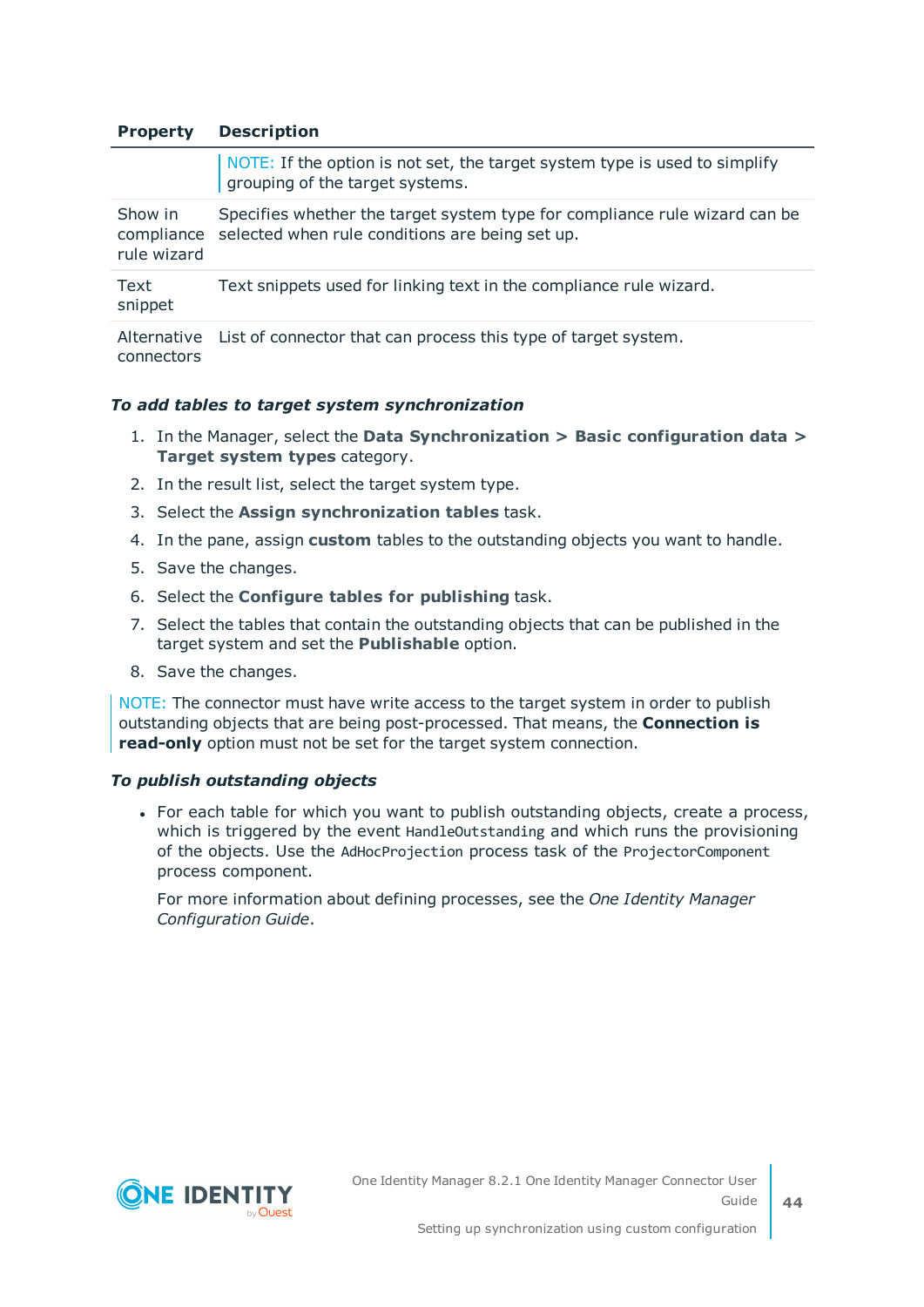#### **Property Description**

|                        | NOTE: If the option is not set, the target system type is used to simplify<br>grouping of the target systems.                            |
|------------------------|------------------------------------------------------------------------------------------------------------------------------------------|
| Show in<br>rule wizard | Specifies whether the target system type for compliance rule wizard can be<br>compliance selected when rule conditions are being set up. |
| Text<br>snippet        | Text snippets used for linking text in the compliance rule wizard.                                                                       |
|                        |                                                                                                                                          |

Alternative List of connector that can process this type of target system. connectors

#### *To add tables to target system synchronization*

- 1. In the Manager, select the **Data Synchronization > Basic configuration data > Target system types** category.
- 2. In the result list, select the target system type.
- 3. Select the **Assign synchronization tables** task.
- 4. In the pane, assign **custom** tables to the outstanding objects you want to handle.
- 5. Save the changes.
- 6. Select the **Configure tables for publishing** task.
- 7. Select the tables that contain the outstanding objects that can be published in the target system and set the **Publishable** option.
- 8. Save the changes.

NOTE: The connector must have write access to the target system in order to publish outstanding objects that are being post-processed. That means, the **Connection is read-only** option must not be set for the target system connection.

#### *To publish outstanding objects*

• For each table for which you want to publish outstanding objects, create a process, which is triggered by the event HandleOutstanding and which runs the provisioning of the objects. Use the AdHocProjection process task of the ProjectorComponent process component.

For more information about defining processes, see the *One Identity Manager Configuration Guide*.

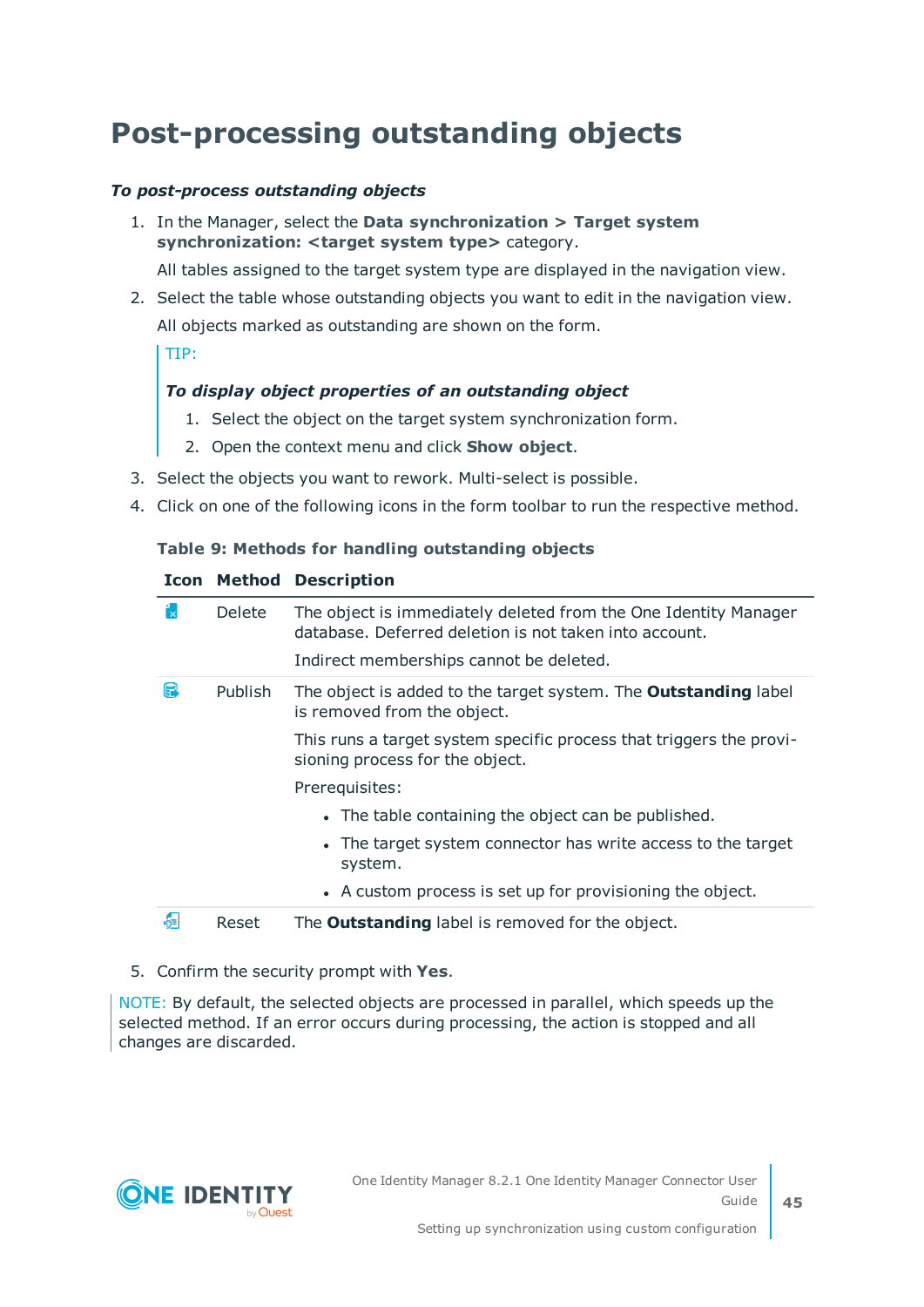### <span id="page-44-0"></span>**Post-processing outstanding objects**

#### *To post-process outstanding objects*

1. In the Manager, select the **Data synchronization > Target system synchronization: <target system type>** category.

All tables assigned to the target system type are displayed in the navigation view.

2. Select the table whose outstanding objects you want to edit in the navigation view. All objects marked as outstanding are shown on the form.

TIP:

#### *To display object properties of an outstanding object*

- 1. Select the object on the target system synchronization form.
- 2. Open the context menu and click **Show object**.
- 3. Select the objects you want to rework. Multi-select is possible.
- 4. Click on one of the following icons in the form toolbar to run the respective method.

#### **Table 9: Methods for handling outstanding objects**

#### **Icon Method Description**

| ř. | <b>Delete</b>  | The object is immediately deleted from the One Identity Manager<br>database. Deferred deletion is not taken into account. |
|----|----------------|---------------------------------------------------------------------------------------------------------------------------|
|    |                | Indirect memberships cannot be deleted.                                                                                   |
| F  | <b>Publish</b> | The object is added to the target system. The <b>Outstanding</b> label<br>is removed from the object.                     |
|    |                | This runs a target system specific process that triggers the provi-<br>sioning process for the object.                    |
|    |                | Prerequisites:                                                                                                            |
|    |                | • The table containing the object can be published.                                                                       |
|    |                | • The target system connector has write access to the target<br>system.                                                   |
|    |                | • A custom process is set up for provisioning the object.                                                                 |
| a  | Reset          | The <b>Outstanding</b> label is removed for the object.                                                                   |

#### 5. Confirm the security prompt with **Yes**.

NOTE: By default, the selected objects are processed in parallel, which speeds up the selected method. If an error occurs during processing, the action is stopped and all changes are discarded.

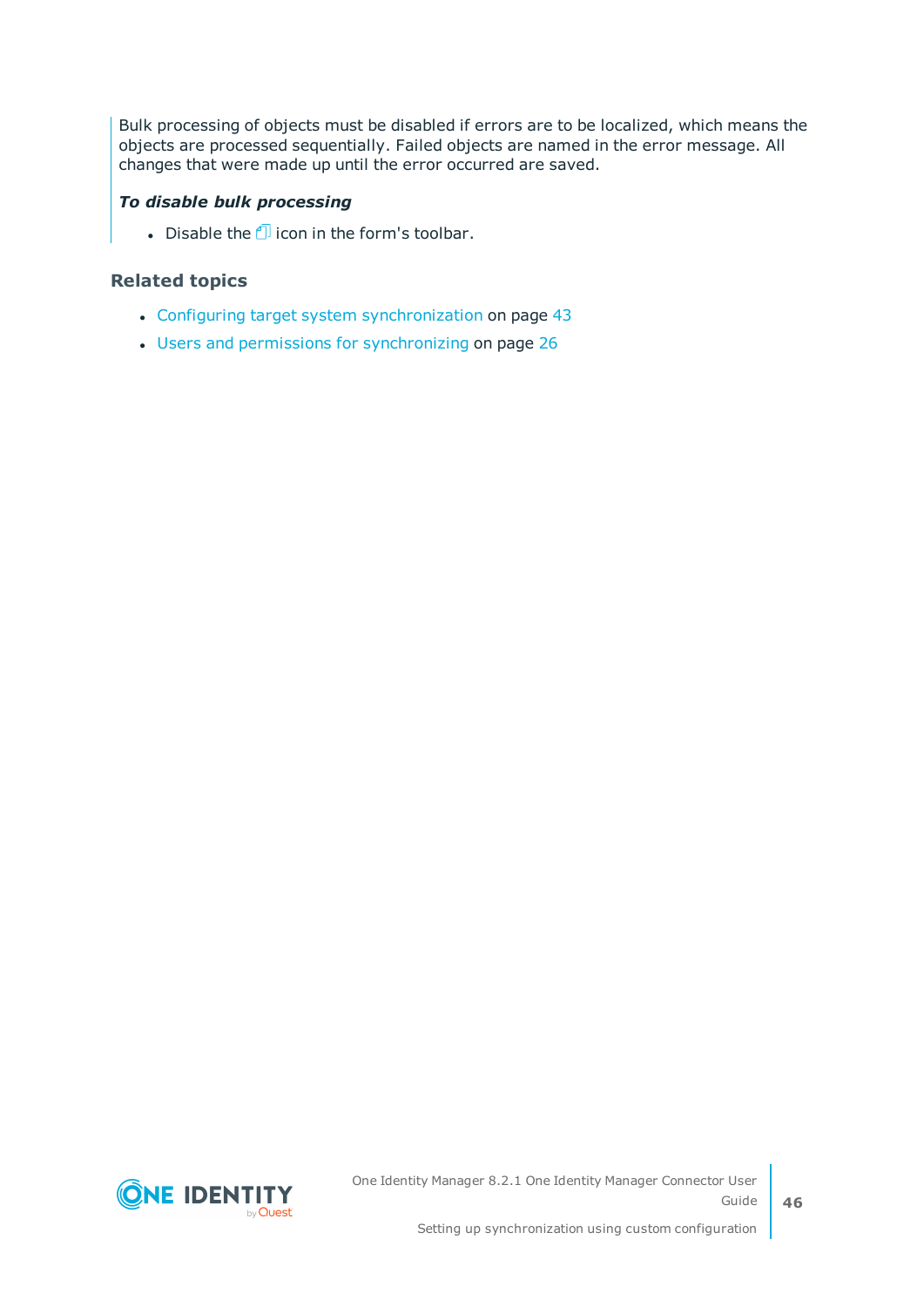Bulk processing of objects must be disabled if errors are to be localized, which means the objects are processed sequentially. Failed objects are named in the error message. All changes that were made up until the error occurred are saved.

#### *To disable bulk processing*

- Disable the  $\Box$  icon in the form's toolbar.

#### **Related topics**

- Configuring target system [synchronization](#page-42-0) on page 43
- Users and permissions for [synchronizing](#page-25-1) on page 26

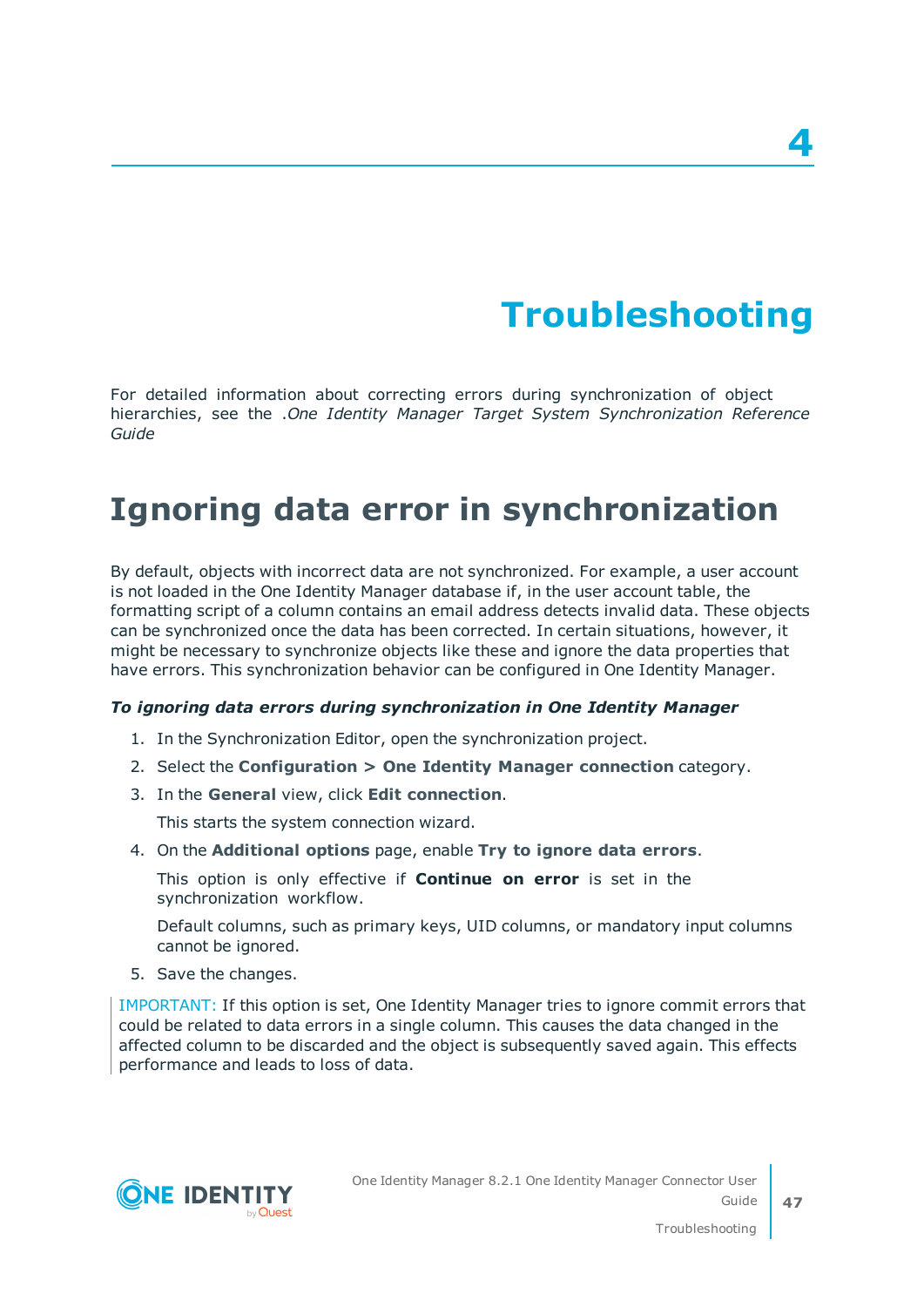# **Troubleshooting**

<span id="page-46-0"></span>For detailed information about correcting errors during synchronization of object hierarchies, see the .*One Identity Manager Target System Synchronization Reference Guide*

## <span id="page-46-1"></span>**Ignoring data error in synchronization**

By default, objects with incorrect data are not synchronized. For example, a user account is not loaded in the One Identity Manager database if, in the user account table, the formatting script of a column contains an email address detects invalid data. These objects can be synchronized once the data has been corrected. In certain situations, however, it might be necessary to synchronize objects like these and ignore the data properties that have errors. This synchronization behavior can be configured in One Identity Manager.

#### *To ignoring data errors during synchronization in One Identity Manager*

- 1. In the Synchronization Editor, open the synchronization project.
- 2. Select the **Configuration > One Identity Manager connection** category.
- 3. In the **General** view, click **Edit connection**.

This starts the system connection wizard.

4. On the **Additional options** page, enable **Try to ignore data errors**.

This option is only effective if **Continue on error** is set in the synchronization workflow.

Default columns, such as primary keys, UID columns, or mandatory input columns cannot be ignored.

5. Save the changes.

IMPORTANT: If this option is set, One Identity Manager tries to ignore commit errors that could be related to data errors in a single column. This causes the data changed in the affected column to be discarded and the object is subsequently saved again. This effects performance and leads to loss of data.

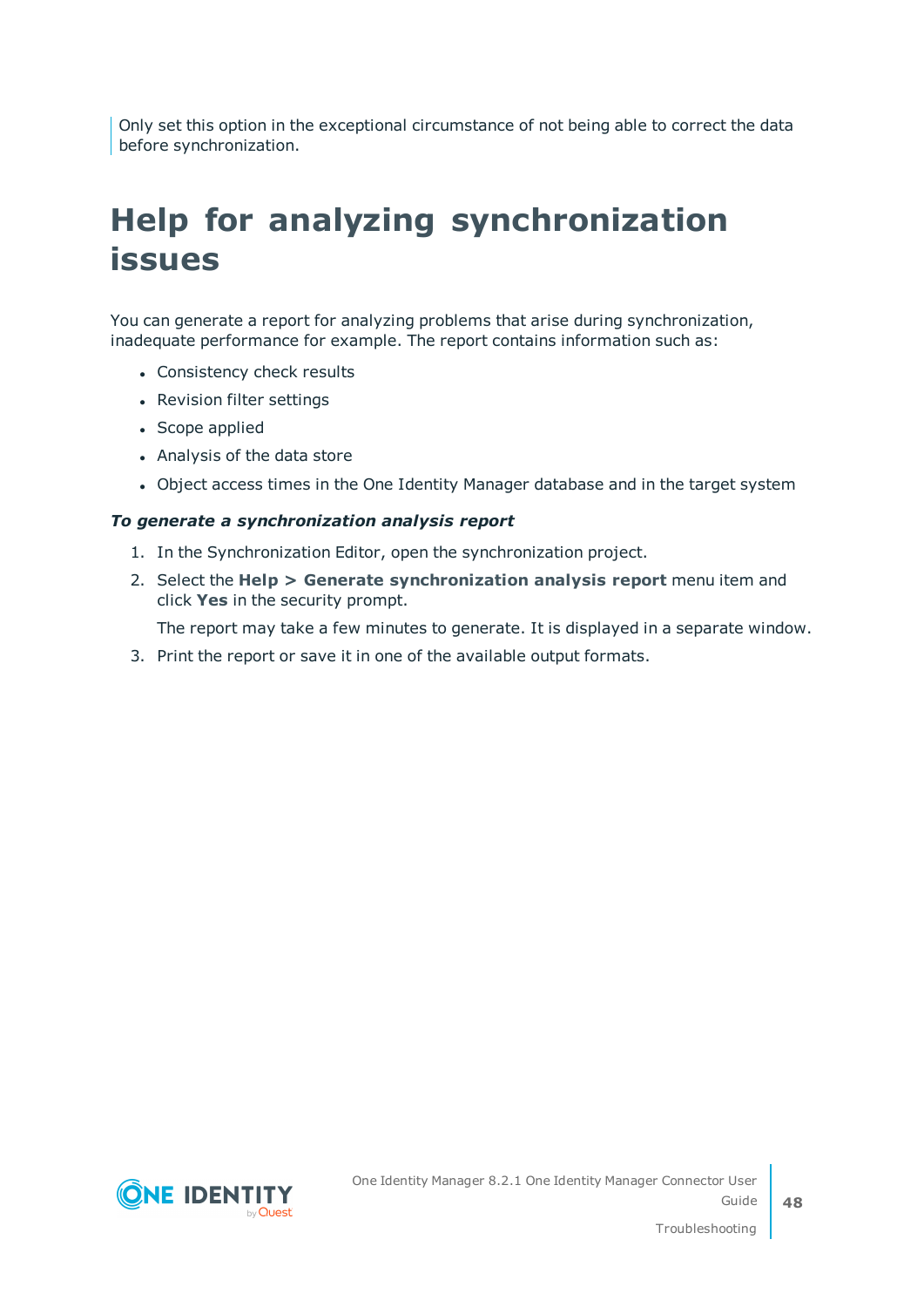Only set this option in the exceptional circumstance of not being able to correct the data before synchronization.

## <span id="page-47-0"></span>**Help for analyzing synchronization issues**

You can generate a report for analyzing problems that arise during synchronization, inadequate performance for example. The report contains information such as:

- Consistency check results
- Revision filter settings
- Scope applied
- Analysis of the data store
- Object access times in the One Identity Manager database and in the target system

#### *To generate a synchronization analysis report*

- 1. In the Synchronization Editor, open the synchronization project.
- 2. Select the **Help > Generate synchronization analysis report** menu item and click **Yes** in the security prompt.

The report may take a few minutes to generate. It is displayed in a separate window.

3. Print the report or save it in one of the available output formats.

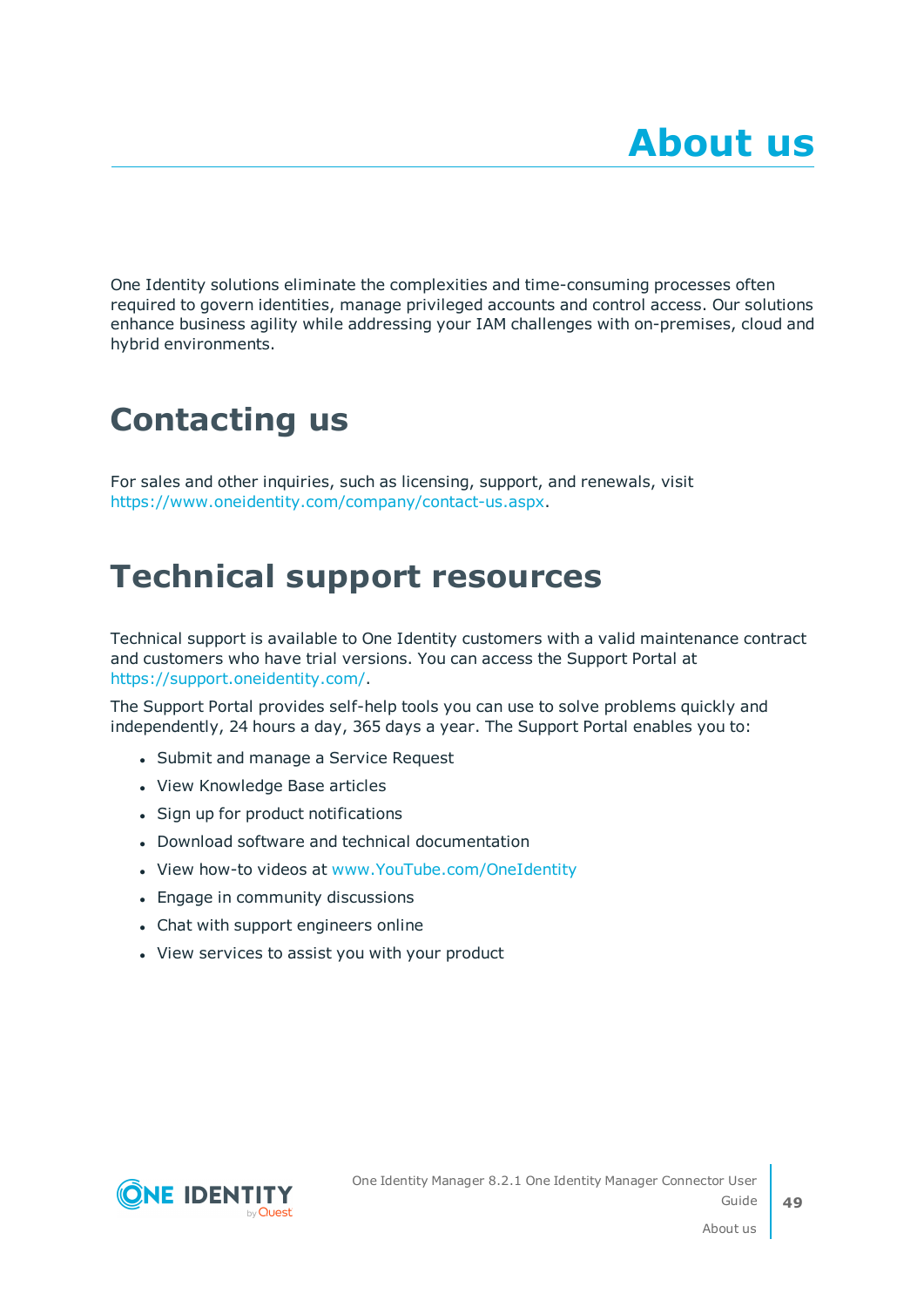<span id="page-48-0"></span>One Identity solutions eliminate the complexities and time-consuming processes often required to govern identities, manage privileged accounts and control access. Our solutions enhance business agility while addressing your IAM challenges with on-premises, cloud and hybrid environments.

## <span id="page-48-1"></span>**Contacting us**

For sales and other inquiries, such as licensing, support, and renewals, visit <https://www.oneidentity.com/company/contact-us.aspx>.

### <span id="page-48-2"></span>**Technical support resources**

Technical support is available to One Identity customers with a valid maintenance contract and customers who have trial versions. You can access the Support Portal at [https://support.oneidentity.com/.](https://support.oneidentity.com/)

The Support Portal provides self-help tools you can use to solve problems quickly and independently, 24 hours a day, 365 days a year. The Support Portal enables you to:

- Submit and manage a Service Request
- View Knowledge Base articles
- Sign up for product notifications
- Download software and technical documentation
- View how-to videos at [www.YouTube.com/OneIdentity](http://www.youtube.com/OneIdentity)
- Engage in community discussions
- Chat with support engineers online
- View services to assist you with your product

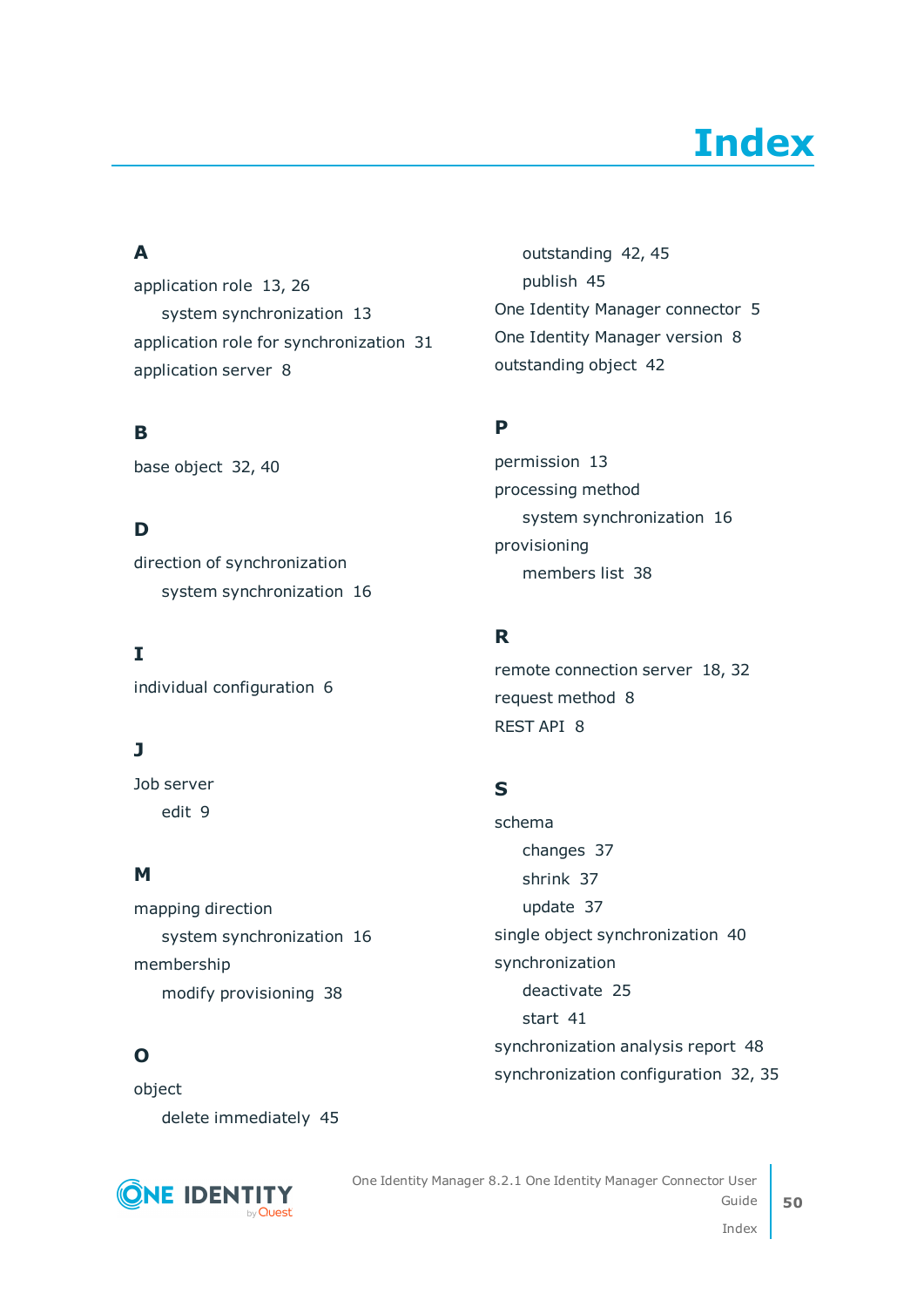# **Index**

### <span id="page-49-0"></span>**A**

application role [13,](#page-12-0) [26](#page-25-1) system synchronization [13](#page-12-1) application role for synchronization [31](#page-30-0) application server [8](#page-7-0)

### **B**

base object [32](#page-31-0), [40](#page-39-0)

### **D**

direction of synchronization system synchronization [16](#page-15-0)

**I**

individual configuration [6](#page-5-1)

### **J**

Job server edit [9](#page-8-0)

### **M**

mapping direction system synchronization [16](#page-15-0) membership modify provisioning [38](#page-37-0)

### **O**

object delete immediately [45](#page-44-0)



outstanding [42](#page-41-1), [45](#page-44-0) publish [45](#page-44-0) One Identity Manager connector [5](#page-4-0) One Identity Manager version [8](#page-7-0) outstanding object [42](#page-41-1)

### **P**

permission [13](#page-12-0) processing method system synchronization [16](#page-15-0) provisioning members list [38](#page-37-0)

### **R**

remote connection server [18](#page-17-0), [32](#page-31-0) request method [8](#page-7-0) REST API [8](#page-7-0)

### **S**

schema changes [37](#page-36-0) shrink [37](#page-36-0) update [37](#page-36-0) single object synchronization [40](#page-39-0) synchronization deactivate [25](#page-24-0) start [41](#page-40-0) synchronization analysis report [48](#page-47-0) synchronization configuration [32](#page-31-0), [35](#page-34-0)

One Identity Manager 8.2.1 One Identity Manager Connector User Guide

**50**

Index